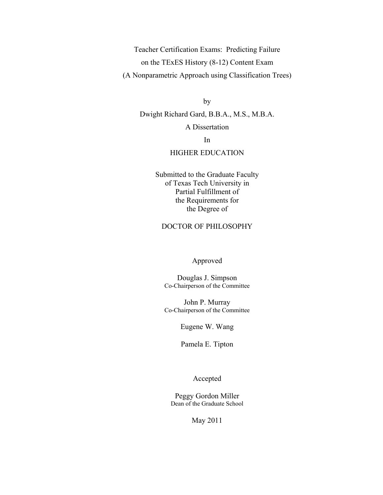Teacher Certification Exams: Predicting Failure on the TExES History (8-12) Content Exam (A Nonparametric Approach using Classification Trees)

by

Dwight Richard Gard, B.B.A., M.S., M.B.A. A Dissertation

In

### HIGHER EDUCATION

Submitted to the Graduate Faculty of Texas Tech University in Partial Fulfillment of the Requirements for the Degree of

### DOCTOR OF PHILOSOPHY

#### Approved

Douglas J. Simpson Co-Chairperson of the Committee

John P. Murray Co-Chairperson of the Committee

Eugene W. Wang

Pamela E. Tipton

Accepted

Peggy Gordon Miller Dean of the Graduate School

May 2011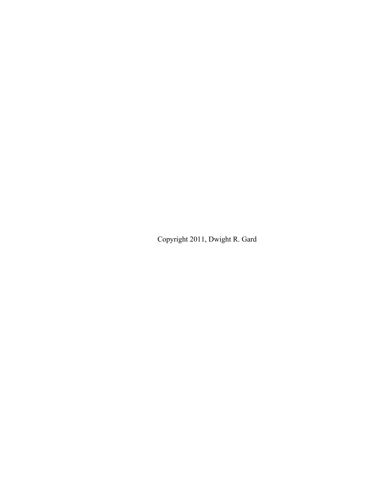Copyright 2011, Dwight R. Gard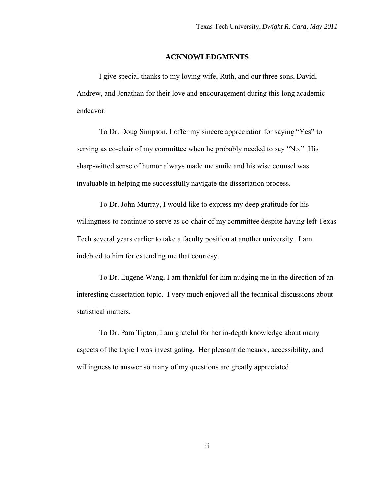#### **ACKNOWLEDGMENTS**

<span id="page-2-0"></span>I give special thanks to my loving wife, Ruth, and our three sons, David, Andrew, and Jonathan for their love and encouragement during this long academic endeavor.

To Dr. Doug Simpson, I offer my sincere appreciation for saying "Yes" to serving as co-chair of my committee when he probably needed to say "No." His sharp-witted sense of humor always made me smile and his wise counsel was invaluable in helping me successfully navigate the dissertation process.

To Dr. John Murray, I would like to express my deep gratitude for his willingness to continue to serve as co-chair of my committee despite having left Texas Tech several years earlier to take a faculty position at another university. I am indebted to him for extending me that courtesy.

To Dr. Eugene Wang, I am thankful for him nudging me in the direction of an interesting dissertation topic. I very much enjoyed all the technical discussions about statistical matters.

To Dr. Pam Tipton, I am grateful for her in-depth knowledge about many aspects of the topic I was investigating. Her pleasant demeanor, accessibility, and willingness to answer so many of my questions are greatly appreciated.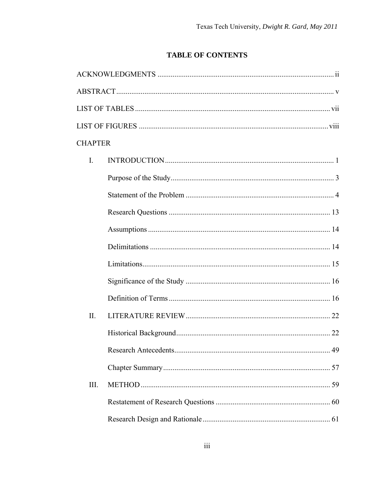# **TABLE OF CONTENTS**

| <b>CHAPTER</b> |    |
|----------------|----|
| $\mathbf{I}$ . |    |
|                |    |
|                |    |
|                |    |
|                |    |
|                |    |
|                |    |
|                |    |
|                |    |
| II.            |    |
|                |    |
|                | 49 |
|                |    |
| III.           |    |
|                |    |
|                |    |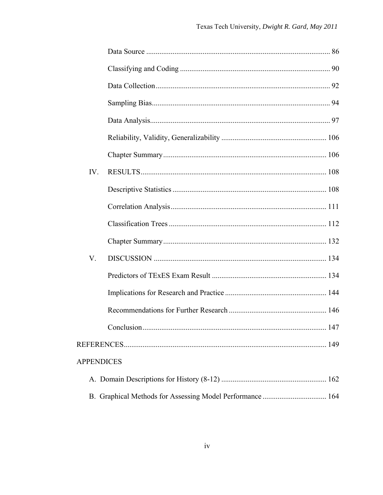| IV. |                   |  |
|-----|-------------------|--|
|     |                   |  |
|     |                   |  |
|     |                   |  |
|     |                   |  |
| V.  |                   |  |
|     |                   |  |
|     |                   |  |
|     |                   |  |
|     |                   |  |
|     |                   |  |
|     | <b>APPENDICES</b> |  |
|     |                   |  |
|     |                   |  |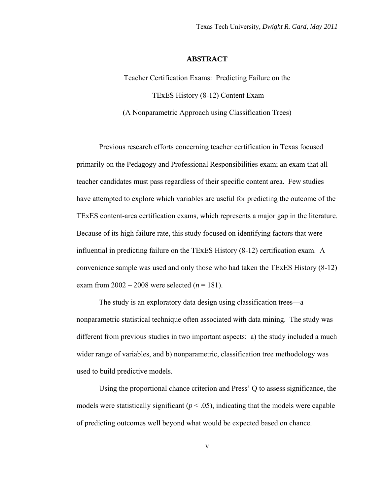#### **ABSTRACT**

Teacher Certification Exams: Predicting Failure on the TExES History (8-12) Content Exam (A Nonparametric Approach using Classification Trees)

Previous research efforts concerning teacher certification in Texas focused primarily on the Pedagogy and Professional Responsibilities exam; an exam that all teacher candidates must pass regardless of their specific content area. Few studies have attempted to explore which variables are useful for predicting the outcome of the TExES content-area certification exams, which represents a major gap in the literature. Because of its high failure rate, this study focused on identifying factors that were influential in predicting failure on the TExES History (8-12) certification exam. A convenience sample was used and only those who had taken the TExES History (8-12) exam from  $2002 - 2008$  were selected (*n* = 181).

The study is an exploratory data design using classification trees—a nonparametric statistical technique often associated with data mining. The study was different from previous studies in two important aspects: a) the study included a much wider range of variables, and b) nonparametric, classification tree methodology was used to build predictive models.

Using the proportional chance criterion and Press' Q to assess significance, the models were statistically significant  $(p < .05)$ , indicating that the models were capable of predicting outcomes well beyond what would be expected based on chance.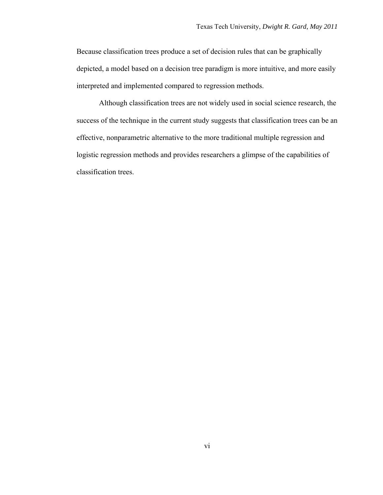Because classification trees produce a set of decision rules that can be graphically depicted, a model based on a decision tree paradigm is more intuitive, and more easily interpreted and implemented compared to regression methods.

Although classification trees are not widely used in social science research, the success of the technique in the current study suggests that classification trees can be an effective, nonparametric alternative to the more traditional multiple regression and logistic regression methods and provides researchers a glimpse of the capabilities of classification trees.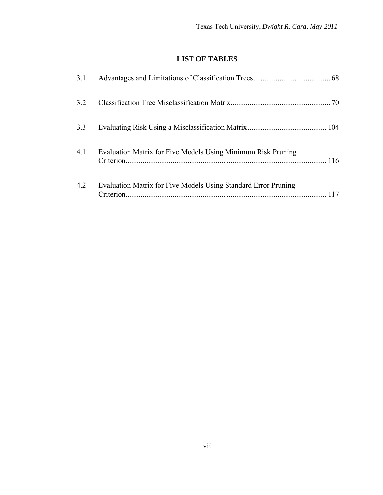# **LIST OF TABLES**

<span id="page-7-0"></span>

| 3.1 |                                                                |     |
|-----|----------------------------------------------------------------|-----|
| 3.2 |                                                                |     |
| 3.3 |                                                                |     |
| 4.1 | Evaluation Matrix for Five Models Using Minimum Risk Pruning   |     |
| 4.2 | Evaluation Matrix for Five Models Using Standard Error Pruning | 117 |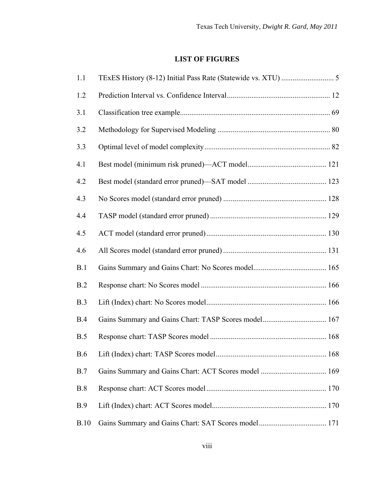# **LIST OF FIGURES**

<span id="page-8-0"></span>

| 1.1  |                                                      |  |
|------|------------------------------------------------------|--|
| 1.2  |                                                      |  |
| 3.1  |                                                      |  |
| 3.2  |                                                      |  |
| 3.3  |                                                      |  |
| 4.1  |                                                      |  |
| 4.2  |                                                      |  |
| 4.3  |                                                      |  |
| 4.4  |                                                      |  |
| 4.5  |                                                      |  |
| 4.6  |                                                      |  |
| B.1  |                                                      |  |
| B.2  |                                                      |  |
| B.3  |                                                      |  |
| B.4  | Gains Summary and Gains Chart: TASP Scores model 167 |  |
| B.5  |                                                      |  |
| B.6  |                                                      |  |
| B.7  |                                                      |  |
| B.8  |                                                      |  |
| B.9  |                                                      |  |
| B.10 |                                                      |  |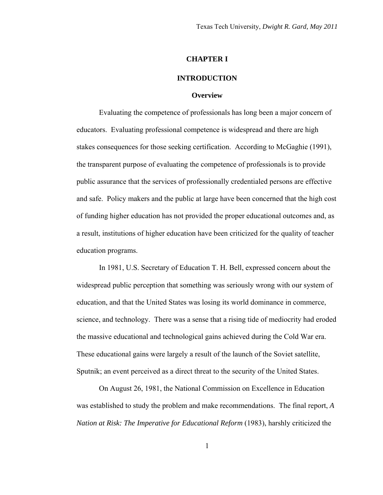#### **CHAPTER I**

#### **INTRODUCTION**

#### **Overview**

<span id="page-10-0"></span>Evaluating the competence of professionals has long been a major concern of educators. Evaluating professional competence is widespread and there are high stakes consequences for those seeking certification. According to McGaghie (1991), the transparent purpose of evaluating the competence of professionals is to provide public assurance that the services of professionally credentialed persons are effective and safe. Policy makers and the public at large have been concerned that the high cost of funding higher education has not provided the proper educational outcomes and, as a result, institutions of higher education have been criticized for the quality of teacher education programs.

 In 1981, U.S. Secretary of Education T. H. Bell, expressed concern about the widespread public perception that something was seriously wrong with our system of education, and that the United States was losing its world dominance in commerce, science, and technology. There was a sense that a rising tide of mediocrity had eroded the massive educational and technological gains achieved during the Cold War era. These educational gains were largely a result of the launch of the Soviet satellite, Sputnik; an event perceived as a direct threat to the security of the United States.

On August 26, 1981, the National Commission on Excellence in Education was established to study the problem and make recommendations. The final report, *A Nation at Risk: The Imperative for Educational Reform* (1983), harshly criticized the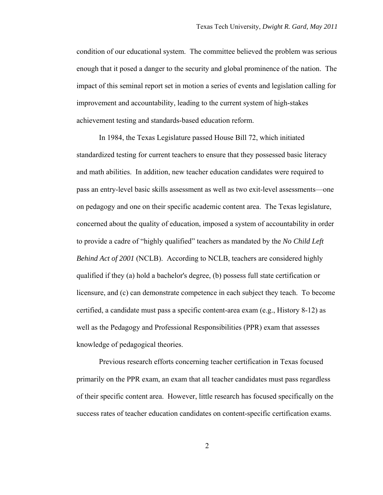condition of our educational system. The committee believed the problem was serious enough that it posed a danger to the security and global prominence of the nation. The impact of this seminal report set in motion a series of events and legislation calling for improvement and accountability, leading to the current system of high-stakes achievement testing and standards-based education reform.

In 1984, the Texas Legislature passed House Bill 72, which initiated standardized testing for current teachers to ensure that they possessed basic literacy and math abilities. In addition, new teacher education candidates were required to pass an entry-level basic skills assessment as well as two exit-level assessments—one on pedagogy and one on their specific academic content area. The Texas legislature, concerned about the quality of education, imposed a system of accountability in order to provide a cadre of "highly qualified" teachers as mandated by the *No Child Left Behind Act of 2001* (NCLB). According to NCLB, teachers are considered highly qualified if they (a) hold a bachelor's degree, (b) possess full state certification or licensure, and (c) can demonstrate competence in each subject they teach. To become certified, a candidate must pass a specific content-area exam (e.g., History 8-12) as well as the Pedagogy and Professional Responsibilities (PPR) exam that assesses knowledge of pedagogical theories.

Previous research efforts concerning teacher certification in Texas focused primarily on the PPR exam, an exam that all teacher candidates must pass regardless of their specific content area. However, little research has focused specifically on the success rates of teacher education candidates on content-specific certification exams.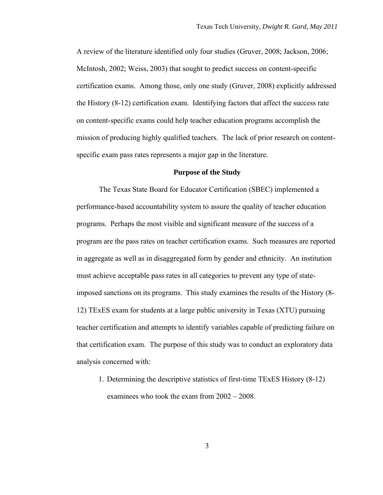<span id="page-12-0"></span>A review of the literature identified only four studies (Gruver, 2008; Jackson, 2006; McIntosh, 2002; Weiss, 2003) that sought to predict success on content-specific certification exams. Among those, only one study (Gruver, 2008) explicitly addressed the History (8-12) certification exam. Identifying factors that affect the success rate on content-specific exams could help teacher education programs accomplish the mission of producing highly qualified teachers. The lack of prior research on contentspecific exam pass rates represents a major gap in the literature.

# **Purpose of the Study**

The Texas State Board for Educator Certification (SBEC) implemented a performance-based accountability system to assure the quality of teacher education programs. Perhaps the most visible and significant measure of the success of a program are the pass rates on teacher certification exams. Such measures are reported in aggregate as well as in disaggregated form by gender and ethnicity. An institution must achieve acceptable pass rates in all categories to prevent any type of stateimposed sanctions on its programs. This study examines the results of the History (8- 12) TExES exam for students at a large public university in Texas (XTU) pursuing teacher certification and attempts to identify variables capable of predicting failure on that certification exam. The purpose of this study was to conduct an exploratory data analysis concerned with:

1. Determining the descriptive statistics of first-time TExES History (8-12) examinees who took the exam from 2002 – 2008.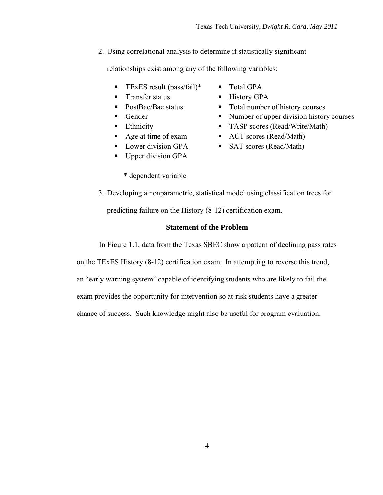<span id="page-13-0"></span>2. Using correlational analysis to determine if statistically significant

relationships exist among any of the following variables:

- **TEXES result (pass/fail)\***  $\blacksquare$  Total GPA
- Transfer status History GPA
- 
- 
- 
- 
- 
- Upper division GPA
	- \* dependent variable
- 
- 
- PostBac/Bac status Total number of history courses
- Gender Number of upper division history courses
- Ethnicity TASP scores (Read/Write/Math)
- Age at time of exam ACT scores (Read/Math)
- Lower division GPA SAT scores (Read/Math)
- 3. Developing a nonparametric, statistical model using classification trees for

predicting failure on the History (8-12) certification exam.

# **Statement of the Problem**

In Figure 1.1, data from the Texas SBEC show a pattern of declining pass rates

on the TExES History (8-12) certification exam. In attempting to reverse this trend,

an "early warning system" capable of identifying students who are likely to fail the

exam provides the opportunity for intervention so at-risk students have a greater

chance of success. Such knowledge might also be useful for program evaluation.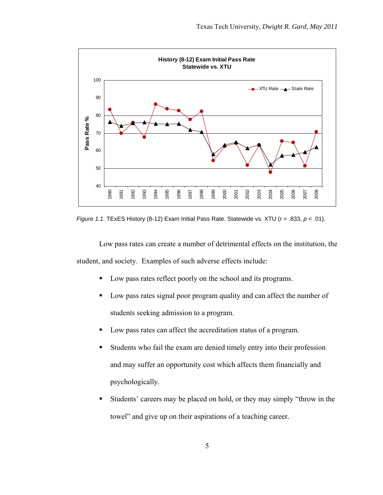

*Figure 1.1.* TExES History (8-12) Exam Initial Pass Rate. Statewide vs. XTU (*r* = .833, *p* < .01).

Low pass rates can create a number of detrimental effects on the institution, the student, and society. Examples of such adverse effects include:

- **Low pass rates reflect poorly on the school and its programs.**
- U Low pass rates signal poor program quality and can affect the number of students seeking admission to a program.
- Low pass rates can affect the accreditation status of a program.
- Students who fail the exam are denied timely entry into their profession and may suffer an opportunity cost which affects them financially and psychologically.
- Students' careers may be placed on hold, or they may simply "throw in the towel" and give up on their aspirations of a teaching career.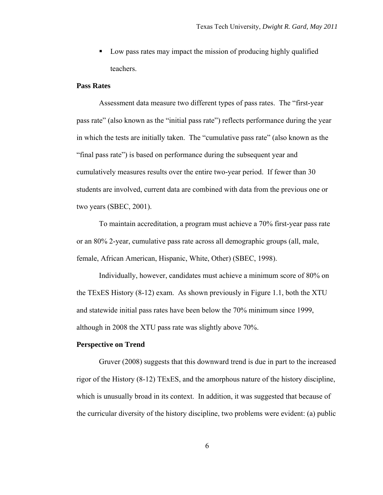**Low pass rates may impact the mission of producing highly qualified** teachers.

#### **Pass Rates**

Assessment data measure two different types of pass rates. The "first-year pass rate" (also known as the "initial pass rate") reflects performance during the year in which the tests are initially taken. The "cumulative pass rate" (also known as the "final pass rate") is based on performance during the subsequent year and cumulatively measures results over the entire two-year period. If fewer than 30 students are involved, current data are combined with data from the previous one or two years (SBEC, 2001).

To maintain accreditation, a program must achieve a 70% first-year pass rate or an 80% 2-year, cumulative pass rate across all demographic groups (all, male, female, African American, Hispanic, White, Other) (SBEC, 1998).

Individually, however, candidates must achieve a minimum score of 80% on the TExES History (8-12) exam. As shown previously in Figure 1.1, both the XTU and statewide initial pass rates have been below the 70% minimum since 1999, although in 2008 the XTU pass rate was slightly above 70%.

#### **Perspective on Trend**

Gruver (2008) suggests that this downward trend is due in part to the increased rigor of the History (8-12) TExES, and the amorphous nature of the history discipline, which is unusually broad in its context. In addition, it was suggested that because of the curricular diversity of the history discipline, two problems were evident: (a) public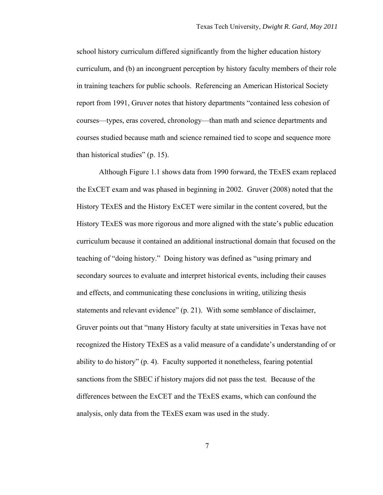school history curriculum differed significantly from the higher education history curriculum, and (b) an incongruent perception by history faculty members of their role in training teachers for public schools. Referencing an American Historical Society report from 1991, Gruver notes that history departments "contained less cohesion of courses—types, eras covered, chronology—than math and science departments and courses studied because math and science remained tied to scope and sequence more than historical studies" (p. 15).

Although Figure 1.1 shows data from 1990 forward, the TExES exam replaced the ExCET exam and was phased in beginning in 2002. Gruver (2008) noted that the History TExES and the History ExCET were similar in the content covered, but the History TExES was more rigorous and more aligned with the state's public education curriculum because it contained an additional instructional domain that focused on the teaching of "doing history." Doing history was defined as "using primary and secondary sources to evaluate and interpret historical events, including their causes and effects, and communicating these conclusions in writing, utilizing thesis statements and relevant evidence" (p. 21). With some semblance of disclaimer, Gruver points out that "many History faculty at state universities in Texas have not recognized the History TExES as a valid measure of a candidate's understanding of or ability to do history" (p. 4). Faculty supported it nonetheless, fearing potential sanctions from the SBEC if history majors did not pass the test. Because of the differences between the ExCET and the TExES exams, which can confound the analysis, only data from the TExES exam was used in the study.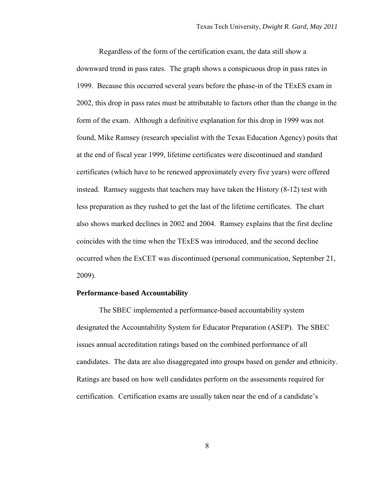Regardless of the form of the certification exam, the data still show a downward trend in pass rates. The graph shows a conspicuous drop in pass rates in 1999. Because this occurred several years before the phase-in of the TExES exam in 2002, this drop in pass rates must be attributable to factors other than the change in the form of the exam. Although a definitive explanation for this drop in 1999 was not found, Mike Ramsey (research specialist with the Texas Education Agency) posits that at the end of fiscal year 1999, lifetime certificates were discontinued and standard certificates (which have to be renewed approximately every five years) were offered instead. Ramsey suggests that teachers may have taken the History (8-12) test with less preparation as they rushed to get the last of the lifetime certificates. The chart also shows marked declines in 2002 and 2004. Ramsey explains that the first decline coincides with the time when the TExES was introduced, and the second decline occurred when the ExCET was discontinued (personal communication, September 21, 2009).

#### **Performance-based Accountability**

The SBEC implemented a performance-based accountability system designated the Accountability System for Educator Preparation (ASEP). The SBEC issues annual accreditation ratings based on the combined performance of all candidates. The data are also disaggregated into groups based on gender and ethnicity. Ratings are based on how well candidates perform on the assessments required for certification. Certification exams are usually taken near the end of a candidate's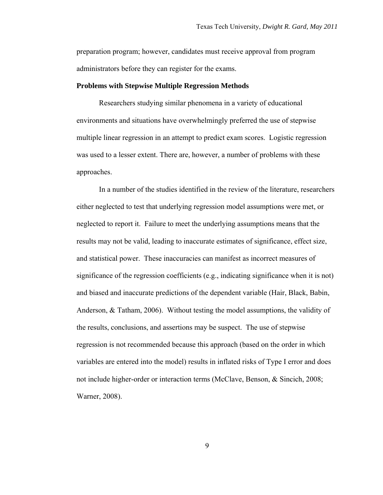preparation program; however, candidates must receive approval from program administrators before they can register for the exams.

# **Problems with Stepwise Multiple Regression Methods**

Researchers studying similar phenomena in a variety of educational environments and situations have overwhelmingly preferred the use of stepwise multiple linear regression in an attempt to predict exam scores. Logistic regression was used to a lesser extent. There are, however, a number of problems with these approaches.

In a number of the studies identified in the review of the literature, researchers either neglected to test that underlying regression model assumptions were met, or neglected to report it. Failure to meet the underlying assumptions means that the results may not be valid, leading to inaccurate estimates of significance, effect size, and statistical power. These inaccuracies can manifest as incorrect measures of significance of the regression coefficients (e.g., indicating significance when it is not) and biased and inaccurate predictions of the dependent variable (Hair, Black, Babin, Anderson, & Tatham, 2006). Without testing the model assumptions, the validity of the results, conclusions, and assertions may be suspect. The use of stepwise regression is not recommended because this approach (based on the order in which variables are entered into the model) results in inflated risks of Type I error and does not include higher-order or interaction terms (McClave, Benson, & Sincich, 2008; Warner, 2008).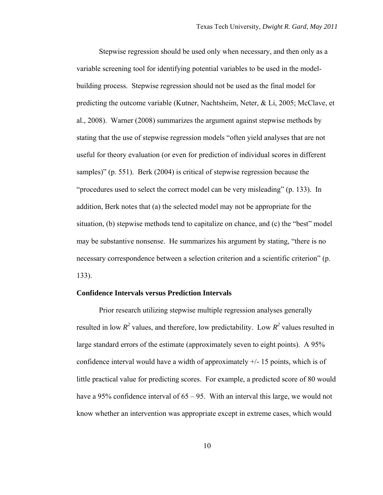Stepwise regression should be used only when necessary, and then only as a variable screening tool for identifying potential variables to be used in the modelbuilding process. Stepwise regression should not be used as the final model for predicting the outcome variable (Kutner, Nachtsheim, Neter, & Li, 2005; McClave, et al., 2008). Warner (2008) summarizes the argument against stepwise methods by stating that the use of stepwise regression models "often yield analyses that are not useful for theory evaluation (or even for prediction of individual scores in different samples)" (p. 551). Berk (2004) is critical of stepwise regression because the "procedures used to select the correct model can be very misleading" (p. 133). In addition, Berk notes that (a) the selected model may not be appropriate for the situation, (b) stepwise methods tend to capitalize on chance, and (c) the "best" model may be substantive nonsense. He summarizes his argument by stating, "there is no necessary correspondence between a selection criterion and a scientific criterion" (p. 133).

#### **Confidence Intervals versus Prediction Intervals**

Prior research utilizing stepwise multiple regression analyses generally resulted in low  $R^2$  values, and therefore, low predictability. Low  $R^2$  values resulted in large standard errors of the estimate (approximately seven to eight points). A 95% confidence interval would have a width of approximately  $+/- 15$  points, which is of little practical value for predicting scores. For example, a predicted score of 80 would have a 95% confidence interval of 65 – 95. With an interval this large, we would not know whether an intervention was appropriate except in extreme cases, which would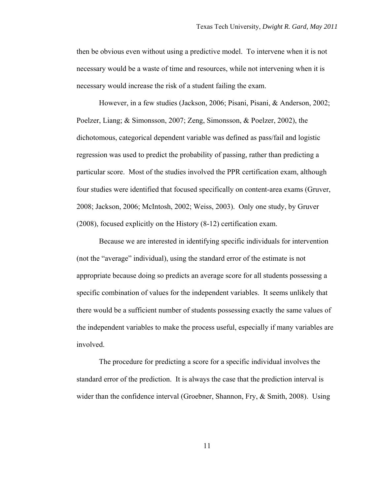then be obvious even without using a predictive model. To intervene when it is not necessary would be a waste of time and resources, while not intervening when it is necessary would increase the risk of a student failing the exam.

However, in a few studies (Jackson, 2006; Pisani, Pisani, & Anderson, 2002; Poelzer, Liang; & Simonsson, 2007; Zeng, Simonsson, & Poelzer, 2002), the dichotomous, categorical dependent variable was defined as pass/fail and logistic regression was used to predict the probability of passing, rather than predicting a particular score. Most of the studies involved the PPR certification exam, although four studies were identified that focused specifically on content-area exams (Gruver, 2008; Jackson, 2006; McIntosh, 2002; Weiss, 2003). Only one study, by Gruver (2008), focused explicitly on the History (8-12) certification exam.

Because we are interested in identifying specific individuals for intervention (not the "average" individual), using the standard error of the estimate is not appropriate because doing so predicts an average score for all students possessing a specific combination of values for the independent variables. It seems unlikely that there would be a sufficient number of students possessing exactly the same values of the independent variables to make the process useful, especially if many variables are involved.

The procedure for predicting a score for a specific individual involves the standard error of the prediction. It is always the case that the prediction interval is wider than the confidence interval (Groebner, Shannon, Fry, & Smith, 2008). Using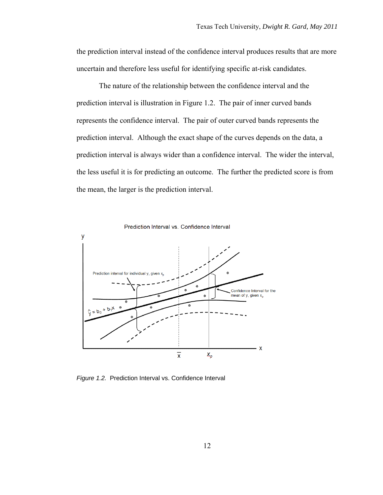the prediction interval instead of the confidence interval produces results that are more uncertain and therefore less useful for identifying specific at-risk candidates.

The nature of the relationship between the confidence interval and the prediction interval is illustration in Figure 1.2. The pair of inner curved bands represents the confidence interval. The pair of outer curved bands represents the prediction interval. Although the exact shape of the curves depends on the data, a prediction interval is always wider than a confidence interval. The wider the interval, the less useful it is for predicting an outcome. The further the predicted score is from the mean, the larger is the prediction interval.



*Figure 1.2.* Prediction Interval vs. Confidence Interval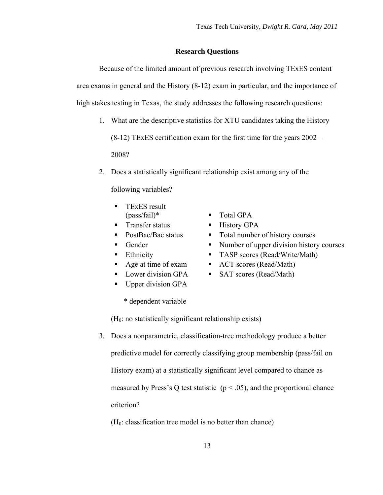# **Research Questions**

<span id="page-22-0"></span>Because of the limited amount of previous research involving TExES content area exams in general and the History (8-12) exam in particular, and the importance of high stakes testing in Texas, the study addresses the following research questions:

1. What are the descriptive statistics for XTU candidates taking the History

(8-12) TExES certification exam for the first time for the years 2002 – 2008?

2. Does a statistically significant relationship exist among any of the

following variables?

- TExES result  $(pass/fail)*$   $\blacksquare$  Total GPA
- Transfer status History GPA
- 
- 
- 
- 
- 
- Upper division GPA
	- \* dependent variable
- $(H<sub>0</sub>:$  no statistically significant relationship exists)
- 3. Does a nonparametric, classification-tree methodology produce a better predictive model for correctly classifying group membership (pass/fail on History exam) at a statistically significant level compared to chance as measured by Press's Q test statistic ( $p < .05$ ), and the proportional chance criterion?

 $(H<sub>0</sub>: classification tree model is no better than chance)$ 

- 
- 
- PostBac/Bac status **Total number of history courses**
- Gender Number of upper division history courses
	- Ethnicity TASP scores (Read/Write/Math)
	- Age at time of exam <br>ACT scores (Read/Math)
- Lower division GPA SAT scores (Read/Math)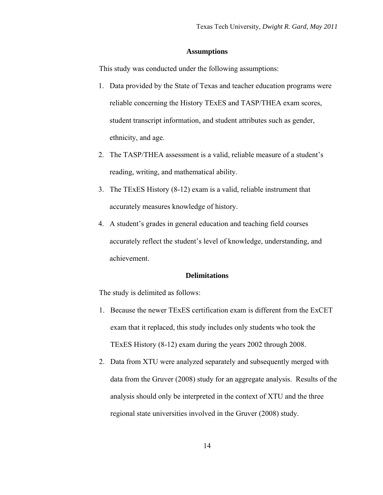# **Assumptions**

<span id="page-23-0"></span>This study was conducted under the following assumptions:

- 1. Data provided by the State of Texas and teacher education programs were reliable concerning the History TExES and TASP/THEA exam scores, student transcript information, and student attributes such as gender, ethnicity, and age.
- 2. The TASP/THEA assessment is a valid, reliable measure of a student's reading, writing, and mathematical ability.
- 3. The TExES History (8-12) exam is a valid, reliable instrument that accurately measures knowledge of history.
- 4. A student's grades in general education and teaching field courses accurately reflect the student's level of knowledge, understanding, and achievement.

# **Delimitations**

The study is delimited as follows:

- 1. Because the newer TExES certification exam is different from the ExCET exam that it replaced, this study includes only students who took the TExES History (8-12) exam during the years 2002 through 2008.
- 2. Data from XTU were analyzed separately and subsequently merged with data from the Gruver (2008) study for an aggregate analysis. Results of the analysis should only be interpreted in the context of XTU and the three regional state universities involved in the Gruver (2008) study.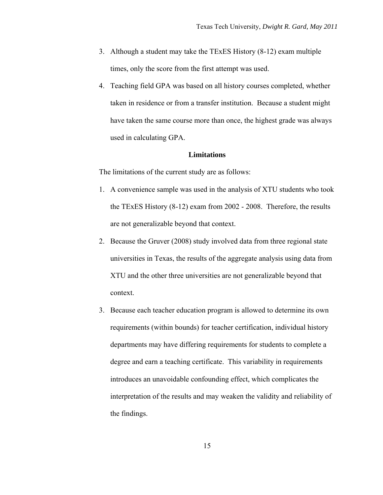- <span id="page-24-0"></span>3. Although a student may take the TExES History (8-12) exam multiple times, only the score from the first attempt was used.
- 4. Teaching field GPA was based on all history courses completed, whether taken in residence or from a transfer institution. Because a student might have taken the same course more than once, the highest grade was always used in calculating GPA.

# **Limitations**

The limitations of the current study are as follows:

- 1. A convenience sample was used in the analysis of XTU students who took the TExES History (8-12) exam from 2002 - 2008. Therefore, the results are not generalizable beyond that context.
- 2. Because the Gruver (2008) study involved data from three regional state universities in Texas, the results of the aggregate analysis using data from XTU and the other three universities are not generalizable beyond that context.
- 3. Because each teacher education program is allowed to determine its own requirements (within bounds) for teacher certification, individual history departments may have differing requirements for students to complete a degree and earn a teaching certificate. This variability in requirements introduces an unavoidable confounding effect, which complicates the interpretation of the results and may weaken the validity and reliability of the findings.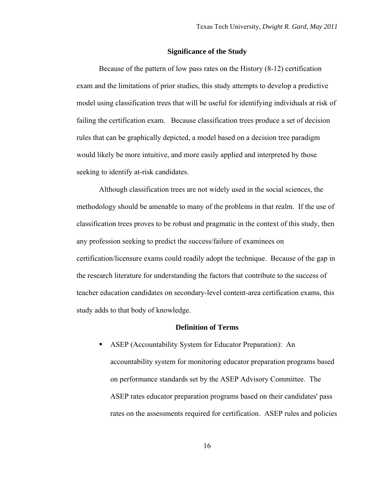# **Significance of the Study**

<span id="page-25-0"></span>Because of the pattern of low pass rates on the History (8-12) certification exam and the limitations of prior studies, this study attempts to develop a predictive model using classification trees that will be useful for identifying individuals at risk of failing the certification exam. Because classification trees produce a set of decision rules that can be graphically depicted, a model based on a decision tree paradigm would likely be more intuitive, and more easily applied and interpreted by those seeking to identify at-risk candidates.

Although classification trees are not widely used in the social sciences, the methodology should be amenable to many of the problems in that realm. If the use of classification trees proves to be robust and pragmatic in the context of this study, then any profession seeking to predict the success/failure of examinees on certification/licensure exams could readily adopt the technique. Because of the gap in the research literature for understanding the factors that contribute to the success of teacher education candidates on secondary-level content-area certification exams, this study adds to that body of knowledge.

# **Definition of Terms**

 ASEP (Accountability System for Educator Preparation): An accountability system for monitoring educator preparation programs based on performance standards set by the ASEP Advisory Committee. The ASEP rates educator preparation programs based on their candidates' pass rates on the assessments required for certification. ASEP rules and policies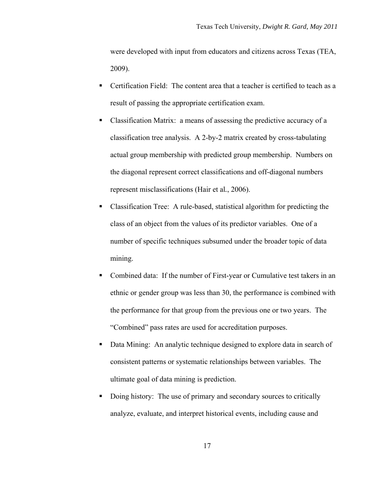were developed with input from educators and citizens across Texas (TEA, 2009).

- Certification Field: The content area that a teacher is certified to teach as a result of passing the appropriate certification exam.
- Classification Matrix: a means of assessing the predictive accuracy of a classification tree analysis. A 2-by-2 matrix created by cross-tabulating actual group membership with predicted group membership. Numbers on the diagonal represent correct classifications and off-diagonal numbers represent misclassifications (Hair et al*.*, 2006).
- Classification Tree: A rule-based, statistical algorithm for predicting the class of an object from the values of its predictor variables. One of a number of specific techniques subsumed under the broader topic of data mining.
- Combined data: If the number of First-year or Cumulative test takers in an ethnic or gender group was less than 30, the performance is combined with the performance for that group from the previous one or two years. The "Combined" pass rates are used for accreditation purposes.
- Data Mining: An analytic technique designed to explore data in search of consistent patterns or systematic relationships between variables. The ultimate goal of data mining is prediction.
- Doing history: The use of primary and secondary sources to critically analyze, evaluate, and interpret historical events, including cause and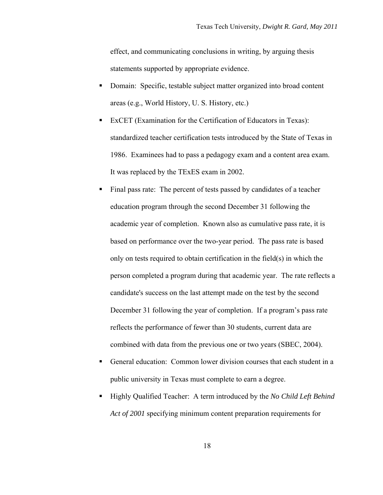effect, and communicating conclusions in writing, by arguing thesis statements supported by appropriate evidence.

- Domain: Specific, testable subject matter organized into broad content areas (e.g., World History, U. S. History, etc.)
- ExCET (Examination for the Certification of Educators in Texas): standardized teacher certification tests introduced by the State of Texas in 1986. Examinees had to pass a pedagogy exam and a content area exam. It was replaced by the TExES exam in 2002.
- Final pass rate: The percent of tests passed by candidates of a teacher education program through the second December 31 following the academic year of completion. Known also as cumulative pass rate, it is based on performance over the two-year period. The pass rate is based only on tests required to obtain certification in the field(s) in which the person completed a program during that academic year. The rate reflects a candidate's success on the last attempt made on the test by the second December 31 following the year of completion. If a program's pass rate reflects the performance of fewer than 30 students, current data are combined with data from the previous one or two years (SBEC, 2004).
- General education: Common lower division courses that each student in a public university in Texas must complete to earn a degree.
- Highly Qualified Teacher: A term introduced by the *No Child Left Behind Act of 2001* specifying minimum content preparation requirements for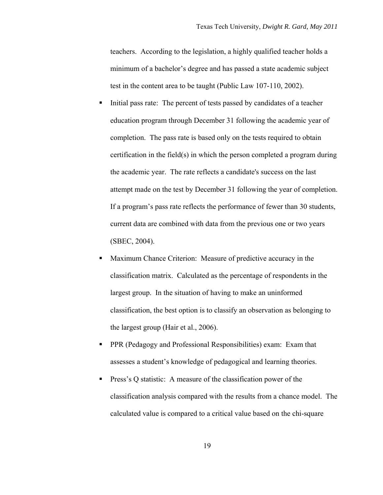teachers. According to the legislation, a highly qualified teacher holds a minimum of a bachelor's degree and has passed a state academic subject test in the content area to be taught (Public Law 107-110, 2002).

- Initial pass rate: The percent of tests passed by candidates of a teacher education program through December 31 following the academic year of completion. The pass rate is based only on the tests required to obtain certification in the field(s) in which the person completed a program during the academic year. The rate reflects a candidate's success on the last attempt made on the test by December 31 following the year of completion. If a program's pass rate reflects the performance of fewer than 30 students, current data are combined with data from the previous one or two years (SBEC, 2004).
- **Maximum Chance Criterion:** Measure of predictive accuracy in the classification matrix. Calculated as the percentage of respondents in the largest group. In the situation of having to make an uninformed classification, the best option is to classify an observation as belonging to the largest group (Hair et al., 2006).
- PPR (Pedagogy and Professional Responsibilities) exam: Exam that assesses a student's knowledge of pedagogical and learning theories.
- **Press's Q statistic:** A measure of the classification power of the classification analysis compared with the results from a chance model. The calculated value is compared to a critical value based on the chi-square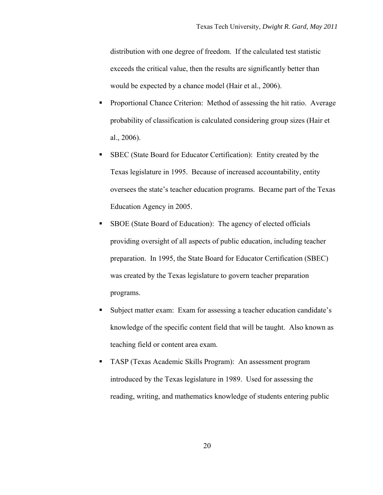distribution with one degree of freedom. If the calculated test statistic exceeds the critical value, then the results are significantly better than would be expected by a chance model (Hair et al., 2006).

- **Proportional Chance Criterion:** Method of assessing the hit ratio. Average probability of classification is calculated considering group sizes (Hair et al., 2006).
- SBEC (State Board for Educator Certification): Entity created by the Texas legislature in 1995. Because of increased accountability, entity oversees the state's teacher education programs. Became part of the Texas Education Agency in 2005.
- SBOE (State Board of Education): The agency of elected officials providing oversight of all aspects of public education, including teacher preparation. In 1995, the State Board for Educator Certification (SBEC) was created by the Texas legislature to govern teacher preparation programs.
- Subject matter exam: Exam for assessing a teacher education candidate's knowledge of the specific content field that will be taught. Also known as teaching field or content area exam.
- **TASP** (Texas Academic Skills Program): An assessment program introduced by the Texas legislature in 1989. Used for assessing the reading, writing, and mathematics knowledge of students entering public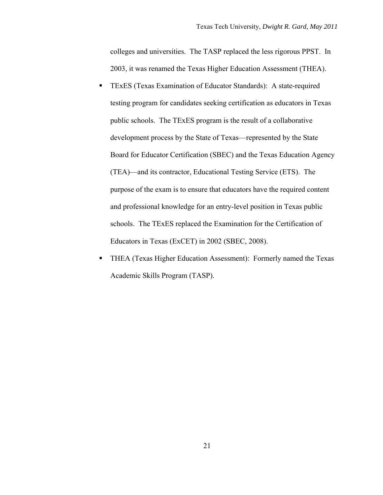colleges and universities. The TASP replaced the less rigorous PPST. In 2003, it was renamed the Texas Higher Education Assessment (THEA).

- TExES (Texas Examination of Educator Standards): A state-required testing program for candidates seeking certification as educators in Texas public schools. The TExES program is the result of a collaborative development process by the State of Texas—represented by the State Board for Educator Certification (SBEC) and the Texas Education Agency (TEA)—and its contractor, Educational Testing Service (ETS). The purpose of the exam is to ensure that educators have the required content and professional knowledge for an entry-level position in Texas public schools. The TExES replaced the Examination for the Certification of Educators in Texas (ExCET) in 2002 (SBEC, 2008).
- **THEA (Texas Higher Education Assessment): Formerly named the Texas** Academic Skills Program (TASP).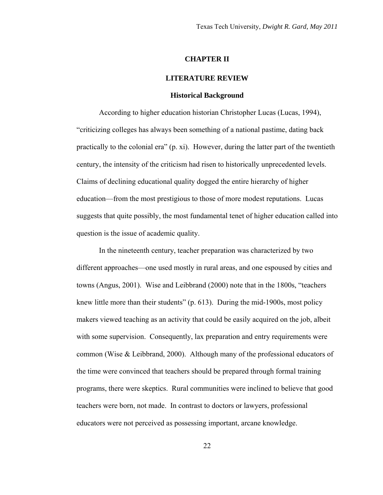#### **CHAPTER II**

#### **LITERATURE REVIEW**

#### **Historical Background**

<span id="page-31-0"></span>According to higher education historian Christopher Lucas (Lucas, 1994), "criticizing colleges has always been something of a national pastime, dating back practically to the colonial era" (p. xi). However, during the latter part of the twentieth century, the intensity of the criticism had risen to historically unprecedented levels. Claims of declining educational quality dogged the entire hierarchy of higher education—from the most prestigious to those of more modest reputations. Lucas suggests that quite possibly, the most fundamental tenet of higher education called into question is the issue of academic quality.

In the nineteenth century, teacher preparation was characterized by two different approaches—one used mostly in rural areas, and one espoused by cities and towns (Angus, 2001). Wise and Leibbrand (2000) note that in the 1800s, "teachers knew little more than their students" (p. 613). During the mid-1900s, most policy makers viewed teaching as an activity that could be easily acquired on the job, albeit with some supervision. Consequently, lax preparation and entry requirements were common (Wise & Leibbrand, 2000). Although many of the professional educators of the time were convinced that teachers should be prepared through formal training programs, there were skeptics. Rural communities were inclined to believe that good teachers were born, not made. In contrast to doctors or lawyers, professional educators were not perceived as possessing important, arcane knowledge.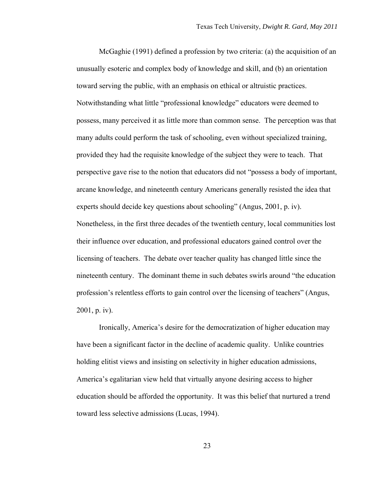McGaghie (1991) defined a profession by two criteria: (a) the acquisition of an unusually esoteric and complex body of knowledge and skill, and (b) an orientation toward serving the public, with an emphasis on ethical or altruistic practices. Notwithstanding what little "professional knowledge" educators were deemed to possess, many perceived it as little more than common sense. The perception was that many adults could perform the task of schooling, even without specialized training, provided they had the requisite knowledge of the subject they were to teach. That perspective gave rise to the notion that educators did not "possess a body of important, arcane knowledge, and nineteenth century Americans generally resisted the idea that experts should decide key questions about schooling" (Angus, 2001, p. iv). Nonetheless, in the first three decades of the twentieth century, local communities lost their influence over education, and professional educators gained control over the licensing of teachers. The debate over teacher quality has changed little since the nineteenth century. The dominant theme in such debates swirls around "the education profession's relentless efforts to gain control over the licensing of teachers" (Angus, 2001, p. iv).

Ironically, America's desire for the democratization of higher education may have been a significant factor in the decline of academic quality. Unlike countries holding elitist views and insisting on selectivity in higher education admissions, America's egalitarian view held that virtually anyone desiring access to higher education should be afforded the opportunity. It was this belief that nurtured a trend toward less selective admissions (Lucas, 1994).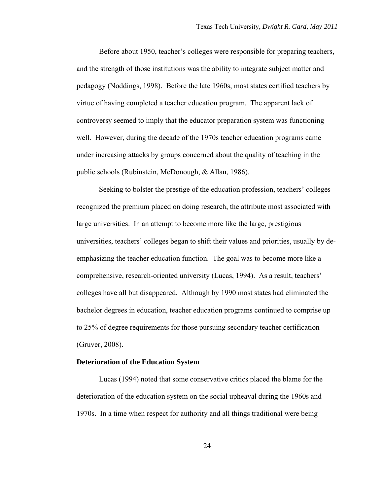Before about 1950, teacher's colleges were responsible for preparing teachers, and the strength of those institutions was the ability to integrate subject matter and pedagogy (Noddings, 1998). Before the late 1960s, most states certified teachers by virtue of having completed a teacher education program. The apparent lack of controversy seemed to imply that the educator preparation system was functioning well. However, during the decade of the 1970s teacher education programs came under increasing attacks by groups concerned about the quality of teaching in the public schools (Rubinstein, McDonough, & Allan, 1986).

Seeking to bolster the prestige of the education profession, teachers' colleges recognized the premium placed on doing research, the attribute most associated with large universities. In an attempt to become more like the large, prestigious universities, teachers' colleges began to shift their values and priorities, usually by deemphasizing the teacher education function. The goal was to become more like a comprehensive, research-oriented university (Lucas, 1994). As a result, teachers' colleges have all but disappeared. Although by 1990 most states had eliminated the bachelor degrees in education, teacher education programs continued to comprise up to 25% of degree requirements for those pursuing secondary teacher certification (Gruver, 2008).

#### **Deterioration of the Education System**

Lucas (1994) noted that some conservative critics placed the blame for the deterioration of the education system on the social upheaval during the 1960s and 1970s. In a time when respect for authority and all things traditional were being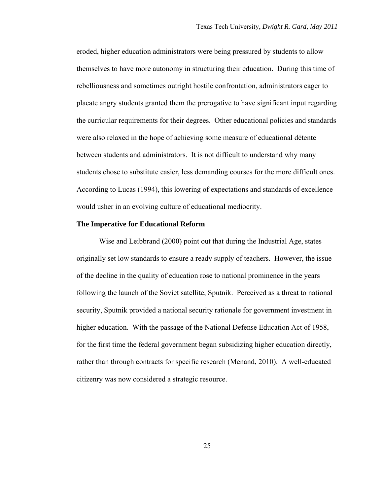eroded, higher education administrators were being pressured by students to allow themselves to have more autonomy in structuring their education. During this time of rebelliousness and sometimes outright hostile confrontation, administrators eager to placate angry students granted them the prerogative to have significant input regarding the curricular requirements for their degrees. Other educational policies and standards were also relaxed in the hope of achieving some measure of educational détente between students and administrators. It is not difficult to understand why many students chose to substitute easier, less demanding courses for the more difficult ones. According to Lucas (1994), this lowering of expectations and standards of excellence would usher in an evolving culture of educational mediocrity.

# **The Imperative for Educational Reform**

Wise and Leibbrand (2000) point out that during the Industrial Age, states originally set low standards to ensure a ready supply of teachers. However, the issue of the decline in the quality of education rose to national prominence in the years following the launch of the Soviet satellite, Sputnik. Perceived as a threat to national security, Sputnik provided a national security rationale for government investment in higher education. With the passage of the National Defense Education Act of 1958, for the first time the federal government began subsidizing higher education directly, rather than through contracts for specific research (Menand, 2010). A well-educated citizenry was now considered a strategic resource.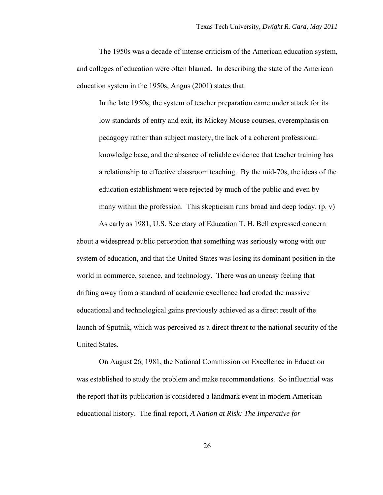The 1950s was a decade of intense criticism of the American education system, and colleges of education were often blamed. In describing the state of the American education system in the 1950s, Angus (2001) states that:

In the late 1950s, the system of teacher preparation came under attack for its low standards of entry and exit, its Mickey Mouse courses, overemphasis on pedagogy rather than subject mastery, the lack of a coherent professional knowledge base, and the absence of reliable evidence that teacher training has a relationship to effective classroom teaching. By the mid-70s, the ideas of the education establishment were rejected by much of the public and even by many within the profession. This skepticism runs broad and deep today.  $(p, v)$ 

As early as 1981, U.S. Secretary of Education T. H. Bell expressed concern about a widespread public perception that something was seriously wrong with our system of education, and that the United States was losing its dominant position in the world in commerce, science, and technology. There was an uneasy feeling that drifting away from a standard of academic excellence had eroded the massive educational and technological gains previously achieved as a direct result of the launch of Sputnik, which was perceived as a direct threat to the national security of the United States.

On August 26, 1981, the National Commission on Excellence in Education was established to study the problem and make recommendations. So influential was the report that its publication is considered a landmark event in modern American educational history. The final report, *A Nation at Risk: The Imperative for*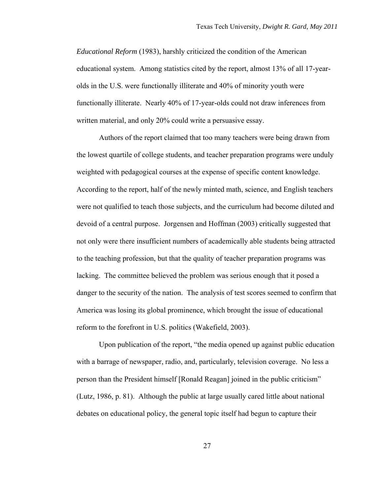*Educational Reform* (1983), harshly criticized the condition of the American educational system. Among statistics cited by the report, almost 13% of all 17-yearolds in the U.S. were functionally illiterate and 40% of minority youth were functionally illiterate. Nearly 40% of 17-year-olds could not draw inferences from written material, and only 20% could write a persuasive essay.

Authors of the report claimed that too many teachers were being drawn from the lowest quartile of college students, and teacher preparation programs were unduly weighted with pedagogical courses at the expense of specific content knowledge. According to the report, half of the newly minted math, science, and English teachers were not qualified to teach those subjects, and the curriculum had become diluted and devoid of a central purpose. Jorgensen and Hoffman (2003) critically suggested that not only were there insufficient numbers of academically able students being attracted to the teaching profession, but that the quality of teacher preparation programs was lacking. The committee believed the problem was serious enough that it posed a danger to the security of the nation. The analysis of test scores seemed to confirm that America was losing its global prominence, which brought the issue of educational reform to the forefront in U.S. politics (Wakefield, 2003).

Upon publication of the report, "the media opened up against public education with a barrage of newspaper, radio, and, particularly, television coverage. No less a person than the President himself [Ronald Reagan] joined in the public criticism" (Lutz, 1986, p. 81). Although the public at large usually cared little about national debates on educational policy, the general topic itself had begun to capture their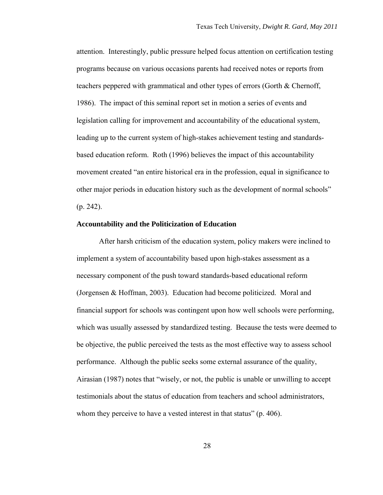attention. Interestingly, public pressure helped focus attention on certification testing programs because on various occasions parents had received notes or reports from teachers peppered with grammatical and other types of errors (Gorth & Chernoff, 1986). The impact of this seminal report set in motion a series of events and legislation calling for improvement and accountability of the educational system, leading up to the current system of high-stakes achievement testing and standardsbased education reform. Roth (1996) believes the impact of this accountability movement created "an entire historical era in the profession, equal in significance to other major periods in education history such as the development of normal schools" (p. 242).

## **Accountability and the Politicization of Education**

After harsh criticism of the education system, policy makers were inclined to implement a system of accountability based upon high-stakes assessment as a necessary component of the push toward standards-based educational reform (Jorgensen & Hoffman, 2003). Education had become politicized. Moral and financial support for schools was contingent upon how well schools were performing, which was usually assessed by standardized testing. Because the tests were deemed to be objective, the public perceived the tests as the most effective way to assess school performance. Although the public seeks some external assurance of the quality, Airasian (1987) notes that "wisely, or not, the public is unable or unwilling to accept testimonials about the status of education from teachers and school administrators, whom they perceive to have a vested interest in that status" (p. 406).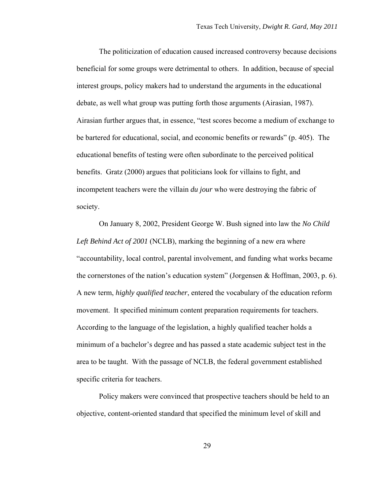The politicization of education caused increased controversy because decisions beneficial for some groups were detrimental to others. In addition, because of special interest groups, policy makers had to understand the arguments in the educational debate, as well what group was putting forth those arguments (Airasian, 1987). Airasian further argues that, in essence, "test scores become a medium of exchange to be bartered for educational, social, and economic benefits or rewards" (p. 405). The educational benefits of testing were often subordinate to the perceived political benefits. Gratz (2000) argues that politicians look for villains to fight, and incompetent teachers were the villain *du jour* who were destroying the fabric of society.

On January 8, 2002, President George W. Bush signed into law the *No Child Left Behind Act of 2001* (NCLB), marking the beginning of a new era where "accountability, local control, parental involvement, and funding what works became the cornerstones of the nation's education system" (Jorgensen & Hoffman, 2003, p. 6). A new term, *highly qualified teacher*, entered the vocabulary of the education reform movement. It specified minimum content preparation requirements for teachers. According to the language of the legislation, a highly qualified teacher holds a minimum of a bachelor's degree and has passed a state academic subject test in the area to be taught. With the passage of NCLB, the federal government established specific criteria for teachers.

Policy makers were convinced that prospective teachers should be held to an objective, content-oriented standard that specified the minimum level of skill and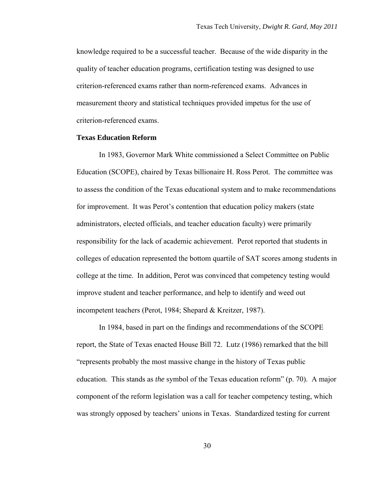knowledge required to be a successful teacher. Because of the wide disparity in the quality of teacher education programs, certification testing was designed to use criterion-referenced exams rather than norm-referenced exams. Advances in measurement theory and statistical techniques provided impetus for the use of criterion-referenced exams.

# **Texas Education Reform**

In 1983, Governor Mark White commissioned a Select Committee on Public Education (SCOPE), chaired by Texas billionaire H. Ross Perot. The committee was to assess the condition of the Texas educational system and to make recommendations for improvement. It was Perot's contention that education policy makers (state administrators, elected officials, and teacher education faculty) were primarily responsibility for the lack of academic achievement. Perot reported that students in colleges of education represented the bottom quartile of SAT scores among students in college at the time. In addition, Perot was convinced that competency testing would improve student and teacher performance, and help to identify and weed out incompetent teachers (Perot, 1984; Shepard & Kreitzer, 1987).

In 1984, based in part on the findings and recommendations of the SCOPE report, the State of Texas enacted House Bill 72. Lutz (1986) remarked that the bill "represents probably the most massive change in the history of Texas public education. This stands as *the* symbol of the Texas education reform" (p. 70). A major component of the reform legislation was a call for teacher competency testing, which was strongly opposed by teachers' unions in Texas. Standardized testing for current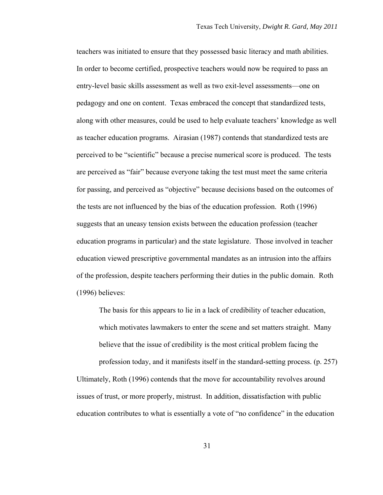teachers was initiated to ensure that they possessed basic literacy and math abilities. In order to become certified, prospective teachers would now be required to pass an entry-level basic skills assessment as well as two exit-level assessments—one on pedagogy and one on content. Texas embraced the concept that standardized tests, along with other measures, could be used to help evaluate teachers' knowledge as well as teacher education programs. Airasian (1987) contends that standardized tests are perceived to be "scientific" because a precise numerical score is produced. The tests are perceived as "fair" because everyone taking the test must meet the same criteria for passing, and perceived as "objective" because decisions based on the outcomes of the tests are not influenced by the bias of the education profession. Roth (1996) suggests that an uneasy tension exists between the education profession (teacher education programs in particular) and the state legislature. Those involved in teacher education viewed prescriptive governmental mandates as an intrusion into the affairs of the profession, despite teachers performing their duties in the public domain. Roth (1996) believes:

The basis for this appears to lie in a lack of credibility of teacher education, which motivates lawmakers to enter the scene and set matters straight. Many believe that the issue of credibility is the most critical problem facing the profession today, and it manifests itself in the standard-setting process. (p. 257) Ultimately, Roth (1996) contends that the move for accountability revolves around

issues of trust, or more properly, mistrust. In addition, dissatisfaction with public education contributes to what is essentially a vote of "no confidence" in the education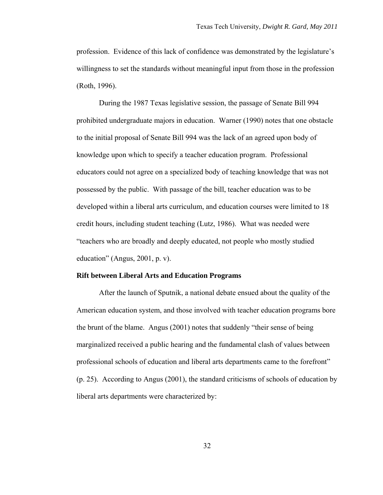profession. Evidence of this lack of confidence was demonstrated by the legislature's willingness to set the standards without meaningful input from those in the profession (Roth, 1996).

During the 1987 Texas legislative session, the passage of Senate Bill 994 prohibited undergraduate majors in education. Warner (1990) notes that one obstacle to the initial proposal of Senate Bill 994 was the lack of an agreed upon body of knowledge upon which to specify a teacher education program. Professional educators could not agree on a specialized body of teaching knowledge that was not possessed by the public. With passage of the bill, teacher education was to be developed within a liberal arts curriculum, and education courses were limited to 18 credit hours, including student teaching (Lutz, 1986). What was needed were "teachers who are broadly and deeply educated, not people who mostly studied education" (Angus, 2001, p. v).

#### **Rift between Liberal Arts and Education Programs**

After the launch of Sputnik, a national debate ensued about the quality of the American education system, and those involved with teacher education programs bore the brunt of the blame. Angus (2001) notes that suddenly "their sense of being marginalized received a public hearing and the fundamental clash of values between professional schools of education and liberal arts departments came to the forefront" (p. 25). According to Angus (2001), the standard criticisms of schools of education by liberal arts departments were characterized by: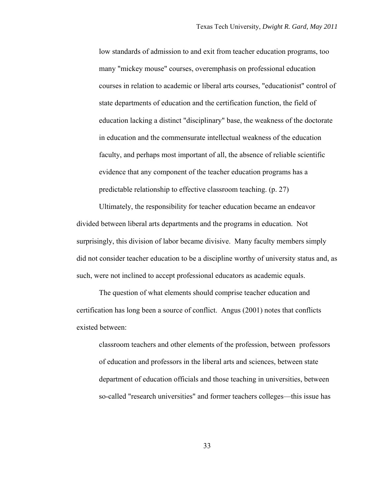low standards of admission to and exit from teacher education programs, too many "mickey mouse" courses, overemphasis on professional education courses in relation to academic or liberal arts courses, "educationist" control of state departments of education and the certification function, the field of education lacking a distinct "disciplinary" base, the weakness of the doctorate in education and the commensurate intellectual weakness of the education faculty, and perhaps most important of all, the absence of reliable scientific evidence that any component of the teacher education programs has a predictable relationship to effective classroom teaching. (p. 27)

Ultimately, the responsibility for teacher education became an endeavor divided between liberal arts departments and the programs in education. Not surprisingly, this division of labor became divisive. Many faculty members simply did not consider teacher education to be a discipline worthy of university status and, as such, were not inclined to accept professional educators as academic equals.

The question of what elements should comprise teacher education and certification has long been a source of conflict. Angus (2001) notes that conflicts existed between:

classroom teachers and other elements of the profession, between professors of education and professors in the liberal arts and sciences, between state department of education officials and those teaching in universities, between so-called "research universities" and former teachers colleges—this issue has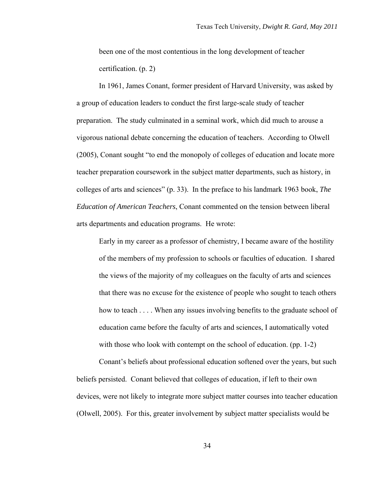been one of the most contentious in the long development of teacher certification. (p. 2)

In 1961, James Conant, former president of Harvard University, was asked by a group of education leaders to conduct the first large-scale study of teacher preparation. The study culminated in a seminal work, which did much to arouse a vigorous national debate concerning the education of teachers. According to Olwell (2005), Conant sought "to end the monopoly of colleges of education and locate more teacher preparation coursework in the subject matter departments, such as history, in colleges of arts and sciences" (p. 33). In the preface to his landmark 1963 book, *The Education of American Teachers*, Conant commented on the tension between liberal arts departments and education programs. He wrote:

Early in my career as a professor of chemistry, I became aware of the hostility of the members of my profession to schools or faculties of education. I shared the views of the majority of my colleagues on the faculty of arts and sciences that there was no excuse for the existence of people who sought to teach others how to teach . . . . When any issues involving benefits to the graduate school of education came before the faculty of arts and sciences, I automatically voted with those who look with contempt on the school of education. (pp. 1-2)

Conant's beliefs about professional education softened over the years, but such beliefs persisted. Conant believed that colleges of education, if left to their own devices, were not likely to integrate more subject matter courses into teacher education (Olwell, 2005). For this, greater involvement by subject matter specialists would be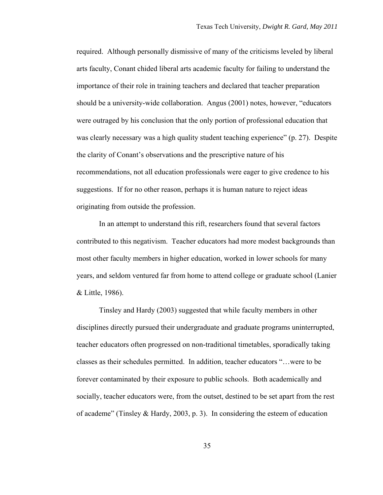required. Although personally dismissive of many of the criticisms leveled by liberal arts faculty, Conant chided liberal arts academic faculty for failing to understand the importance of their role in training teachers and declared that teacher preparation should be a university-wide collaboration. Angus (2001) notes, however, "educators were outraged by his conclusion that the only portion of professional education that was clearly necessary was a high quality student teaching experience" (p. 27). Despite the clarity of Conant's observations and the prescriptive nature of his recommendations, not all education professionals were eager to give credence to his suggestions. If for no other reason, perhaps it is human nature to reject ideas originating from outside the profession.

In an attempt to understand this rift, researchers found that several factors contributed to this negativism. Teacher educators had more modest backgrounds than most other faculty members in higher education, worked in lower schools for many years, and seldom ventured far from home to attend college or graduate school (Lanier & Little, 1986).

Tinsley and Hardy (2003) suggested that while faculty members in other disciplines directly pursued their undergraduate and graduate programs uninterrupted, teacher educators often progressed on non-traditional timetables, sporadically taking classes as their schedules permitted. In addition, teacher educators "…were to be forever contaminated by their exposure to public schools. Both academically and socially, teacher educators were, from the outset, destined to be set apart from the rest of academe" (Tinsley & Hardy, 2003, p. 3). In considering the esteem of education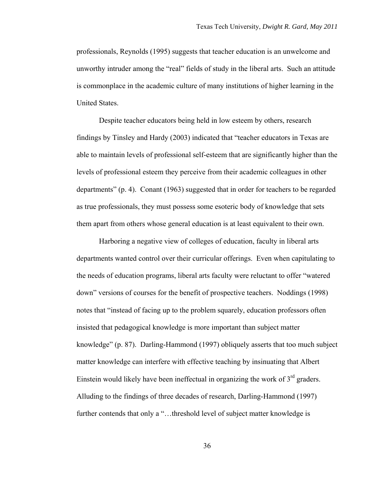professionals, Reynolds (1995) suggests that teacher education is an unwelcome and unworthy intruder among the "real" fields of study in the liberal arts. Such an attitude is commonplace in the academic culture of many institutions of higher learning in the United States.

Despite teacher educators being held in low esteem by others, research findings by Tinsley and Hardy (2003) indicated that "teacher educators in Texas are able to maintain levels of professional self-esteem that are significantly higher than the levels of professional esteem they perceive from their academic colleagues in other departments" (p. 4). Conant (1963) suggested that in order for teachers to be regarded as true professionals, they must possess some esoteric body of knowledge that sets them apart from others whose general education is at least equivalent to their own.

Harboring a negative view of colleges of education, faculty in liberal arts departments wanted control over their curricular offerings. Even when capitulating to the needs of education programs, liberal arts faculty were reluctant to offer "watered down" versions of courses for the benefit of prospective teachers. Noddings (1998) notes that "instead of facing up to the problem squarely, education professors often insisted that pedagogical knowledge is more important than subject matter knowledge" (p. 87). Darling-Hammond (1997) obliquely asserts that too much subject matter knowledge can interfere with effective teaching by insinuating that Albert Einstein would likely have been ineffectual in organizing the work of  $3<sup>rd</sup>$  graders. Alluding to the findings of three decades of research, Darling-Hammond (1997) further contends that only a "...threshold level of subject matter knowledge is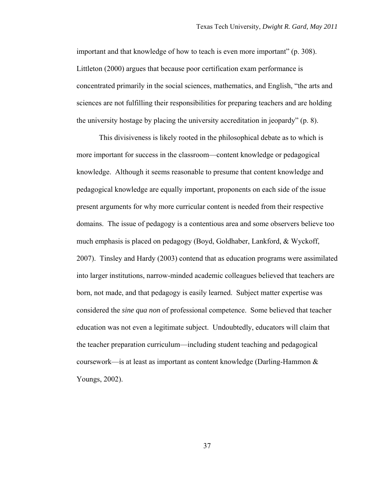important and that knowledge of how to teach is even more important" (p. 308). Littleton (2000) argues that because poor certification exam performance is concentrated primarily in the social sciences, mathematics, and English, "the arts and sciences are not fulfilling their responsibilities for preparing teachers and are holding the university hostage by placing the university accreditation in jeopardy" (p. 8).

This divisiveness is likely rooted in the philosophical debate as to which is more important for success in the classroom—content knowledge or pedagogical knowledge. Although it seems reasonable to presume that content knowledge and pedagogical knowledge are equally important, proponents on each side of the issue present arguments for why more curricular content is needed from their respective domains. The issue of pedagogy is a contentious area and some observers believe too much emphasis is placed on pedagogy (Boyd, Goldhaber, Lankford, & Wyckoff, 2007). Tinsley and Hardy (2003) contend that as education programs were assimilated into larger institutions, narrow-minded academic colleagues believed that teachers are born, not made, and that pedagogy is easily learned. Subject matter expertise was considered the *sine qua non* of professional competence. Some believed that teacher education was not even a legitimate subject. Undoubtedly, educators will claim that the teacher preparation curriculum—including student teaching and pedagogical coursework—is at least as important as content knowledge (Darling-Hammon & Youngs, 2002).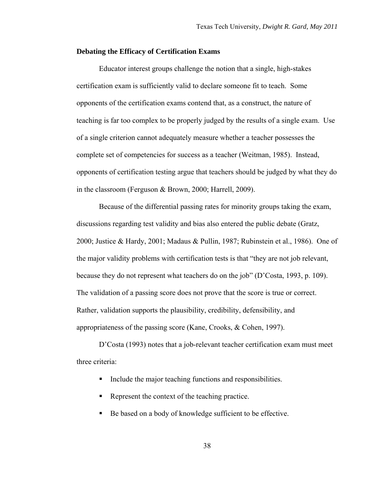#### **Debating the Efficacy of Certification Exams**

Educator interest groups challenge the notion that a single, high-stakes certification exam is sufficiently valid to declare someone fit to teach. Some opponents of the certification exams contend that, as a construct, the nature of teaching is far too complex to be properly judged by the results of a single exam. Use of a single criterion cannot adequately measure whether a teacher possesses the complete set of competencies for success as a teacher (Weitman, 1985). Instead, opponents of certification testing argue that teachers should be judged by what they do in the classroom (Ferguson & Brown, 2000; Harrell, 2009).

Because of the differential passing rates for minority groups taking the exam, discussions regarding test validity and bias also entered the public debate (Gratz, 2000; Justice & Hardy, 2001; Madaus & Pullin, 1987; Rubinstein et al., 1986). One of the major validity problems with certification tests is that "they are not job relevant, because they do not represent what teachers do on the job" (D'Costa, 1993, p. 109). The validation of a passing score does not prove that the score is true or correct. Rather, validation supports the plausibility, credibility, defensibility, and appropriateness of the passing score (Kane, Crooks, & Cohen, 1997).

D'Costa (1993) notes that a job-relevant teacher certification exam must meet three criteria:

- Include the major teaching functions and responsibilities.
- Represent the context of the teaching practice.
- Be based on a body of knowledge sufficient to be effective.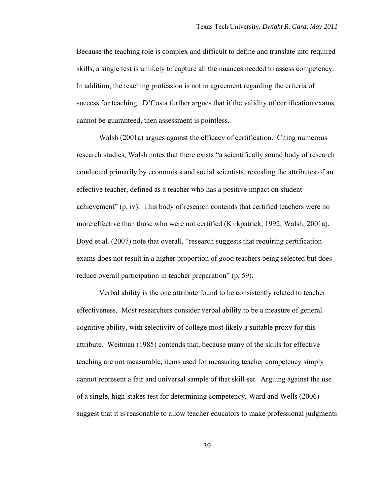Because the teaching role is complex and difficult to define and translate into required skills, a single test is unlikely to capture all the nuances needed to assess competency. In addition, the teaching profession is not in agreement regarding the criteria of success for teaching. D'Costa further argues that if the validity of certification exams cannot be guaranteed, then assessment is pointless.

Walsh (2001a) argues against the efficacy of certification. Citing numerous research studies, Walsh notes that there exists "a scientifically sound body of research conducted primarily by economists and social scientists, revealing the attributes of an effective teacher, defined as a teacher who has a positive impact on student achievement" (p. iv). This body of research contends that certified teachers were no more effective than those who were not certified (Kirkpatrick, 1992; Walsh, 2001a). Boyd et al. (2007) note that overall, "research suggests that requiring certification exams does not result in a higher proportion of good teachers being selected but does reduce overall participation in teacher preparation" (p. 59).

Verbal ability is the one attribute found to be consistently related to teacher effectiveness. Most researchers consider verbal ability to be a measure of general cognitive ability, with selectivity of college most likely a suitable proxy for this attribute. Weitman (1985) contends that, because many of the skills for effective teaching are not measurable, items used for measuring teacher competency simply cannot represent a fair and universal sample of that skill set. Arguing against the use of a single, high-stakes test for determining competency, Ward and Wells (2006) suggest that it is reasonable to allow teacher educators to make professional judgments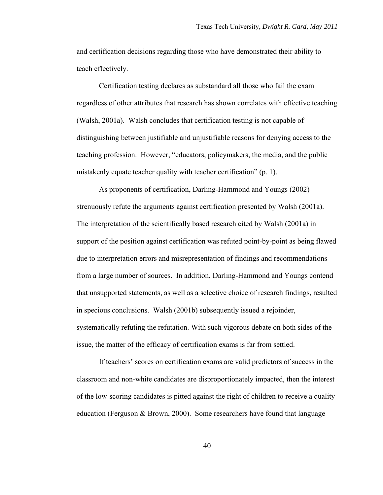and certification decisions regarding those who have demonstrated their ability to teach effectively.

Certification testing declares as substandard all those who fail the exam regardless of other attributes that research has shown correlates with effective teaching (Walsh, 2001a). Walsh concludes that certification testing is not capable of distinguishing between justifiable and unjustifiable reasons for denying access to the teaching profession. However, "educators, policymakers, the media, and the public mistakenly equate teacher quality with teacher certification" (p. 1).

As proponents of certification, Darling-Hammond and Youngs (2002) strenuously refute the arguments against certification presented by Walsh (2001a). The interpretation of the scientifically based research cited by Walsh (2001a) in support of the position against certification was refuted point-by-point as being flawed due to interpretation errors and misrepresentation of findings and recommendations from a large number of sources. In addition, Darling-Hammond and Youngs contend that unsupported statements, as well as a selective choice of research findings, resulted in specious conclusions. Walsh (2001b) subsequently issued a rejoinder, systematically refuting the refutation. With such vigorous debate on both sides of the issue, the matter of the efficacy of certification exams is far from settled.

If teachers' scores on certification exams are valid predictors of success in the classroom and non-white candidates are disproportionately impacted, then the interest of the low-scoring candidates is pitted against the right of children to receive a quality education (Ferguson & Brown, 2000). Some researchers have found that language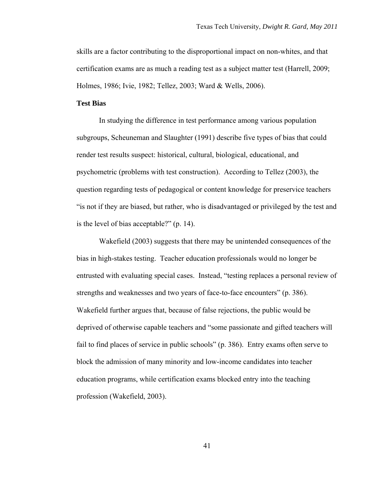skills are a factor contributing to the disproportional impact on non-whites, and that certification exams are as much a reading test as a subject matter test (Harrell, 2009; Holmes, 1986; Ivie, 1982; Tellez, 2003; Ward & Wells, 2006).

# **Test Bias**

In studying the difference in test performance among various population subgroups, Scheuneman and Slaughter (1991) describe five types of bias that could render test results suspect: historical, cultural, biological, educational, and psychometric (problems with test construction). According to Tellez (2003), the question regarding tests of pedagogical or content knowledge for preservice teachers "is not if they are biased, but rather, who is disadvantaged or privileged by the test and is the level of bias acceptable?" (p. 14).

Wakefield (2003) suggests that there may be unintended consequences of the bias in high-stakes testing. Teacher education professionals would no longer be entrusted with evaluating special cases. Instead, "testing replaces a personal review of strengths and weaknesses and two years of face-to-face encounters" (p. 386). Wakefield further argues that, because of false rejections, the public would be deprived of otherwise capable teachers and "some passionate and gifted teachers will fail to find places of service in public schools" (p. 386). Entry exams often serve to block the admission of many minority and low-income candidates into teacher education programs, while certification exams blocked entry into the teaching profession (Wakefield, 2003).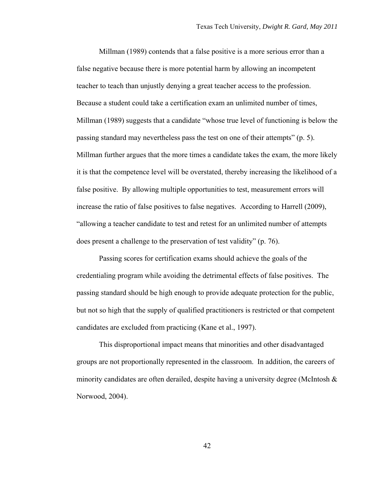Millman (1989) contends that a false positive is a more serious error than a false negative because there is more potential harm by allowing an incompetent teacher to teach than unjustly denying a great teacher access to the profession. Because a student could take a certification exam an unlimited number of times, Millman (1989) suggests that a candidate "whose true level of functioning is below the passing standard may nevertheless pass the test on one of their attempts" (p. 5). Millman further argues that the more times a candidate takes the exam, the more likely it is that the competence level will be overstated, thereby increasing the likelihood of a false positive. By allowing multiple opportunities to test, measurement errors will increase the ratio of false positives to false negatives. According to Harrell (2009), "allowing a teacher candidate to test and retest for an unlimited number of attempts does present a challenge to the preservation of test validity" (p. 76).

Passing scores for certification exams should achieve the goals of the credentialing program while avoiding the detrimental effects of false positives. The passing standard should be high enough to provide adequate protection for the public, but not so high that the supply of qualified practitioners is restricted or that competent candidates are excluded from practicing (Kane et al., 1997).

This disproportional impact means that minorities and other disadvantaged groups are not proportionally represented in the classroom. In addition, the careers of minority candidates are often derailed, despite having a university degree (McIntosh  $\&$ Norwood, 2004).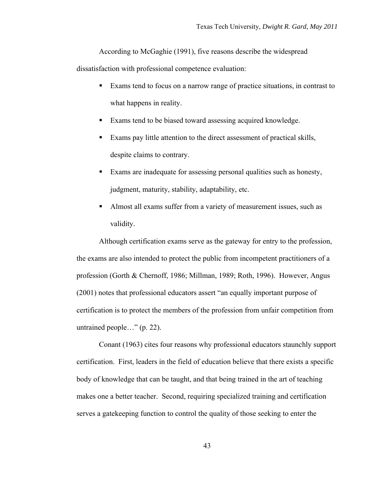According to McGaghie (1991), five reasons describe the widespread

dissatisfaction with professional competence evaluation:

- Exams tend to focus on a narrow range of practice situations, in contrast to what happens in reality.
- Exams tend to be biased toward assessing acquired knowledge.
- Exams pay little attention to the direct assessment of practical skills, despite claims to contrary.
- Exams are inadequate for assessing personal qualities such as honesty, judgment, maturity, stability, adaptability, etc.
- Almost all exams suffer from a variety of measurement issues, such as validity.

Although certification exams serve as the gateway for entry to the profession, the exams are also intended to protect the public from incompetent practitioners of a profession (Gorth & Chernoff, 1986; Millman, 1989; Roth, 1996). However, Angus (2001) notes that professional educators assert "an equally important purpose of certification is to protect the members of the profession from unfair competition from untrained people…" (p. 22).

Conant (1963) cites four reasons why professional educators staunchly support certification. First, leaders in the field of education believe that there exists a specific body of knowledge that can be taught, and that being trained in the art of teaching makes one a better teacher. Second, requiring specialized training and certification serves a gatekeeping function to control the quality of those seeking to enter the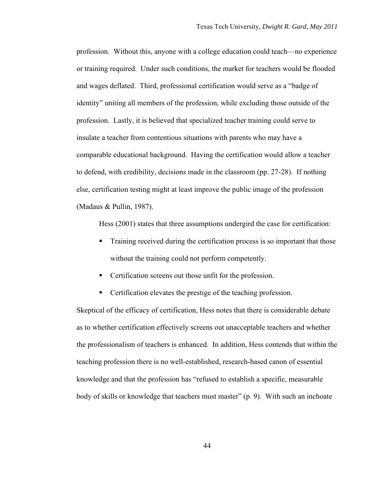profession. Without this, anyone with a college education could teach—no experience or training required. Under such conditions, the market for teachers would be flooded and wages deflated. Third, professional certification would serve as a "badge of identity" uniting all members of the profession, while excluding those outside of the profession. Lastly, it is believed that specialized teacher training could serve to insulate a teacher from contentious situations with parents who may have a comparable educational background. Having the certification would allow a teacher to defend, with credibility, decisions made in the classroom (pp. 27-28). If nothing else, certification testing might at least improve the public image of the profession (Madaus & Pullin, 1987).

Hess (2001) states that three assumptions undergird the case for certification:

- **Training received during the certification process is so important that those** without the training could not perform competently.
- Certification screens out those unfit for the profession.
- Certification elevates the prestige of the teaching profession.

Skeptical of the efficacy of certification, Hess notes that there is considerable debate as to whether certification effectively screens out unacceptable teachers and whether the professionalism of teachers is enhanced. In addition, Hess contends that within the teaching profession there is no well-established, research-based canon of essential knowledge and that the profession has "refused to establish a specific, measurable body of skills or knowledge that teachers must master" (p. 9). With such an inchoate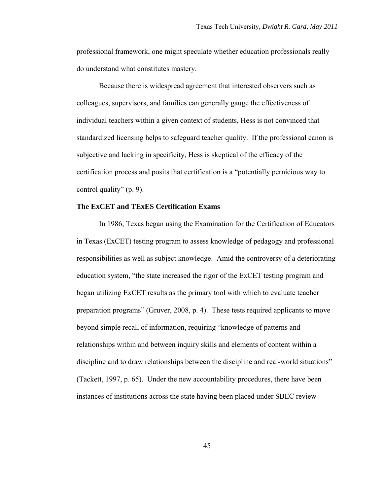professional framework, one might speculate whether education professionals really do understand what constitutes mastery.

Because there is widespread agreement that interested observers such as colleagues, supervisors, and families can generally gauge the effectiveness of individual teachers within a given context of students, Hess is not convinced that standardized licensing helps to safeguard teacher quality. If the professional canon is subjective and lacking in specificity, Hess is skeptical of the efficacy of the certification process and posits that certification is a "potentially pernicious way to control quality" (p. 9).

# **The ExCET and TExES Certification Exams**

In 1986, Texas began using the Examination for the Certification of Educators in Texas (ExCET) testing program to assess knowledge of pedagogy and professional responsibilities as well as subject knowledge. Amid the controversy of a deteriorating education system, "the state increased the rigor of the ExCET testing program and began utilizing ExCET results as the primary tool with which to evaluate teacher preparation programs" (Gruver, 2008, p. 4). These tests required applicants to move beyond simple recall of information, requiring "knowledge of patterns and relationships within and between inquiry skills and elements of content within a discipline and to draw relationships between the discipline and real-world situations" (Tackett, 1997, p. 65). Under the new accountability procedures, there have been instances of institutions across the state having been placed under SBEC review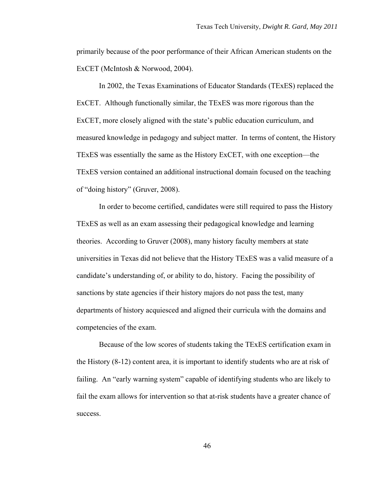primarily because of the poor performance of their African American students on the ExCET (McIntosh & Norwood, 2004).

In 2002, the Texas Examinations of Educator Standards (TExES) replaced the ExCET. Although functionally similar, the TExES was more rigorous than the ExCET, more closely aligned with the state's public education curriculum, and measured knowledge in pedagogy and subject matter. In terms of content, the History TExES was essentially the same as the History ExCET, with one exception—the TExES version contained an additional instructional domain focused on the teaching of "doing history" (Gruver, 2008).

In order to become certified, candidates were still required to pass the History TExES as well as an exam assessing their pedagogical knowledge and learning theories. According to Gruver (2008), many history faculty members at state universities in Texas did not believe that the History TExES was a valid measure of a candidate's understanding of, or ability to do, history. Facing the possibility of sanctions by state agencies if their history majors do not pass the test, many departments of history acquiesced and aligned their curricula with the domains and competencies of the exam.

Because of the low scores of students taking the TExES certification exam in the History (8-12) content area, it is important to identify students who are at risk of failing. An "early warning system" capable of identifying students who are likely to fail the exam allows for intervention so that at-risk students have a greater chance of success.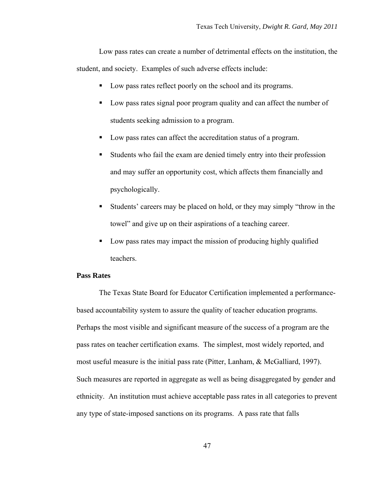Low pass rates can create a number of detrimental effects on the institution, the student, and society. Examples of such adverse effects include:

- Low pass rates reflect poorly on the school and its programs.
- Low pass rates signal poor program quality and can affect the number of students seeking admission to a program.
- Low pass rates can affect the accreditation status of a program.
- Students who fail the exam are denied timely entry into their profession and may suffer an opportunity cost, which affects them financially and psychologically.
- Students' careers may be placed on hold, or they may simply "throw in the towel" and give up on their aspirations of a teaching career.
- Low pass rates may impact the mission of producing highly qualified teachers.

# **Pass Rates**

The Texas State Board for Educator Certification implemented a performancebased accountability system to assure the quality of teacher education programs. Perhaps the most visible and significant measure of the success of a program are the pass rates on teacher certification exams. The simplest, most widely reported, and most useful measure is the initial pass rate (Pitter, Lanham, & McGalliard, 1997). Such measures are reported in aggregate as well as being disaggregated by gender and ethnicity. An institution must achieve acceptable pass rates in all categories to prevent any type of state-imposed sanctions on its programs. A pass rate that falls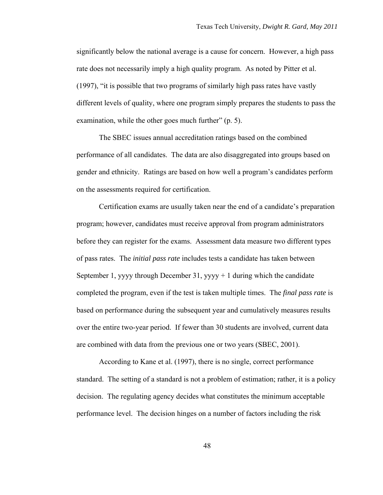significantly below the national average is a cause for concern. However, a high pass rate does not necessarily imply a high quality program. As noted by Pitter et al. (1997), "it is possible that two programs of similarly high pass rates have vastly different levels of quality, where one program simply prepares the students to pass the examination, while the other goes much further" (p. 5).

The SBEC issues annual accreditation ratings based on the combined performance of all candidates. The data are also disaggregated into groups based on gender and ethnicity. Ratings are based on how well a program's candidates perform on the assessments required for certification.

Certification exams are usually taken near the end of a candidate's preparation program; however, candidates must receive approval from program administrators before they can register for the exams. Assessment data measure two different types of pass rates. The *initial pass rate* includes tests a candidate has taken between September 1, yyyy through December 31, yyyy  $+1$  during which the candidate completed the program, even if the test is taken multiple times. The *final pass rate* is based on performance during the subsequent year and cumulatively measures results over the entire two-year period. If fewer than 30 students are involved, current data are combined with data from the previous one or two years (SBEC, 2001).

According to Kane et al. (1997), there is no single, correct performance standard. The setting of a standard is not a problem of estimation; rather, it is a policy decision. The regulating agency decides what constitutes the minimum acceptable performance level. The decision hinges on a number of factors including the risk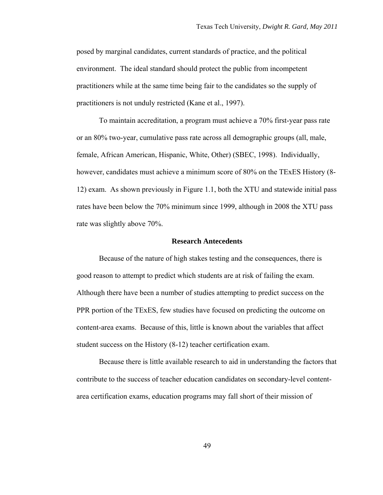posed by marginal candidates, current standards of practice, and the political environment. The ideal standard should protect the public from incompetent practitioners while at the same time being fair to the candidates so the supply of practitioners is not unduly restricted (Kane et al., 1997).

To maintain accreditation, a program must achieve a 70% first-year pass rate or an 80% two-year, cumulative pass rate across all demographic groups (all, male, female, African American, Hispanic, White, Other) (SBEC, 1998). Individually, however, candidates must achieve a minimum score of 80% on the TExES History (8- 12) exam. As shown previously in Figure 1.1, both the XTU and statewide initial pass rates have been below the 70% minimum since 1999, although in 2008 the XTU pass rate was slightly above 70%.

## **Research Antecedents**

Because of the nature of high stakes testing and the consequences, there is good reason to attempt to predict which students are at risk of failing the exam. Although there have been a number of studies attempting to predict success on the PPR portion of the TExES, few studies have focused on predicting the outcome on content-area exams. Because of this, little is known about the variables that affect student success on the History (8-12) teacher certification exam.

Because there is little available research to aid in understanding the factors that contribute to the success of teacher education candidates on secondary-level contentarea certification exams, education programs may fall short of their mission of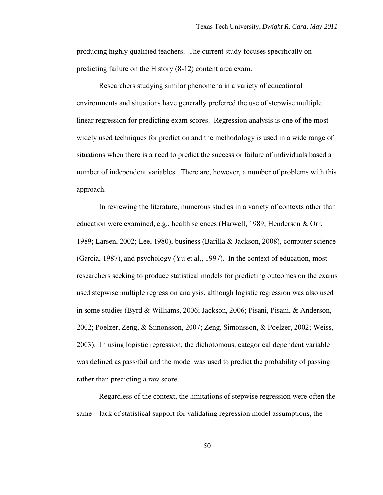producing highly qualified teachers. The current study focuses specifically on predicting failure on the History (8-12) content area exam.

Researchers studying similar phenomena in a variety of educational environments and situations have generally preferred the use of stepwise multiple linear regression for predicting exam scores. Regression analysis is one of the most widely used techniques for prediction and the methodology is used in a wide range of situations when there is a need to predict the success or failure of individuals based a number of independent variables. There are, however, a number of problems with this approach.

In reviewing the literature, numerous studies in a variety of contexts other than education were examined, e.g., health sciences (Harwell, 1989; Henderson & Orr, 1989; Larsen, 2002; Lee, 1980), business (Barilla & Jackson, 2008), computer science (Garcia, 1987), and psychology (Yu et al., 1997). In the context of education, most researchers seeking to produce statistical models for predicting outcomes on the exams used stepwise multiple regression analysis, although logistic regression was also used in some studies (Byrd & Williams, 2006; Jackson, 2006; Pisani, Pisani, & Anderson, 2002; Poelzer, Zeng, & Simonsson, 2007; Zeng, Simonsson, & Poelzer, 2002; Weiss, 2003). In using logistic regression, the dichotomous, categorical dependent variable was defined as pass/fail and the model was used to predict the probability of passing, rather than predicting a raw score.

Regardless of the context, the limitations of stepwise regression were often the same—lack of statistical support for validating regression model assumptions, the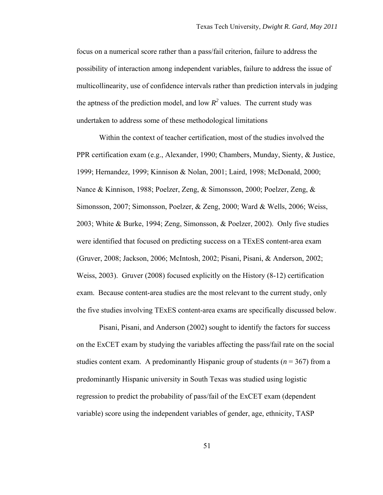focus on a numerical score rather than a pass/fail criterion, failure to address the possibility of interaction among independent variables, failure to address the issue of multicollinearity, use of confidence intervals rather than prediction intervals in judging the aptness of the prediction model, and low  $R^2$  values. The current study was undertaken to address some of these methodological limitations

Within the context of teacher certification, most of the studies involved the PPR certification exam (e.g., Alexander, 1990; Chambers, Munday, Sienty, & Justice, 1999; Hernandez, 1999; Kinnison & Nolan, 2001; Laird, 1998; McDonald, 2000; Nance & Kinnison, 1988; Poelzer, Zeng, & Simonsson, 2000; Poelzer, Zeng, & Simonsson, 2007; Simonsson, Poelzer, & Zeng, 2000; Ward & Wells, 2006; Weiss, 2003; White & Burke, 1994; Zeng, Simonsson, & Poelzer, 2002). Only five studies were identified that focused on predicting success on a TExES content-area exam (Gruver, 2008; Jackson, 2006; McIntosh, 2002; Pisani, Pisani, & Anderson, 2002; Weiss, 2003). Gruver (2008) focused explicitly on the History (8-12) certification exam. Because content-area studies are the most relevant to the current study, only the five studies involving TExES content-area exams are specifically discussed below.

Pisani, Pisani, and Anderson (2002) sought to identify the factors for success on the ExCET exam by studying the variables affecting the pass/fail rate on the social studies content exam. A predominantly Hispanic group of students ( $n = 367$ ) from a predominantly Hispanic university in South Texas was studied using logistic regression to predict the probability of pass/fail of the ExCET exam (dependent variable) score using the independent variables of gender, age, ethnicity, TASP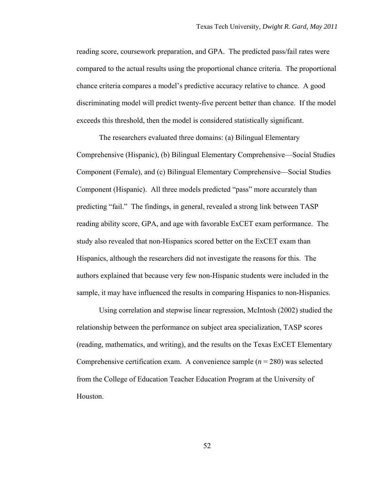reading score, coursework preparation, and GPA. The predicted pass/fail rates were compared to the actual results using the proportional chance criteria. The proportional chance criteria compares a model's predictive accuracy relative to chance. A good discriminating model will predict twenty-five percent better than chance. If the model exceeds this threshold, then the model is considered statistically significant.

The researchers evaluated three domains: (a) Bilingual Elementary Comprehensive (Hispanic), (b) Bilingual Elementary Comprehensive—Social Studies Component (Female), and (c) Bilingual Elementary Comprehensive—Social Studies Component (Hispanic). All three models predicted "pass" more accurately than predicting "fail." The findings, in general, revealed a strong link between TASP reading ability score, GPA, and age with favorable ExCET exam performance. The study also revealed that non-Hispanics scored better on the ExCET exam than Hispanics, although the researchers did not investigate the reasons for this. The authors explained that because very few non-Hispanic students were included in the sample, it may have influenced the results in comparing Hispanics to non-Hispanics.

Using correlation and stepwise linear regression, McIntosh (2002) studied the relationship between the performance on subject area specialization, TASP scores (reading, mathematics, and writing), and the results on the Texas ExCET Elementary Comprehensive certification exam. A convenience sample  $(n = 280)$  was selected from the College of Education Teacher Education Program at the University of Houston.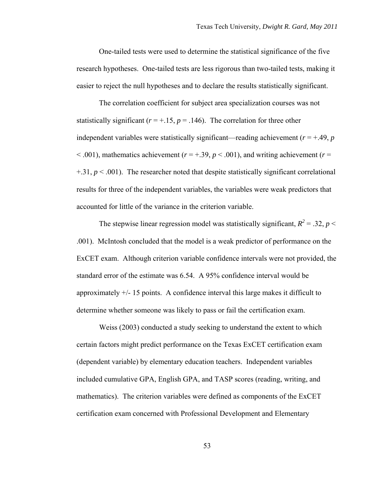One-tailed tests were used to determine the statistical significance of the five research hypotheses. One-tailed tests are less rigorous than two-tailed tests, making it easier to reject the null hypotheses and to declare the results statistically significant.

The correlation coefficient for subject area specialization courses was not statistically significant ( $r = +.15$ ,  $p = .146$ ). The correlation for three other independent variables were statistically significant—reading achievement  $(r = +0.49, p)$  $< .001$ ), mathematics achievement ( $r = +.39$ ,  $p < .001$ ), and writing achievement ( $r =$  $+31, p < .001$ ). The researcher noted that despite statistically significant correlational results for three of the independent variables, the variables were weak predictors that accounted for little of the variance in the criterion variable.

The stepwise linear regression model was statistically significant,  $R^2 = 0.32$ ,  $p <$ .001). McIntosh concluded that the model is a weak predictor of performance on the ExCET exam. Although criterion variable confidence intervals were not provided, the standard error of the estimate was 6.54. A 95% confidence interval would be approximately  $+/- 15$  points. A confidence interval this large makes it difficult to determine whether someone was likely to pass or fail the certification exam.

Weiss (2003) conducted a study seeking to understand the extent to which certain factors might predict performance on the Texas ExCET certification exam (dependent variable) by elementary education teachers. Independent variables included cumulative GPA, English GPA, and TASP scores (reading, writing, and mathematics). The criterion variables were defined as components of the ExCET certification exam concerned with Professional Development and Elementary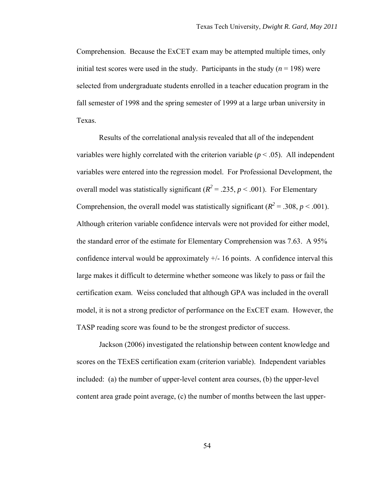Comprehension. Because the ExCET exam may be attempted multiple times, only initial test scores were used in the study. Participants in the study  $(n = 198)$  were selected from undergraduate students enrolled in a teacher education program in the fall semester of 1998 and the spring semester of 1999 at a large urban university in Texas.

Results of the correlational analysis revealed that all of the independent variables were highly correlated with the criterion variable  $(p < .05)$ . All independent variables were entered into the regression model. For Professional Development, the overall model was statistically significant ( $R^2 = .235$ ,  $p < .001$ ). For Elementary Comprehension, the overall model was statistically significant ( $R^2 = .308$ ,  $p < .001$ ). Although criterion variable confidence intervals were not provided for either model, the standard error of the estimate for Elementary Comprehension was 7.63. A 95% confidence interval would be approximately +/- 16 points. A confidence interval this large makes it difficult to determine whether someone was likely to pass or fail the certification exam. Weiss concluded that although GPA was included in the overall model, it is not a strong predictor of performance on the ExCET exam. However, the TASP reading score was found to be the strongest predictor of success.

Jackson (2006) investigated the relationship between content knowledge and scores on the TExES certification exam (criterion variable). Independent variables included: (a) the number of upper-level content area courses, (b) the upper-level content area grade point average, (c) the number of months between the last upper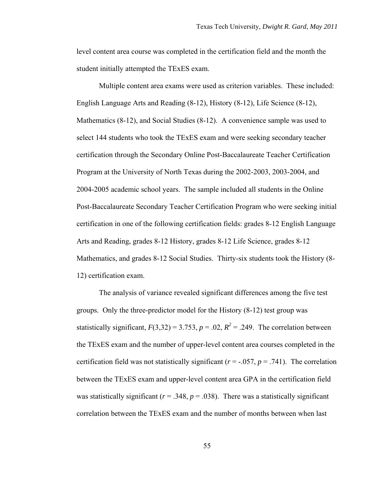level content area course was completed in the certification field and the month the student initially attempted the TExES exam.

Multiple content area exams were used as criterion variables. These included: English Language Arts and Reading (8-12), History (8-12), Life Science (8-12), Mathematics (8-12), and Social Studies (8-12). A convenience sample was used to select 144 students who took the TExES exam and were seeking secondary teacher certification through the Secondary Online Post-Baccalaureate Teacher Certification Program at the University of North Texas during the 2002-2003, 2003-2004, and 2004-2005 academic school years. The sample included all students in the Online Post-Baccalaureate Secondary Teacher Certification Program who were seeking initial certification in one of the following certification fields: grades 8-12 English Language Arts and Reading, grades 8-12 History, grades 8-12 Life Science, grades 8-12 Mathematics, and grades 8-12 Social Studies. Thirty-six students took the History (8- 12) certification exam.

The analysis of variance revealed significant differences among the five test groups. Only the three-predictor model for the History (8-12) test group was statistically significant,  $F(3,32) = 3.753$ ,  $p = .02$ ,  $R^2 = .249$ . The correlation between the TExES exam and the number of upper-level content area courses completed in the certification field was not statistically significant ( $r = -0.057$ ,  $p = 0.741$ ). The correlation between the TExES exam and upper-level content area GPA in the certification field was statistically significant ( $r = .348$ ,  $p = .038$ ). There was a statistically significant correlation between the TExES exam and the number of months between when last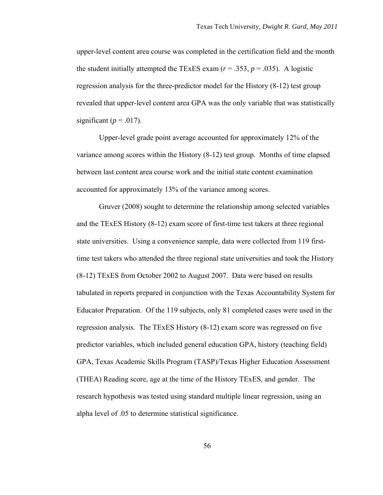upper-level content area course was completed in the certification field and the month the student initially attempted the TExES exam  $(r = .353, p = .035)$ . A logistic regression analysis for the three-predictor model for the History (8-12) test group revealed that upper-level content area GPA was the only variable that was statistically significant ( $p = .017$ ).

Upper-level grade point average accounted for approximately 12% of the variance among scores within the History (8-12) test group. Months of time elapsed between last content area course work and the initial state content examination accounted for approximately 13% of the variance among scores.

Gruver (2008) sought to determine the relationship among selected variables and the TExES History (8-12) exam score of first-time test takers at three regional state universities. Using a convenience sample, data were collected from 119 firsttime test takers who attended the three regional state universities and took the History (8-12) TExES from October 2002 to August 2007. Data were based on results tabulated in reports prepared in conjunction with the Texas Accountability System for Educator Preparation. Of the 119 subjects, only 81 completed cases were used in the regression analysis. The TExES History (8-12) exam score was regressed on five predictor variables, which included general education GPA, history (teaching field) GPA, Texas Academic Skills Program (TASP)/Texas Higher Education Assessment (THEA) Reading score, age at the time of the History TExES, and gender. The research hypothesis was tested using standard multiple linear regression, using an alpha level of .05 to determine statistical significance.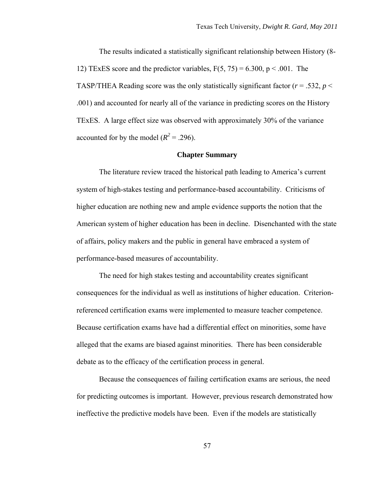The results indicated a statistically significant relationship between History (8- 12) TExES score and the predictor variables,  $F(5, 75) = 6.300$ ,  $p < .001$ . The TASP/THEA Reading score was the only statistically significant factor  $(r = .532, p <$ .001) and accounted for nearly all of the variance in predicting scores on the History TExES. A large effect size was observed with approximately 30% of the variance accounted for by the model  $(R^2 = .296)$ .

## **Chapter Summary**

The literature review traced the historical path leading to America's current system of high-stakes testing and performance-based accountability. Criticisms of higher education are nothing new and ample evidence supports the notion that the American system of higher education has been in decline. Disenchanted with the state of affairs, policy makers and the public in general have embraced a system of performance-based measures of accountability.

The need for high stakes testing and accountability creates significant consequences for the individual as well as institutions of higher education. Criterionreferenced certification exams were implemented to measure teacher competence. Because certification exams have had a differential effect on minorities, some have alleged that the exams are biased against minorities. There has been considerable debate as to the efficacy of the certification process in general.

Because the consequences of failing certification exams are serious, the need for predicting outcomes is important. However, previous research demonstrated how ineffective the predictive models have been. Even if the models are statistically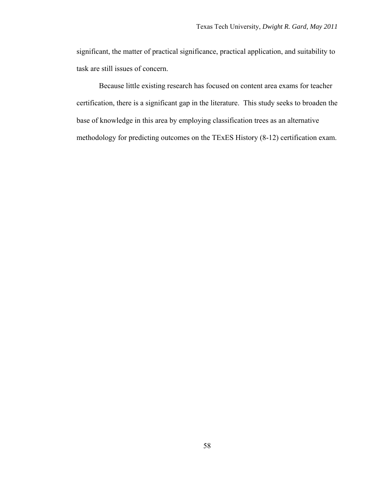significant, the matter of practical significance, practical application, and suitability to task are still issues of concern.

Because little existing research has focused on content area exams for teacher certification, there is a significant gap in the literature. This study seeks to broaden the base of knowledge in this area by employing classification trees as an alternative methodology for predicting outcomes on the TExES History (8-12) certification exam.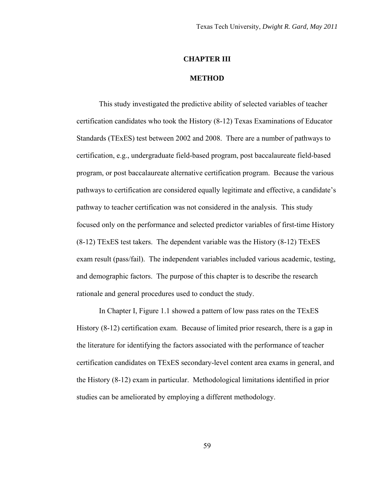# **CHAPTER III**

#### **METHOD**

This study investigated the predictive ability of selected variables of teacher certification candidates who took the History (8-12) Texas Examinations of Educator Standards (TExES) test between 2002 and 2008. There are a number of pathways to certification, e.g., undergraduate field-based program, post baccalaureate field-based program, or post baccalaureate alternative certification program. Because the various pathways to certification are considered equally legitimate and effective, a candidate's pathway to teacher certification was not considered in the analysis. This study focused only on the performance and selected predictor variables of first-time History (8-12) TExES test takers. The dependent variable was the History (8-12) TExES exam result (pass/fail). The independent variables included various academic, testing, and demographic factors. The purpose of this chapter is to describe the research rationale and general procedures used to conduct the study.

In Chapter I, Figure 1.1 showed a pattern of low pass rates on the TExES History (8-12) certification exam. Because of limited prior research, there is a gap in the literature for identifying the factors associated with the performance of teacher certification candidates on TExES secondary-level content area exams in general, and the History (8-12) exam in particular. Methodological limitations identified in prior studies can be ameliorated by employing a different methodology.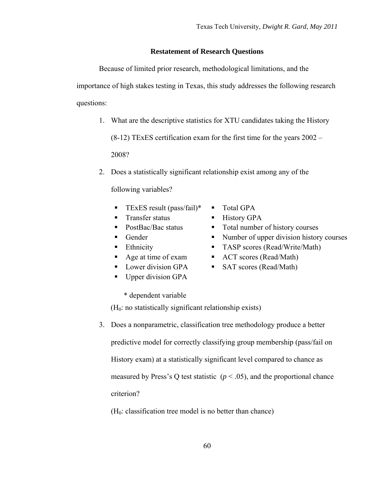# **Restatement of Research Questions**

Because of limited prior research, methodological limitations, and the importance of high stakes testing in Texas, this study addresses the following research questions:

1. What are the descriptive statistics for XTU candidates taking the History

(8-12) TExES certification exam for the first time for the years 2002 –

2008?

2. Does a statistically significant relationship exist among any of the

following variables?

- **TEXES result (pass/fail)\***  $\blacksquare$  Total GPA
- Transfer status History GPA
- 
- 
- 
- 
- 
- Upper division GPA
- - \* dependent variable

 $(H<sub>0</sub>:$  no statistically significant relationship exists)

3. Does a nonparametric, classification tree methodology produce a better

predictive model for correctly classifying group membership (pass/fail on History exam) at a statistically significant level compared to chance as measured by Press's Q test statistic  $(p < .05)$ , and the proportional chance criterion?

 $(H<sub>0</sub>: classification tree model is no better than chance)$ 

- 
- 
- PostBac/Bac status Total number of history courses
- Gender Number of upper division history courses
- Ethnicity TASP scores (Read/Write/Math)
- Age at time of exam ACT scores (Read/Math)
- Lower division GPA SAT scores (Read/Math)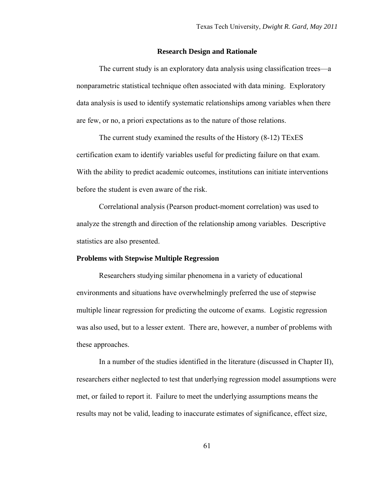## **Research Design and Rationale**

The current study is an exploratory data analysis using classification trees—a nonparametric statistical technique often associated with data mining. Exploratory data analysis is used to identify systematic relationships among variables when there are few, or no, a priori expectations as to the nature of those relations.

The current study examined the results of the History (8-12) TExES certification exam to identify variables useful for predicting failure on that exam. With the ability to predict academic outcomes, institutions can initiate interventions before the student is even aware of the risk.

Correlational analysis (Pearson product-moment correlation) was used to analyze the strength and direction of the relationship among variables. Descriptive statistics are also presented.

## **Problems with Stepwise Multiple Regression**

Researchers studying similar phenomena in a variety of educational environments and situations have overwhelmingly preferred the use of stepwise multiple linear regression for predicting the outcome of exams. Logistic regression was also used, but to a lesser extent. There are, however, a number of problems with these approaches.

In a number of the studies identified in the literature (discussed in Chapter II), researchers either neglected to test that underlying regression model assumptions were met, or failed to report it. Failure to meet the underlying assumptions means the results may not be valid, leading to inaccurate estimates of significance, effect size,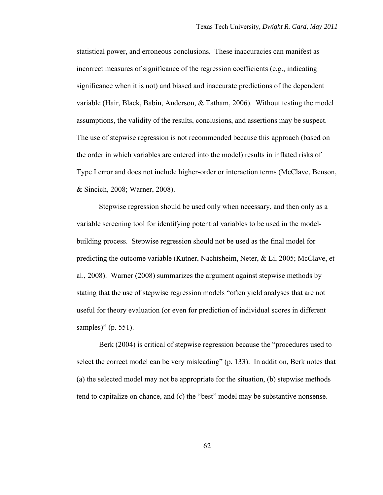statistical power, and erroneous conclusions. These inaccuracies can manifest as incorrect measures of significance of the regression coefficients (e.g., indicating significance when it is not) and biased and inaccurate predictions of the dependent variable (Hair, Black, Babin, Anderson, & Tatham, 2006). Without testing the model assumptions, the validity of the results, conclusions, and assertions may be suspect. The use of stepwise regression is not recommended because this approach (based on the order in which variables are entered into the model) results in inflated risks of Type I error and does not include higher-order or interaction terms (McClave, Benson, & Sincich, 2008; Warner, 2008).

Stepwise regression should be used only when necessary, and then only as a variable screening tool for identifying potential variables to be used in the modelbuilding process. Stepwise regression should not be used as the final model for predicting the outcome variable (Kutner, Nachtsheim, Neter, & Li, 2005; McClave, et al., 2008). Warner (2008) summarizes the argument against stepwise methods by stating that the use of stepwise regression models "often yield analyses that are not useful for theory evaluation (or even for prediction of individual scores in different samples)" (p. 551).

Berk (2004) is critical of stepwise regression because the "procedures used to select the correct model can be very misleading" (p. 133). In addition, Berk notes that (a) the selected model may not be appropriate for the situation, (b) stepwise methods tend to capitalize on chance, and (c) the "best" model may be substantive nonsense.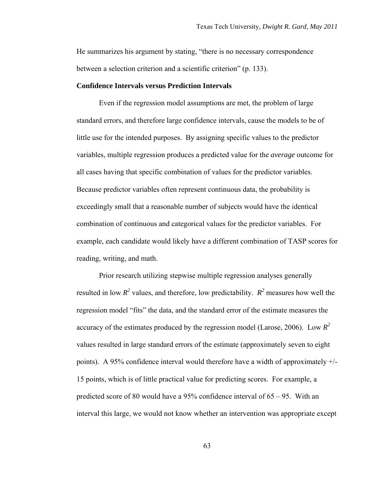He summarizes his argument by stating, "there is no necessary correspondence between a selection criterion and a scientific criterion" (p. 133).

## **Confidence Intervals versus Prediction Intervals**

Even if the regression model assumptions are met, the problem of large standard errors, and therefore large confidence intervals, cause the models to be of little use for the intended purposes. By assigning specific values to the predictor variables, multiple regression produces a predicted value for the *average* outcome for all cases having that specific combination of values for the predictor variables. Because predictor variables often represent continuous data, the probability is exceedingly small that a reasonable number of subjects would have the identical combination of continuous and categorical values for the predictor variables. For example, each candidate would likely have a different combination of TASP scores for reading, writing, and math.

Prior research utilizing stepwise multiple regression analyses generally resulted in low  $R^2$  values, and therefore, low predictability.  $R^2$  measures how well the regression model "fits" the data, and the standard error of the estimate measures the accuracy of the estimates produced by the regression model (Larose, 2006). Low  $R^2$ values resulted in large standard errors of the estimate (approximately seven to eight points). A 95% confidence interval would therefore have a width of approximately +/- 15 points, which is of little practical value for predicting scores. For example, a predicted score of 80 would have a 95% confidence interval of  $65 - 95$ . With an interval this large, we would not know whether an intervention was appropriate except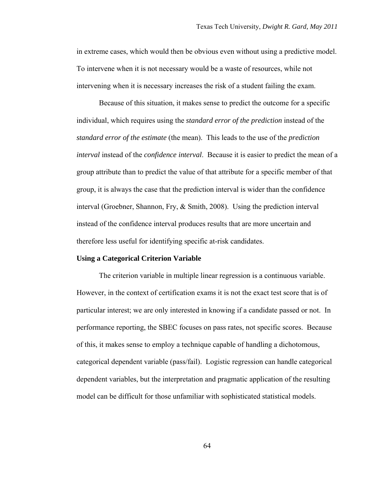in extreme cases, which would then be obvious even without using a predictive model. To intervene when it is not necessary would be a waste of resources, while not intervening when it is necessary increases the risk of a student failing the exam.

Because of this situation, it makes sense to predict the outcome for a specific individual, which requires using the *standard error of the prediction* instead of the *standard error of the estimate* (the mean). This leads to the use of the *prediction interval* instead of the *confidence interval*. Because it is easier to predict the mean of a group attribute than to predict the value of that attribute for a specific member of that group, it is always the case that the prediction interval is wider than the confidence interval (Groebner, Shannon, Fry, & Smith, 2008). Using the prediction interval instead of the confidence interval produces results that are more uncertain and therefore less useful for identifying specific at-risk candidates.

### **Using a Categorical Criterion Variable**

The criterion variable in multiple linear regression is a continuous variable. However, in the context of certification exams it is not the exact test score that is of particular interest; we are only interested in knowing if a candidate passed or not. In performance reporting, the SBEC focuses on pass rates, not specific scores. Because of this, it makes sense to employ a technique capable of handling a dichotomous, categorical dependent variable (pass/fail). Logistic regression can handle categorical dependent variables, but the interpretation and pragmatic application of the resulting model can be difficult for those unfamiliar with sophisticated statistical models.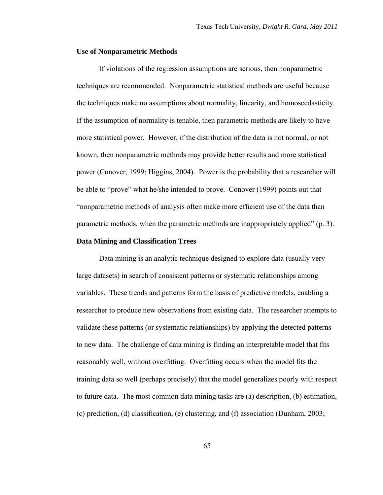#### **Use of Nonparametric Methods**

If violations of the regression assumptions are serious, then nonparametric techniques are recommended. Nonparametric statistical methods are useful because the techniques make no assumptions about normality, linearity, and homoscedasticity. If the assumption of normality is tenable, then parametric methods are likely to have more statistical power. However, if the distribution of the data is not normal, or not known, then nonparametric methods may provide better results and more statistical power (Conover, 1999; Higgins, 2004). Power is the probability that a researcher will be able to "prove" what he/she intended to prove. Conover (1999) points out that "nonparametric methods of analysis often make more efficient use of the data than parametric methods, when the parametric methods are inappropriately applied" (p. 3).

# **Data Mining and Classification Trees**

Data mining is an analytic technique designed to explore data (usually very large datasets) in search of consistent patterns or systematic relationships among variables. These trends and patterns form the basis of predictive models, enabling a researcher to produce new observations from existing data. The researcher attempts to validate these patterns (or systematic relationships) by applying the detected patterns to new data. The challenge of data mining is finding an interpretable model that fits reasonably well, without overfitting. Overfitting occurs when the model fits the training data so well (perhaps precisely) that the model generalizes poorly with respect to future data. The most common data mining tasks are (a) description, (b) estimation, (c) prediction, (d) classification, (e) clustering, and (f) association (Dunham, 2003;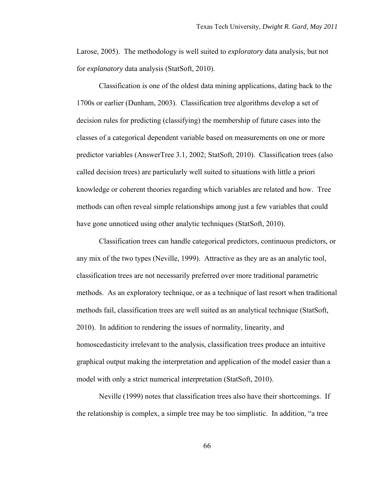Larose, 2005). The methodology is well suited to *exploratory* data analysis, but not for *explanatory* data analysis (StatSoft, 2010).

Classification is one of the oldest data mining applications, dating back to the 1700s or earlier (Dunham, 2003). Classification tree algorithms develop a set of decision rules for predicting (classifying) the membership of future cases into the classes of a categorical dependent variable based on measurements on one or more predictor variables (AnswerTree 3.1, 2002; StatSoft, 2010). Classification trees (also called decision trees) are particularly well suited to situations with little a priori knowledge or coherent theories regarding which variables are related and how. Tree methods can often reveal simple relationships among just a few variables that could have gone unnoticed using other analytic techniques (StatSoft, 2010).

Classification trees can handle categorical predictors, continuous predictors, or any mix of the two types (Neville, 1999). Attractive as they are as an analytic tool, classification trees are not necessarily preferred over more traditional parametric methods. As an exploratory technique, or as a technique of last resort when traditional methods fail, classification trees are well suited as an analytical technique (StatSoft, 2010). In addition to rendering the issues of normality, linearity, and homoscedasticity irrelevant to the analysis, classification trees produce an intuitive graphical output making the interpretation and application of the model easier than a model with only a strict numerical interpretation (StatSoft, 2010).

Neville (1999) notes that classification trees also have their shortcomings. If the relationship is complex, a simple tree may be too simplistic. In addition, "a tree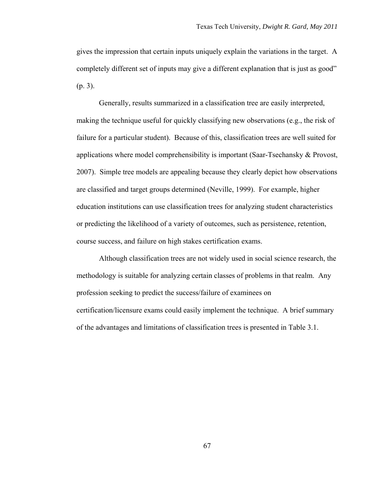gives the impression that certain inputs uniquely explain the variations in the target. A completely different set of inputs may give a different explanation that is just as good" (p. 3).

Generally, results summarized in a classification tree are easily interpreted, making the technique useful for quickly classifying new observations (e.g., the risk of failure for a particular student). Because of this, classification trees are well suited for applications where model comprehensibility is important (Saar-Tsechansky & Provost, 2007). Simple tree models are appealing because they clearly depict how observations are classified and target groups determined (Neville, 1999). For example, higher education institutions can use classification trees for analyzing student characteristics or predicting the likelihood of a variety of outcomes, such as persistence, retention, course success, and failure on high stakes certification exams.

Although classification trees are not widely used in social science research, the methodology is suitable for analyzing certain classes of problems in that realm. Any profession seeking to predict the success/failure of examinees on certification/licensure exams could easily implement the technique. A brief summary of the advantages and limitations of classification trees is presented in Table 3.1.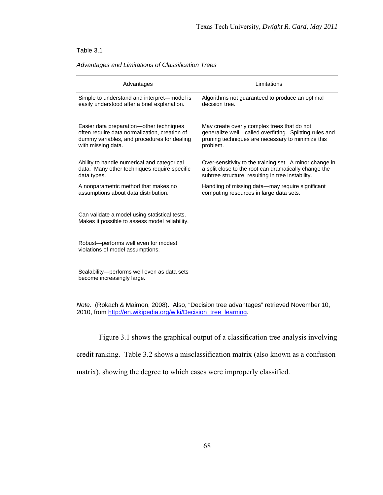#### Table 3.1

#### *Advantages and Limitations of Classification Trees*

| Advantages                                                                                      | Limitations                                             |  |
|-------------------------------------------------------------------------------------------------|---------------------------------------------------------|--|
| Simple to understand and interpret-model is                                                     | Algorithms not guaranteed to produce an optimal         |  |
| easily understood after a brief explanation.                                                    | decision tree.                                          |  |
| Easier data preparation-other techniques                                                        | May create overly complex trees that do not             |  |
| often require data normalization, creation of                                                   | generalize well-called overfitting. Splitting rules and |  |
| dummy variables, and procedures for dealing                                                     | pruning techniques are necessary to minimize this       |  |
| with missing data.                                                                              | problem.                                                |  |
| Ability to handle numerical and categorical                                                     | Over-sensitivity to the training set. A minor change in |  |
| data. Many other techniques require specific                                                    | a split close to the root can dramatically change the   |  |
| data types.                                                                                     | subtree structure, resulting in tree instability.       |  |
| A nonparametric method that makes no                                                            | Handling of missing data—may require significant        |  |
| assumptions about data distribution.                                                            | computing resources in large data sets.                 |  |
| Can validate a model using statistical tests.<br>Makes it possible to assess model reliability. |                                                         |  |
| Robust-performs well even for modest<br>violations of model assumptions.                        |                                                         |  |
| Scalability—performs well even as data sets<br>become increasingly large.                       |                                                         |  |

*Note.* (Rokach & Maimon, 2008). Also, "Decision tree advantages" retrieved November 10, 2010, from [http://en.wikipedia.org/wiki/Decision\\_tree\\_learning.](http://en.wikipedia.org/wiki/Decision_tree_learning)

Figure 3.1 shows the graphical output of a classification tree analysis involving

credit ranking. Table 3.2 shows a misclassification matrix (also known as a confusion

matrix), showing the degree to which cases were improperly classified.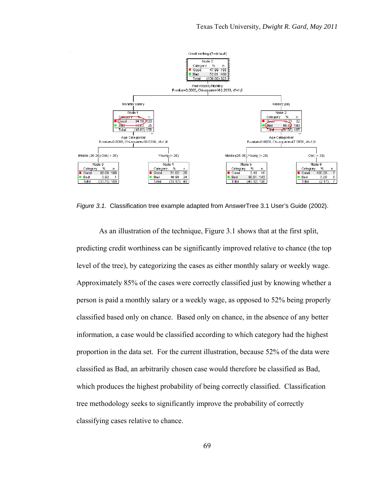

*Figure 3.1.* Classification tree example adapted from AnswerTree 3.1 User's Guide (2002).

As an illustration of the technique, Figure 3.1 shows that at the first split, predicting credit worthiness can be significantly improved relative to chance (the top level of the tree), by categorizing the cases as either monthly salary or weekly wage. Approximately 85% of the cases were correctly classified just by knowing whether a person is paid a monthly salary or a weekly wage, as opposed to 52% being properly classified based only on chance. Based only on chance, in the absence of any better information, a case would be classified according to which category had the highest proportion in the data set. For the current illustration, because 52% of the data were classified as Bad, an arbitrarily chosen case would therefore be classified as Bad, which produces the highest probability of being correctly classified. Classification tree methodology seeks to significantly improve the probability of correctly classifying cases relative to chance.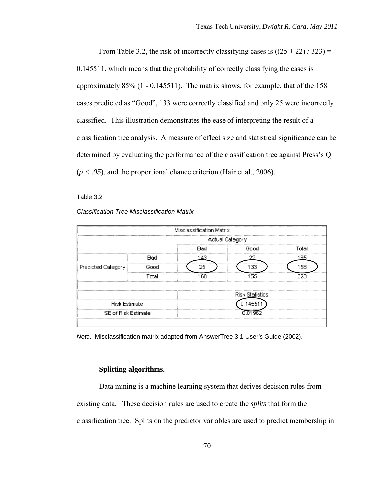From Table 3.2, the risk of incorrectly classifying cases is  $((25 + 22) / 323)$  = 0.145511, which means that the probability of correctly classifying the cases is approximately 85% (1 - 0.145511). The matrix shows, for example, that of the 158 cases predicted as "Good", 133 were correctly classified and only 25 were incorrectly classified. This illustration demonstrates the ease of interpreting the result of a classification tree analysis. A measure of effect size and statistical significance can be determined by evaluating the performance of the classification tree against Press's Q  $(p < .05)$ , and the proportional chance criterion (Hair et al., 2006).

Table 3.2

#### *Classification Tree Misclassification Matrix*

|                      |            | Misclassification Matrix |                 |       |  |  |
|----------------------|------------|--------------------------|-----------------|-------|--|--|
|                      |            |                          | Actual Category |       |  |  |
|                      |            | Blad                     | Good            | ⊺otal |  |  |
| Predicted Category   | <b>Bad</b> |                          |                 | 165   |  |  |
|                      |            | 25                       | 133             | 158   |  |  |
|                      | Total      | 68                       |                 |       |  |  |
|                      |            |                          |                 |       |  |  |
|                      |            | <b>Risk Statistics</b>   |                 |       |  |  |
| <b>Risk Estimate</b> |            |                          |                 |       |  |  |
| SE of Risk Estimate  |            |                          |                 |       |  |  |
|                      |            |                          |                 |       |  |  |

*Note*. Misclassification matrix adapted from AnswerTree 3.1 User's Guide (2002).

## **Splitting algorithms.**

Data mining is a machine learning system that derives decision rules from existing data. These decision rules are used to create the *splits* that form the classification tree. Splits on the predictor variables are used to predict membership in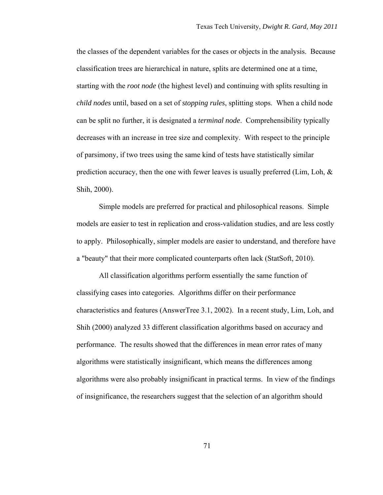the classes of the dependent variables for the cases or objects in the analysis. Because classification trees are hierarchical in nature, splits are determined one at a time, starting with the *root node* (the highest level) and continuing with splits resulting in *child nodes* until, based on a set of *stopping rules*, splitting stops. When a child node can be split no further, it is designated a *terminal node*. Comprehensibility typically decreases with an increase in tree size and complexity. With respect to the principle of parsimony, if two trees using the same kind of tests have statistically similar prediction accuracy, then the one with fewer leaves is usually preferred (Lim, Loh, & Shih, 2000).

Simple models are preferred for practical and philosophical reasons. Simple models are easier to test in replication and cross-validation studies, and are less costly to apply. Philosophically, simpler models are easier to understand, and therefore have a "beauty" that their more complicated counterparts often lack (StatSoft, 2010).

All classification algorithms perform essentially the same function of classifying cases into categories. Algorithms differ on their performance characteristics and features (AnswerTree 3.1, 2002). In a recent study, Lim, Loh, and Shih (2000) analyzed 33 different classification algorithms based on accuracy and performance. The results showed that the differences in mean error rates of many algorithms were statistically insignificant, which means the differences among algorithms were also probably insignificant in practical terms. In view of the findings of insignificance, the researchers suggest that the selection of an algorithm should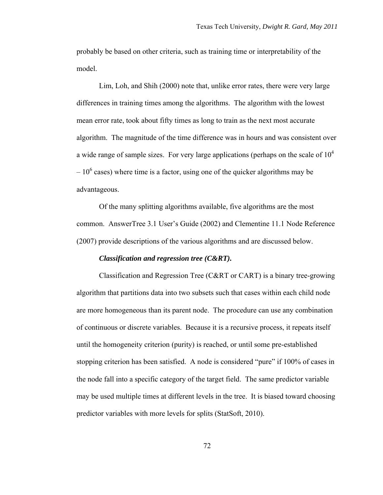probably be based on other criteria, such as training time or interpretability of the model.

Lim, Loh, and Shih (2000) note that, unlike error rates, there were very large differences in training times among the algorithms. The algorithm with the lowest mean error rate, took about fifty times as long to train as the next most accurate algorithm. The magnitude of the time difference was in hours and was consistent over a wide range of sample sizes. For very large applications (perhaps on the scale of  $10<sup>4</sup>$  $-10<sup>6</sup>$  cases) where time is a factor, using one of the quicker algorithms may be advantageous.

Of the many splitting algorithms available, five algorithms are the most common. AnswerTree 3.1 User's Guide (2002) and Clementine 11.1 Node Reference (2007) provide descriptions of the various algorithms and are discussed below.

# *Classification and regression tree (C&RT).*

Classification and Regression Tree (C&RT or CART) is a binary tree-growing algorithm that partitions data into two subsets such that cases within each child node are more homogeneous than its parent node. The procedure can use any combination of continuous or discrete variables. Because it is a recursive process, it repeats itself until the homogeneity criterion (purity) is reached, or until some pre-established stopping criterion has been satisfied. A node is considered "pure" if 100% of cases in the node fall into a specific category of the target field. The same predictor variable may be used multiple times at different levels in the tree. It is biased toward choosing predictor variables with more levels for splits (StatSoft, 2010).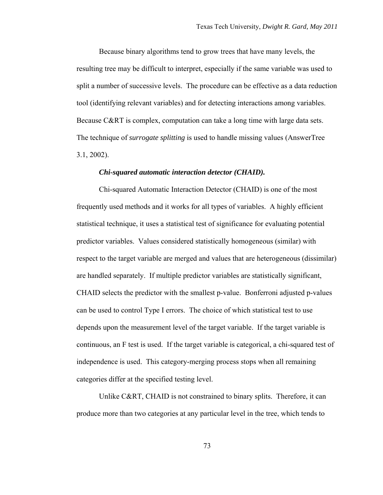Because binary algorithms tend to grow trees that have many levels, the resulting tree may be difficult to interpret, especially if the same variable was used to split a number of successive levels. The procedure can be effective as a data reduction tool (identifying relevant variables) and for detecting interactions among variables. Because C&RT is complex, computation can take a long time with large data sets. The technique of *surrogate splitting* is used to handle missing values (AnswerTree 3.1, 2002).

## *Chi-squared automatic interaction detector (CHAID).*

Chi-squared Automatic Interaction Detector (CHAID) is one of the most frequently used methods and it works for all types of variables. A highly efficient statistical technique, it uses a statistical test of significance for evaluating potential predictor variables. Values considered statistically homogeneous (similar) with respect to the target variable are merged and values that are heterogeneous (dissimilar) are handled separately. If multiple predictor variables are statistically significant, CHAID selects the predictor with the smallest p-value. Bonferroni adjusted p-values can be used to control Type I errors. The choice of which statistical test to use depends upon the measurement level of the target variable. If the target variable is continuous, an F test is used. If the target variable is categorical, a chi-squared test of independence is used. This category-merging process stops when all remaining categories differ at the specified testing level.

Unlike C&RT, CHAID is not constrained to binary splits. Therefore, it can produce more than two categories at any particular level in the tree, which tends to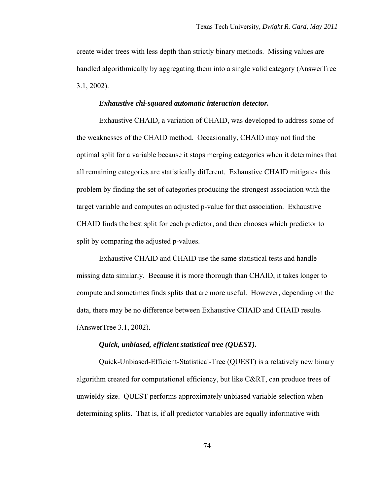create wider trees with less depth than strictly binary methods. Missing values are handled algorithmically by aggregating them into a single valid category (AnswerTree 3.1, 2002).

#### *Exhaustive chi-squared automatic interaction detector.*

Exhaustive CHAID*,* a variation of CHAID, was developed to address some of the weaknesses of the CHAID method. Occasionally, CHAID may not find the optimal split for a variable because it stops merging categories when it determines that all remaining categories are statistically different. Exhaustive CHAID mitigates this problem by finding the set of categories producing the strongest association with the target variable and computes an adjusted p-value for that association. Exhaustive CHAID finds the best split for each predictor, and then chooses which predictor to split by comparing the adjusted p-values.

Exhaustive CHAID and CHAID use the same statistical tests and handle missing data similarly. Because it is more thorough than CHAID, it takes longer to compute and sometimes finds splits that are more useful. However, depending on the data, there may be no difference between Exhaustive CHAID and CHAID results (AnswerTree 3.1, 2002).

# *Quick, unbiased, efficient statistical tree (QUEST).*

Quick-Unbiased-Efficient-Statistical-Tree (QUEST) is a relatively new binary algorithm created for computational efficiency, but like C&RT, can produce trees of unwieldy size. QUEST performs approximately unbiased variable selection when determining splits. That is, if all predictor variables are equally informative with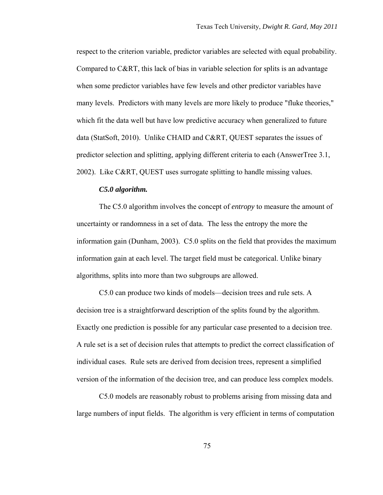respect to the criterion variable, predictor variables are selected with equal probability. Compared to C&RT, this lack of bias in variable selection for splits is an advantage when some predictor variables have few levels and other predictor variables have many levels. Predictors with many levels are more likely to produce "fluke theories," which fit the data well but have low predictive accuracy when generalized to future data (StatSoft, 2010). Unlike CHAID and C&RT, QUEST separates the issues of predictor selection and splitting, applying different criteria to each (AnswerTree 3.1, 2002). Like C&RT, QUEST uses surrogate splitting to handle missing values.

## *C5.0 algorithm.*

The C5.0 algorithm involves the concept of *entropy* to measure the amount of uncertainty or randomness in a set of data. The less the entropy the more the information gain (Dunham, 2003). C5.0 splits on the field that provides the maximum information gain at each level. The target field must be categorical. Unlike binary algorithms, splits into more than two subgroups are allowed.

C5.0 can produce two kinds of models—decision trees and rule sets. A decision tree is a straightforward description of the splits found by the algorithm. Exactly one prediction is possible for any particular case presented to a decision tree. A rule set is a set of decision rules that attempts to predict the correct classification of individual cases. Rule sets are derived from decision trees, represent a simplified version of the information of the decision tree, and can produce less complex models.

C5.0 models are reasonably robust to problems arising from missing data and large numbers of input fields. The algorithm is very efficient in terms of computation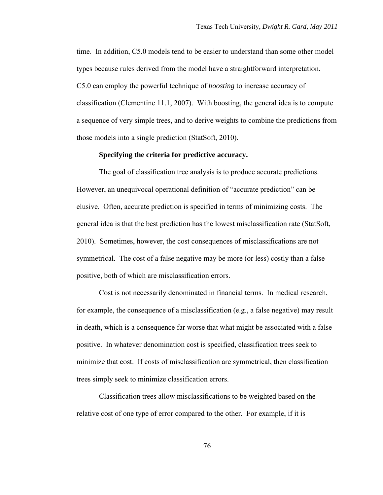time. In addition, C5.0 models tend to be easier to understand than some other model types because rules derived from the model have a straightforward interpretation. C5.0 can employ the powerful technique of *boosting* to increase accuracy of classification (Clementine 11.1, 2007). With boosting, the general idea is to compute a sequence of very simple trees, and to derive weights to combine the predictions from those models into a single prediction (StatSoft, 2010).

## **Specifying the criteria for predictive accuracy.**

The goal of classification tree analysis is to produce accurate predictions. However, an unequivocal operational definition of "accurate prediction" can be elusive. Often, accurate prediction is specified in terms of minimizing costs. The general idea is that the best prediction has the lowest misclassification rate (StatSoft, 2010). Sometimes, however, the cost consequences of misclassifications are not symmetrical. The cost of a false negative may be more (or less) costly than a false positive, both of which are misclassification errors.

Cost is not necessarily denominated in financial terms. In medical research, for example, the consequence of a misclassification (e.g., a false negative) may result in death, which is a consequence far worse that what might be associated with a false positive. In whatever denomination cost is specified, classification trees seek to minimize that cost. If costs of misclassification are symmetrical, then classification trees simply seek to minimize classification errors.

Classification trees allow misclassifications to be weighted based on the relative cost of one type of error compared to the other. For example, if it is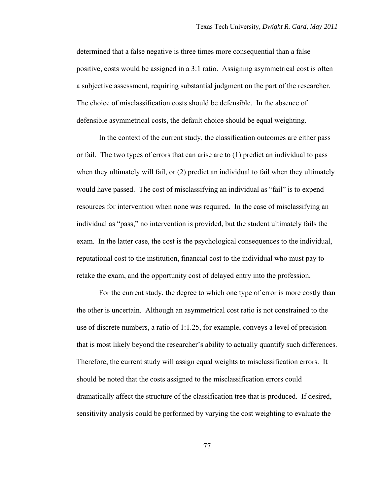determined that a false negative is three times more consequential than a false positive, costs would be assigned in a 3:1 ratio. Assigning asymmetrical cost is often a subjective assessment, requiring substantial judgment on the part of the researcher. The choice of misclassification costs should be defensible. In the absence of defensible asymmetrical costs, the default choice should be equal weighting.

In the context of the current study, the classification outcomes are either pass or fail. The two types of errors that can arise are to (1) predict an individual to pass when they ultimately will fail, or  $(2)$  predict an individual to fail when they ultimately would have passed. The cost of misclassifying an individual as "fail" is to expend resources for intervention when none was required. In the case of misclassifying an individual as "pass," no intervention is provided, but the student ultimately fails the exam. In the latter case, the cost is the psychological consequences to the individual, reputational cost to the institution, financial cost to the individual who must pay to retake the exam, and the opportunity cost of delayed entry into the profession.

For the current study, the degree to which one type of error is more costly than the other is uncertain. Although an asymmetrical cost ratio is not constrained to the use of discrete numbers, a ratio of 1:1.25, for example, conveys a level of precision that is most likely beyond the researcher's ability to actually quantify such differences. Therefore, the current study will assign equal weights to misclassification errors. It should be noted that the costs assigned to the misclassification errors could dramatically affect the structure of the classification tree that is produced. If desired, sensitivity analysis could be performed by varying the cost weighting to evaluate the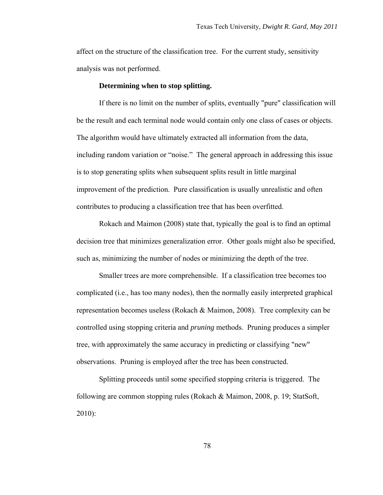affect on the structure of the classification tree. For the current study, sensitivity analysis was not performed.

# **Determining when to stop splitting.**

If there is no limit on the number of splits, eventually "pure" classification will be the result and each terminal node would contain only one class of cases or objects. The algorithm would have ultimately extracted all information from the data, including random variation or "noise." The general approach in addressing this issue is to stop generating splits when subsequent splits result in little marginal improvement of the prediction. Pure classification is usually unrealistic and often contributes to producing a classification tree that has been overfitted.

Rokach and Maimon (2008) state that, typically the goal is to find an optimal decision tree that minimizes generalization error. Other goals might also be specified, such as, minimizing the number of nodes or minimizing the depth of the tree.

Smaller trees are more comprehensible. If a classification tree becomes too complicated (i.e., has too many nodes), then the normally easily interpreted graphical representation becomes useless (Rokach & Maimon, 2008). Tree complexity can be controlled using stopping criteria and *pruning* methods. Pruning produces a simpler tree, with approximately the same accuracy in predicting or classifying "new" observations. Pruning is employed after the tree has been constructed.

Splitting proceeds until some specified stopping criteria is triggered. The following are common stopping rules (Rokach & Maimon, 2008, p. 19; StatSoft, 2010):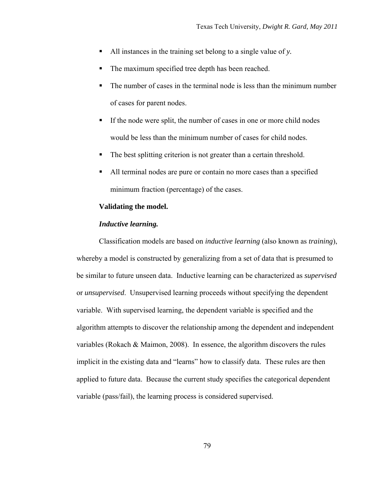- All instances in the training set belong to a single value of *y.*
- The maximum specified tree depth has been reached.
- The number of cases in the terminal node is less than the minimum number of cases for parent nodes.
- If the node were split, the number of cases in one or more child nodes would be less than the minimum number of cases for child nodes.
- The best splitting criterion is not greater than a certain threshold.
- All terminal nodes are pure or contain no more cases than a specified minimum fraction (percentage) of the cases.

# **Validating the model.**

# *Inductive learning.*

Classification models are based on *inductive learning* (also known as *training*), whereby a model is constructed by generalizing from a set of data that is presumed to be similar to future unseen data. Inductive learning can be characterized as *supervised* or *unsupervised*. Unsupervised learning proceeds without specifying the dependent variable. With supervised learning, the dependent variable is specified and the algorithm attempts to discover the relationship among the dependent and independent variables (Rokach & Maimon, 2008). In essence, the algorithm discovers the rules implicit in the existing data and "learns" how to classify data. These rules are then applied to future data. Because the current study specifies the categorical dependent variable (pass/fail), the learning process is considered supervised.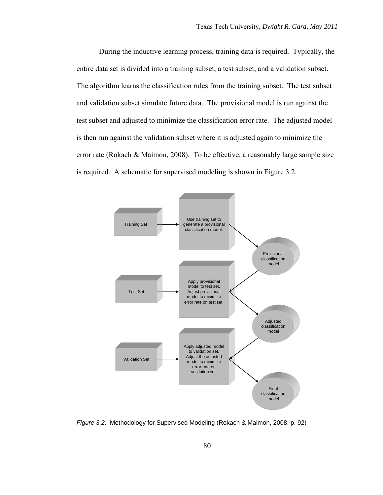During the inductive learning process, training data is required. Typically, the entire data set is divided into a training subset, a test subset, and a validation subset. The algorithm learns the classification rules from the training subset. The test subset and validation subset simulate future data. The provisional model is run against the test subset and adjusted to minimize the classification error rate. The adjusted model is then run against the validation subset where it is adjusted again to minimize the error rate (Rokach & Maimon, 2008). To be effective, a reasonably large sample size is required. A schematic for supervised modeling is shown in Figure 3.2.



*Figure 3.2*. Methodology for Supervised Modeling (Rokach & Maimon, 2008, p. 92)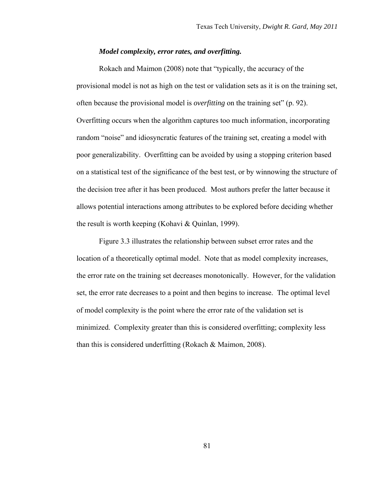# *Model complexity, error rates, and overfitting.*

Rokach and Maimon (2008) note that "typically, the accuracy of the provisional model is not as high on the test or validation sets as it is on the training set, often because the provisional model is *overfitting* on the training set" (p. 92). Overfitting occurs when the algorithm captures too much information, incorporating random "noise" and idiosyncratic features of the training set, creating a model with poor generalizability. Overfitting can be avoided by using a stopping criterion based on a statistical test of the significance of the best test, or by winnowing the structure of the decision tree after it has been produced. Most authors prefer the latter because it allows potential interactions among attributes to be explored before deciding whether the result is worth keeping (Kohavi & Quinlan, 1999).

Figure 3.3 illustrates the relationship between subset error rates and the location of a theoretically optimal model. Note that as model complexity increases, the error rate on the training set decreases monotonically. However, for the validation set, the error rate decreases to a point and then begins to increase. The optimal level of model complexity is the point where the error rate of the validation set is minimized. Complexity greater than this is considered overfitting; complexity less than this is considered underfitting (Rokach & Maimon, 2008).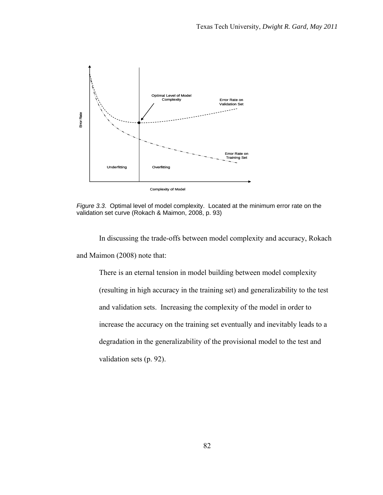

*Figure 3.3*. Optimal level of model complexity. Located at the minimum error rate on the validation set curve (Rokach & Maimon, 2008, p. 93)

 In discussing the trade-offs between model complexity and accuracy, Rokach and Maimon (2008) note that:

There is an eternal tension in model building between model complexity (resulting in high accuracy in the training set) and generalizability to the test and validation sets. Increasing the complexity of the model in order to increase the accuracy on the training set eventually and inevitably leads to a degradation in the generalizability of the provisional model to the test and validation sets (p. 92).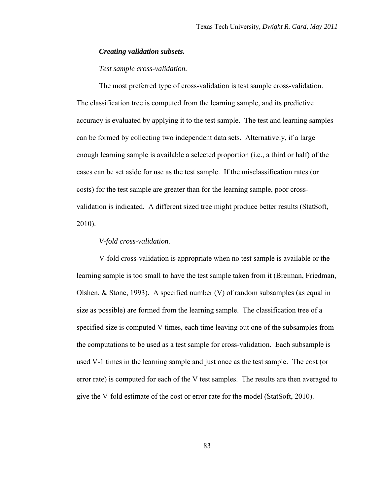## *Creating validation subsets.*

# *Test sample cross-validation.*

The most preferred type of cross-validation is test sample cross-validation. The classification tree is computed from the learning sample, and its predictive accuracy is evaluated by applying it to the test sample. The test and learning samples can be formed by collecting two independent data sets. Alternatively, if a large enough learning sample is available a selected proportion (i.e., a third or half) of the cases can be set aside for use as the test sample. If the misclassification rates (or costs) for the test sample are greater than for the learning sample, poor crossvalidation is indicated. A different sized tree might produce better results (StatSoft, 2010).

# *V-fold cross-validation.*

V-fold cross-validation is appropriate when no test sample is available or the learning sample is too small to have the test sample taken from it (Breiman, Friedman, Olshen,  $&$  Stone, 1993). A specified number  $(V)$  of random subsamples (as equal in size as possible) are formed from the learning sample. The classification tree of a specified size is computed V times, each time leaving out one of the subsamples from the computations to be used as a test sample for cross-validation. Each subsample is used V-1 times in the learning sample and just once as the test sample. The cost (or error rate) is computed for each of the V test samples. The results are then averaged to give the V-fold estimate of the cost or error rate for the model (StatSoft, 2010).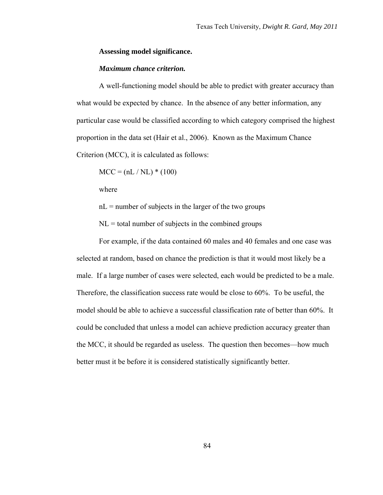## **Assessing model significance.**

# *Maximum chance criterion.*

A well-functioning model should be able to predict with greater accuracy than what would be expected by chance. In the absence of any better information, any particular case would be classified according to which category comprised the highest proportion in the data set (Hair et al., 2006). Known as the Maximum Chance Criterion (MCC), it is calculated as follows:

$$
MCC = (nL / NL) * (100)
$$

where

 $nL$  = number of subjects in the larger of the two groups

 $NL =$  total number of subjects in the combined groups

For example, if the data contained 60 males and 40 females and one case was selected at random, based on chance the prediction is that it would most likely be a male. If a large number of cases were selected, each would be predicted to be a male. Therefore, the classification success rate would be close to 60%. To be useful, the model should be able to achieve a successful classification rate of better than 60%. It could be concluded that unless a model can achieve prediction accuracy greater than the MCC, it should be regarded as useless. The question then becomes—how much better must it be before it is considered statistically significantly better.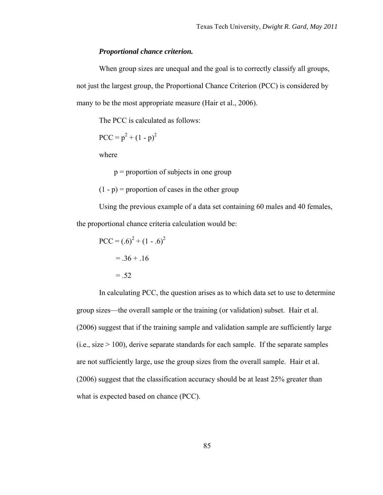### *Proportional chance criterion.*

When group sizes are unequal and the goal is to correctly classify all groups, not just the largest group, the Proportional Chance Criterion (PCC) is considered by many to be the most appropriate measure (Hair et al., 2006).

The PCC is calculated as follows:

$$
PCC = p^2 + (1 - p)^2
$$

where

p = proportion of subjects in one group

 $(1 - p)$  = proportion of cases in the other group

Using the previous example of a data set containing 60 males and 40 females, the proportional chance criteria calculation would be:

$$
PCC = (.6)2 + (1 - .6)2
$$
  
= .36 + .16  
= .52

In calculating PCC, the question arises as to which data set to use to determine group sizes—the overall sample or the training (or validation) subset. Hair et al. (2006) suggest that if the training sample and validation sample are sufficiently large  $(i.e., size > 100)$ , derive separate standards for each sample. If the separate samples are not sufficiently large, use the group sizes from the overall sample. Hair et al. (2006) suggest that the classification accuracy should be at least 25% greater than what is expected based on chance (PCC).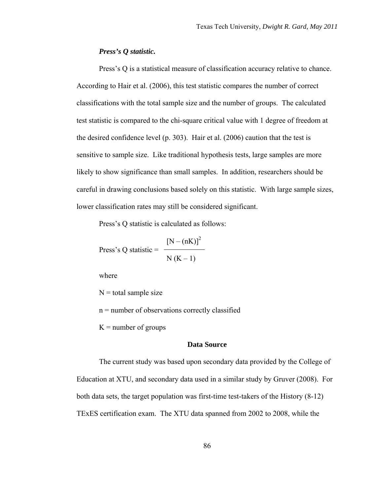## *Press's Q statistic.*

Press's Q is a statistical measure of classification accuracy relative to chance. According to Hair et al. (2006), this test statistic compares the number of correct classifications with the total sample size and the number of groups. The calculated test statistic is compared to the chi-square critical value with 1 degree of freedom at the desired confidence level (p. 303). Hair et al. (2006) caution that the test is sensitive to sample size. Like traditional hypothesis tests, large samples are more likely to show significance than small samples. In addition, researchers should be careful in drawing conclusions based solely on this statistic. With large sample sizes, lower classification rates may still be considered significant.

Press's Q statistic is calculated as follows:

Press's Q statistic = 
$$
\frac{[N - (nK)]^2}{N (K-1)}
$$

where

 $N =$ total sample size

n = number of observations correctly classified

 $K =$  number of groups

# **Data Source**

The current study was based upon secondary data provided by the College of Education at XTU, and secondary data used in a similar study by Gruver (2008). For both data sets, the target population was first-time test-takers of the History (8-12) TExES certification exam. The XTU data spanned from 2002 to 2008, while the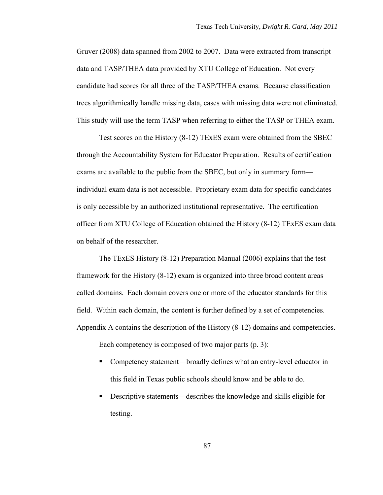Gruver (2008) data spanned from 2002 to 2007. Data were extracted from transcript data and TASP/THEA data provided by XTU College of Education. Not every candidate had scores for all three of the TASP/THEA exams. Because classification trees algorithmically handle missing data, cases with missing data were not eliminated. This study will use the term TASP when referring to either the TASP or THEA exam.

Test scores on the History (8-12) TExES exam were obtained from the SBEC through the Accountability System for Educator Preparation. Results of certification exams are available to the public from the SBEC, but only in summary form individual exam data is not accessible. Proprietary exam data for specific candidates is only accessible by an authorized institutional representative. The certification officer from XTU College of Education obtained the History (8-12) TExES exam data on behalf of the researcher.

The TExES History (8-12) Preparation Manual (2006) explains that the test framework for the History (8-12) exam is organized into three broad content areas called domains. Each domain covers one or more of the educator standards for this field. Within each domain, the content is further defined by a set of competencies. Appendix A contains the description of the History (8-12) domains and competencies.

Each competency is composed of two major parts (p. 3):

- Competency statement—broadly defines what an entry-level educator in this field in Texas public schools should know and be able to do.
- Descriptive statements—describes the knowledge and skills eligible for testing.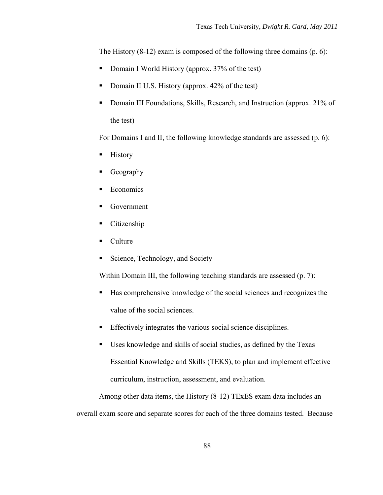The History (8-12) exam is composed of the following three domains (p. 6):

- Domain I World History (approx. 37% of the test)
- Domain II U.S. History (approx.  $42\%$  of the test)
- Domain III Foundations, Skills, Research, and Instruction (approx. 21% of the test)

For Domains I and II, the following knowledge standards are assessed (p. 6):

- **History**
- Geography
- **Economics**
- Government
- Citizenship
- Culture
- Science, Technology, and Society

Within Domain III, the following teaching standards are assessed (p. 7):

- Has comprehensive knowledge of the social sciences and recognizes the value of the social sciences.
- Effectively integrates the various social science disciplines.
- Uses knowledge and skills of social studies, as defined by the Texas Essential Knowledge and Skills (TEKS), to plan and implement effective curriculum, instruction, assessment, and evaluation.

Among other data items, the History (8-12) TExES exam data includes an overall exam score and separate scores for each of the three domains tested. Because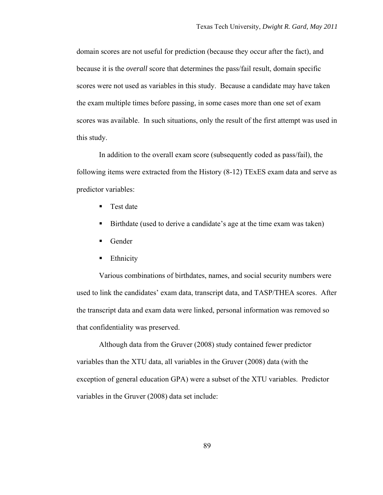domain scores are not useful for prediction (because they occur after the fact), and because it is the *overall* score that determines the pass/fail result, domain specific scores were not used as variables in this study. Because a candidate may have taken the exam multiple times before passing, in some cases more than one set of exam scores was available. In such situations, only the result of the first attempt was used in this study.

In addition to the overall exam score (subsequently coded as pass/fail), the following items were extracted from the History (8-12) TExES exam data and serve as predictor variables:

- **Test date**
- Birthdate (used to derive a candidate's age at the time exam was taken)
- Gender
- **Ethnicity**

Various combinations of birthdates, names, and social security numbers were used to link the candidates' exam data, transcript data, and TASP/THEA scores. After the transcript data and exam data were linked, personal information was removed so that confidentiality was preserved.

Although data from the Gruver (2008) study contained fewer predictor variables than the XTU data, all variables in the Gruver (2008) data (with the exception of general education GPA) were a subset of the XTU variables. Predictor variables in the Gruver (2008) data set include: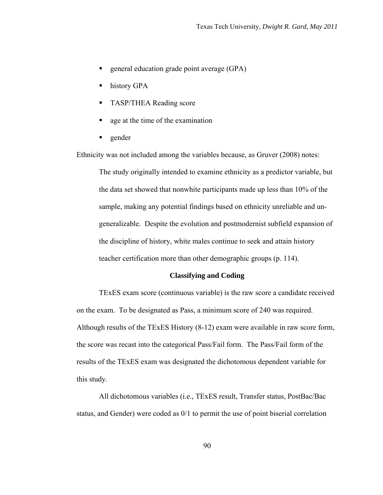- **general education grade point average (GPA)**
- **history GPA**
- **TASP/THEA Reading score**
- que at the time of the examination
- **gender**

Ethnicity was not included among the variables because, as Gruver (2008) notes:

The study originally intended to examine ethnicity as a predictor variable, but the data set showed that nonwhite participants made up less than 10% of the sample, making any potential findings based on ethnicity unreliable and ungeneralizable. Despite the evolution and postmodernist subfield expansion of the discipline of history, white males continue to seek and attain history teacher certification more than other demographic groups (p. 114).

#### **Classifying and Coding**

TExES exam score (continuous variable) is the raw score a candidate received on the exam. To be designated as Pass, a minimum score of 240 was required. Although results of the TExES History (8-12) exam were available in raw score form, the score was recast into the categorical Pass/Fail form. The Pass/Fail form of the results of the TExES exam was designated the dichotomous dependent variable for this study.

All dichotomous variables (i.e., TExES result, Transfer status, PostBac/Bac status, and Gender) were coded as 0/1 to permit the use of point biserial correlation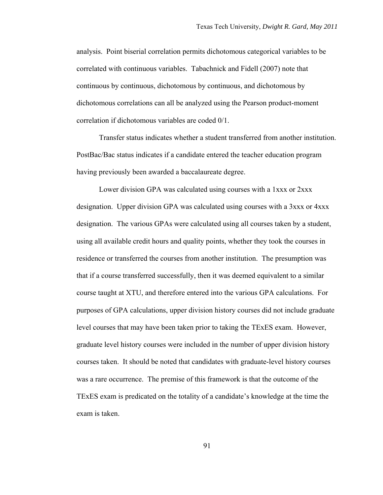analysis. Point biserial correlation permits dichotomous categorical variables to be correlated with continuous variables. Tabachnick and Fidell (2007) note that continuous by continuous, dichotomous by continuous, and dichotomous by dichotomous correlations can all be analyzed using the Pearson product-moment correlation if dichotomous variables are coded 0/1.

Transfer status indicates whether a student transferred from another institution. PostBac/Bac status indicates if a candidate entered the teacher education program having previously been awarded a baccalaureate degree.

Lower division GPA was calculated using courses with a 1xxx or 2xxx designation. Upper division GPA was calculated using courses with a 3xxx or 4xxx designation. The various GPAs were calculated using all courses taken by a student, using all available credit hours and quality points, whether they took the courses in residence or transferred the courses from another institution. The presumption was that if a course transferred successfully, then it was deemed equivalent to a similar course taught at XTU, and therefore entered into the various GPA calculations. For purposes of GPA calculations, upper division history courses did not include graduate level courses that may have been taken prior to taking the TExES exam. However, graduate level history courses were included in the number of upper division history courses taken. It should be noted that candidates with graduate-level history courses was a rare occurrence. The premise of this framework is that the outcome of the TExES exam is predicated on the totality of a candidate's knowledge at the time the exam is taken.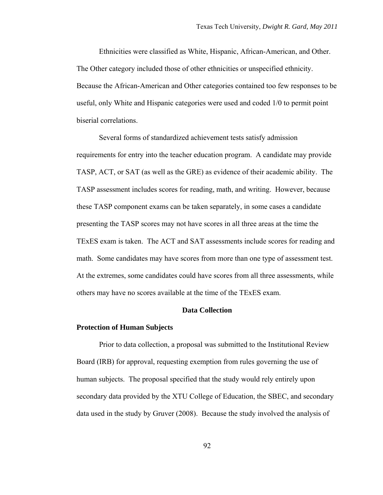Ethnicities were classified as White, Hispanic, African-American, and Other. The Other category included those of other ethnicities or unspecified ethnicity. Because the African-American and Other categories contained too few responses to be useful, only White and Hispanic categories were used and coded 1/0 to permit point biserial correlations.

Several forms of standardized achievement tests satisfy admission requirements for entry into the teacher education program. A candidate may provide TASP, ACT, or SAT (as well as the GRE) as evidence of their academic ability. The TASP assessment includes scores for reading, math, and writing. However, because these TASP component exams can be taken separately, in some cases a candidate presenting the TASP scores may not have scores in all three areas at the time the TExES exam is taken. The ACT and SAT assessments include scores for reading and math. Some candidates may have scores from more than one type of assessment test. At the extremes, some candidates could have scores from all three assessments, while others may have no scores available at the time of the TExES exam.

# **Data Collection**

#### **Protection of Human Subjects**

Prior to data collection, a proposal was submitted to the Institutional Review Board (IRB) for approval, requesting exemption from rules governing the use of human subjects. The proposal specified that the study would rely entirely upon secondary data provided by the XTU College of Education, the SBEC, and secondary data used in the study by Gruver (2008). Because the study involved the analysis of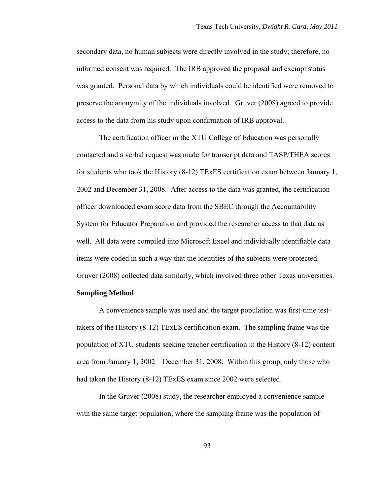secondary data, no human subjects were directly involved in the study; therefore, no informed consent was required. The IRB approved the proposal and exempt status was granted. Personal data by which individuals could be identified were removed to preserve the anonymity of the individuals involved. Gruver (2008) agreed to provide access to the data from his study upon confirmation of IRB approval.

The certification officer in the XTU College of Education was personally contacted and a verbal request was made for transcript data and TASP/THEA scores for students who took the History (8-12) TExES certification exam between January 1, 2002 and December 31, 2008. After access to the data was granted, the certification officer downloaded exam score data from the SBEC through the Accountability System for Educator Preparation and provided the researcher access to that data as well. All data were compiled into Microsoft Excel and individually identifiable data items were coded in such a way that the identities of the subjects were protected. Gruver (2008) collected data similarly, which involved three other Texas universities.

# **Sampling Method**

A convenience sample was used and the target population was first-time testtakers of the History (8-12) TExES certification exam. The sampling frame was the population of XTU students seeking teacher certification in the History (8-12) content area from January 1, 2002 – December 31, 2008. Within this group, only those who had taken the History (8-12) TExES exam since 2002 were selected.

In the Gruver (2008) study, the researcher employed a convenience sample with the same target population, where the sampling frame was the population of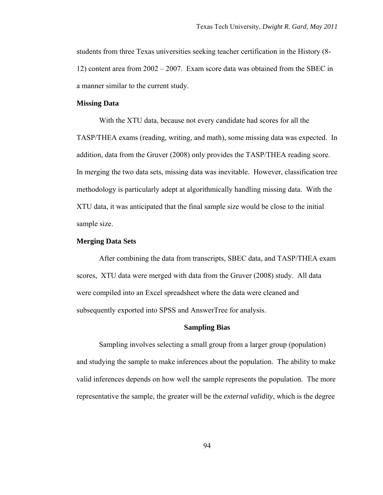students from three Texas universities seeking teacher certification in the History (8- 12) content area from 2002 – 2007. Exam score data was obtained from the SBEC in a manner similar to the current study.

### **Missing Data**

With the XTU data, because not every candidate had scores for all the TASP/THEA exams (reading, writing, and math), some missing data was expected. In addition, data from the Gruver (2008) only provides the TASP/THEA reading score. In merging the two data sets, missing data was inevitable. However, classification tree methodology is particularly adept at algorithmically handling missing data. With the XTU data, it was anticipated that the final sample size would be close to the initial sample size.

# **Merging Data Sets**

After combining the data from transcripts, SBEC data, and TASP/THEA exam scores, XTU data were merged with data from the Gruver (2008) study. All data were compiled into an Excel spreadsheet where the data were cleaned and subsequently exported into SPSS and AnswerTree for analysis.

#### **Sampling Bias**

Sampling involves selecting a small group from a larger group (population) and studying the sample to make inferences about the population. The ability to make valid inferences depends on how well the sample represents the population. The more representative the sample, the greater will be the *external validity*, which is the degree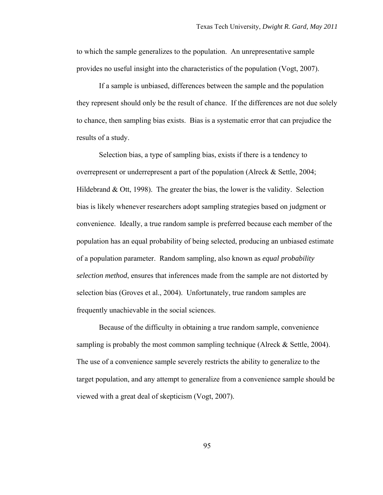to which the sample generalizes to the population. An unrepresentative sample provides no useful insight into the characteristics of the population (Vogt, 2007).

If a sample is unbiased, differences between the sample and the population they represent should only be the result of chance. If the differences are not due solely to chance, then sampling bias exists. Bias is a systematic error that can prejudice the results of a study.

Selection bias, a type of sampling bias, exists if there is a tendency to overrepresent or underrepresent a part of the population (Alreck & Settle, 2004; Hildebrand  $&$  Ott, 1998). The greater the bias, the lower is the validity. Selection bias is likely whenever researchers adopt sampling strategies based on judgment or convenience. Ideally, a true random sample is preferred because each member of the population has an equal probability of being selected, producing an unbiased estimate of a population parameter. Random sampling, also known as *equal probability selection method*, ensures that inferences made from the sample are not distorted by selection bias (Groves et al., 2004). Unfortunately, true random samples are frequently unachievable in the social sciences.

Because of the difficulty in obtaining a true random sample, convenience sampling is probably the most common sampling technique (Alreck  $& Settle, 2004$ ). The use of a convenience sample severely restricts the ability to generalize to the target population, and any attempt to generalize from a convenience sample should be viewed with a great deal of skepticism (Vogt, 2007).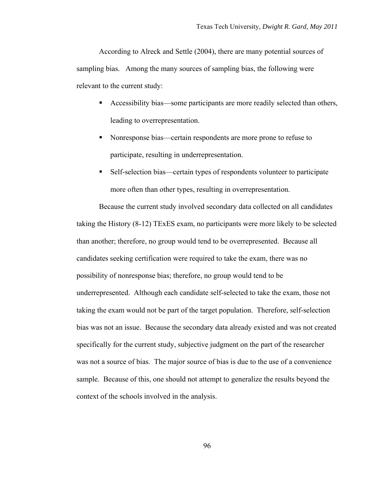According to Alreck and Settle (2004), there are many potential sources of sampling bias. Among the many sources of sampling bias, the following were relevant to the current study:

- Accessibility bias—some participants are more readily selected than others, leading to overrepresentation.
- Nonresponse bias—certain respondents are more prone to refuse to participate, resulting in underrepresentation.
- Self-selection bias—certain types of respondents volunteer to participate more often than other types, resulting in overrepresentation.

Because the current study involved secondary data collected on all candidates taking the History (8-12) TExES exam, no participants were more likely to be selected than another; therefore, no group would tend to be overrepresented. Because all candidates seeking certification were required to take the exam, there was no possibility of nonresponse bias; therefore, no group would tend to be underrepresented. Although each candidate self-selected to take the exam, those not taking the exam would not be part of the target population. Therefore, self-selection bias was not an issue. Because the secondary data already existed and was not created specifically for the current study, subjective judgment on the part of the researcher was not a source of bias. The major source of bias is due to the use of a convenience sample. Because of this, one should not attempt to generalize the results beyond the context of the schools involved in the analysis.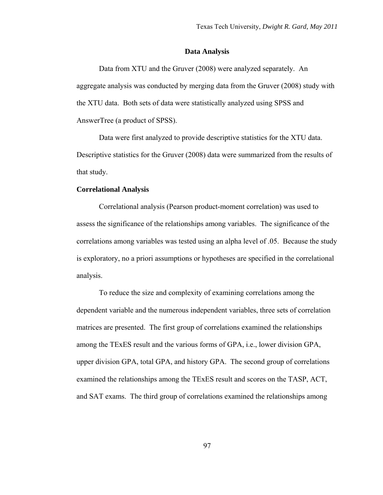#### **Data Analysis**

Data from XTU and the Gruver (2008) were analyzed separately. An aggregate analysis was conducted by merging data from the Gruver (2008) study with the XTU data. Both sets of data were statistically analyzed using SPSS and AnswerTree (a product of SPSS).

Data were first analyzed to provide descriptive statistics for the XTU data. Descriptive statistics for the Gruver (2008) data were summarized from the results of that study.

# **Correlational Analysis**

Correlational analysis (Pearson product-moment correlation) was used to assess the significance of the relationships among variables. The significance of the correlations among variables was tested using an alpha level of .05. Because the study is exploratory, no a priori assumptions or hypotheses are specified in the correlational analysis.

To reduce the size and complexity of examining correlations among the dependent variable and the numerous independent variables, three sets of correlation matrices are presented. The first group of correlations examined the relationships among the TExES result and the various forms of GPA, i.e., lower division GPA, upper division GPA, total GPA, and history GPA. The second group of correlations examined the relationships among the TExES result and scores on the TASP, ACT, and SAT exams. The third group of correlations examined the relationships among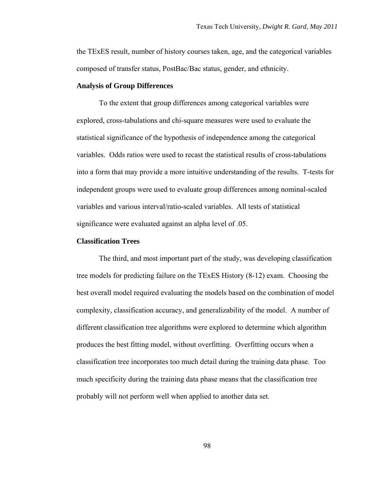the TExES result, number of history courses taken, age, and the categorical variables composed of transfer status, PostBac/Bac status, gender, and ethnicity.

## **Analysis of Group Differences**

To the extent that group differences among categorical variables were explored, cross-tabulations and chi-square measures were used to evaluate the statistical significance of the hypothesis of independence among the categorical variables. Odds ratios were used to recast the statistical results of cross-tabulations into a form that may provide a more intuitive understanding of the results. T-tests for independent groups were used to evaluate group differences among nominal-scaled variables and various interval/ratio-scaled variables. All tests of statistical significance were evaluated against an alpha level of .05.

## **Classification Trees**

The third, and most important part of the study, was developing classification tree models for predicting failure on the TExES History (8-12) exam. Choosing the best overall model required evaluating the models based on the combination of model complexity, classification accuracy, and generalizability of the model. A number of different classification tree algorithms were explored to determine which algorithm produces the best fitting model, without overfitting. Overfitting occurs when a classification tree incorporates too much detail during the training data phase. Too much specificity during the training data phase means that the classification tree probably will not perform well when applied to another data set.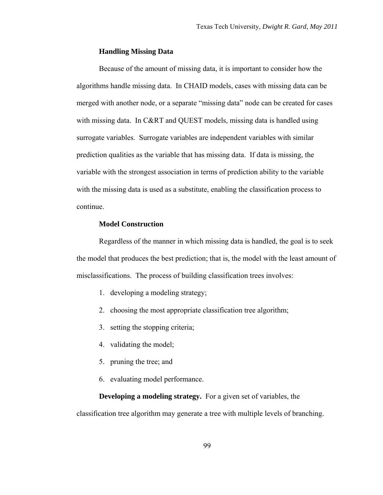## **Handling Missing Data**

Because of the amount of missing data, it is important to consider how the algorithms handle missing data. In CHAID models, cases with missing data can be merged with another node, or a separate "missing data" node can be created for cases with missing data. In C&RT and QUEST models, missing data is handled using surrogate variables. Surrogate variables are independent variables with similar prediction qualities as the variable that has missing data. If data is missing, the variable with the strongest association in terms of prediction ability to the variable with the missing data is used as a substitute, enabling the classification process to continue.

# **Model Construction**

Regardless of the manner in which missing data is handled, the goal is to seek the model that produces the best prediction; that is, the model with the least amount of misclassifications. The process of building classification trees involves:

- 1. developing a modeling strategy;
- 2. choosing the most appropriate classification tree algorithm;
- 3. setting the stopping criteria;
- 4. validating the model;
- 5. pruning the tree; and
- 6. evaluating model performance.

**Developing a modeling strategy.** For a given set of variables, the

classification tree algorithm may generate a tree with multiple levels of branching.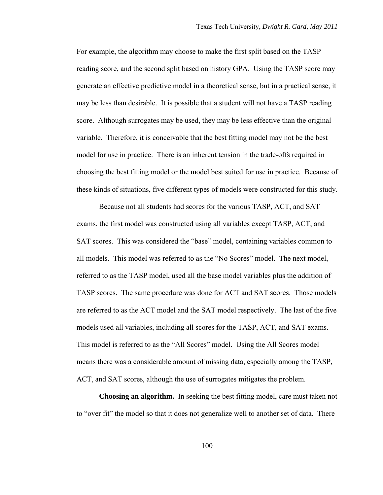For example, the algorithm may choose to make the first split based on the TASP reading score, and the second split based on history GPA. Using the TASP score may generate an effective predictive model in a theoretical sense, but in a practical sense, it may be less than desirable. It is possible that a student will not have a TASP reading score. Although surrogates may be used, they may be less effective than the original variable. Therefore, it is conceivable that the best fitting model may not be the best model for use in practice. There is an inherent tension in the trade-offs required in choosing the best fitting model or the model best suited for use in practice. Because of these kinds of situations, five different types of models were constructed for this study.

Because not all students had scores for the various TASP, ACT, and SAT exams, the first model was constructed using all variables except TASP, ACT, and SAT scores. This was considered the "base" model, containing variables common to all models. This model was referred to as the "No Scores" model. The next model, referred to as the TASP model, used all the base model variables plus the addition of TASP scores. The same procedure was done for ACT and SAT scores. Those models are referred to as the ACT model and the SAT model respectively. The last of the five models used all variables, including all scores for the TASP, ACT, and SAT exams. This model is referred to as the "All Scores" model. Using the All Scores model means there was a considerable amount of missing data, especially among the TASP, ACT, and SAT scores, although the use of surrogates mitigates the problem.

**Choosing an algorithm.** In seeking the best fitting model, care must taken not to "over fit" the model so that it does not generalize well to another set of data. There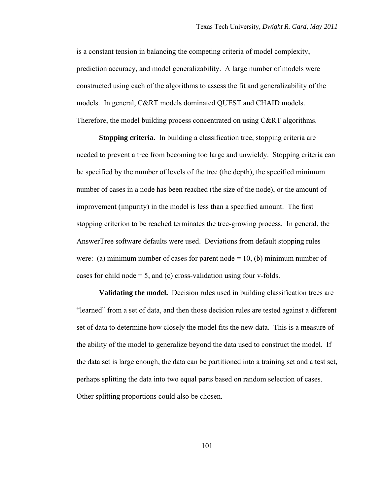is a constant tension in balancing the competing criteria of model complexity, prediction accuracy, and model generalizability. A large number of models were constructed using each of the algorithms to assess the fit and generalizability of the models. In general, C&RT models dominated QUEST and CHAID models. Therefore, the model building process concentrated on using C&RT algorithms.

**Stopping criteria.** In building a classification tree, stopping criteria are needed to prevent a tree from becoming too large and unwieldy. Stopping criteria can be specified by the number of levels of the tree (the depth), the specified minimum number of cases in a node has been reached (the size of the node), or the amount of improvement (impurity) in the model is less than a specified amount. The first stopping criterion to be reached terminates the tree-growing process. In general, the AnswerTree software defaults were used. Deviations from default stopping rules were: (a) minimum number of cases for parent node  $= 10$ , (b) minimum number of cases for child node  $= 5$ , and (c) cross-validation using four v-folds.

**Validating the model.** Decision rules used in building classification trees are "learned" from a set of data, and then those decision rules are tested against a different set of data to determine how closely the model fits the new data. This is a measure of the ability of the model to generalize beyond the data used to construct the model. If the data set is large enough, the data can be partitioned into a training set and a test set, perhaps splitting the data into two equal parts based on random selection of cases. Other splitting proportions could also be chosen.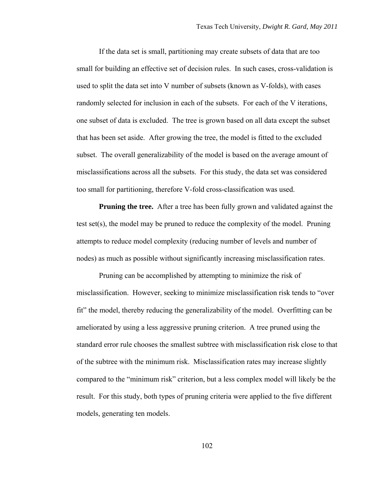If the data set is small, partitioning may create subsets of data that are too small for building an effective set of decision rules. In such cases, cross-validation is used to split the data set into V number of subsets (known as V-folds), with cases randomly selected for inclusion in each of the subsets. For each of the V iterations, one subset of data is excluded. The tree is grown based on all data except the subset that has been set aside. After growing the tree, the model is fitted to the excluded subset. The overall generalizability of the model is based on the average amount of misclassifications across all the subsets. For this study, the data set was considered too small for partitioning, therefore V-fold cross-classification was used.

**Pruning the tree.** After a tree has been fully grown and validated against the test set(s), the model may be pruned to reduce the complexity of the model. Pruning attempts to reduce model complexity (reducing number of levels and number of nodes) as much as possible without significantly increasing misclassification rates.

Pruning can be accomplished by attempting to minimize the risk of misclassification. However, seeking to minimize misclassification risk tends to "over fit" the model, thereby reducing the generalizability of the model. Overfitting can be ameliorated by using a less aggressive pruning criterion. A tree pruned using the standard error rule chooses the smallest subtree with misclassification risk close to that of the subtree with the minimum risk. Misclassification rates may increase slightly compared to the "minimum risk" criterion, but a less complex model will likely be the result. For this study, both types of pruning criteria were applied to the five different models, generating ten models.

102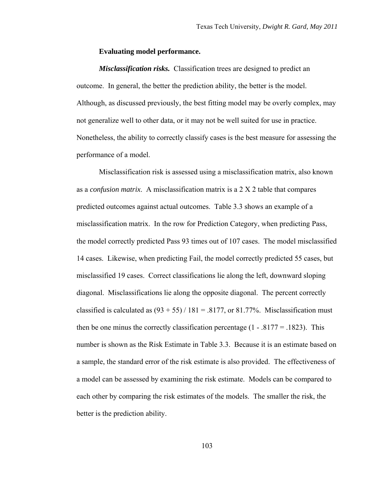### **Evaluating model performance.**

*Misclassification risks.* Classification trees are designed to predict an outcome. In general, the better the prediction ability, the better is the model. Although, as discussed previously, the best fitting model may be overly complex, may not generalize well to other data, or it may not be well suited for use in practice. Nonetheless, the ability to correctly classify cases is the best measure for assessing the performance of a model.

Misclassification risk is assessed using a misclassification matrix, also known as a *confusion matrix*. A misclassification matrix is a 2 X 2 table that compares predicted outcomes against actual outcomes. Table 3.3 shows an example of a misclassification matrix. In the row for Prediction Category, when predicting Pass, the model correctly predicted Pass 93 times out of 107 cases. The model misclassified 14 cases. Likewise, when predicting Fail, the model correctly predicted 55 cases, but misclassified 19 cases. Correct classifications lie along the left, downward sloping diagonal. Misclassifications lie along the opposite diagonal. The percent correctly classified is calculated as  $(93 + 55)$  / 181 = .8177, or 81.77%. Misclassification must then be one minus the correctly classification percentage  $(1 - .8177 = .1823)$ . This number is shown as the Risk Estimate in Table 3.3. Because it is an estimate based on a sample, the standard error of the risk estimate is also provided. The effectiveness of a model can be assessed by examining the risk estimate. Models can be compared to each other by comparing the risk estimates of the models. The smaller the risk, the better is the prediction ability.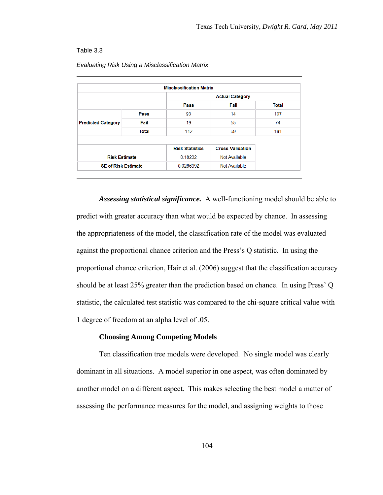### Table 3.3

|                            |              | <b>Misclassification Matrix</b> |                         |              |  |
|----------------------------|--------------|---------------------------------|-------------------------|--------------|--|
|                            |              | <b>Actual Category</b>          |                         |              |  |
|                            |              | Pass                            | Fail                    | <b>Total</b> |  |
| <b>Predicted Category</b>  | Pass         | 93                              | 14                      | 107          |  |
|                            | Fail         | 19                              | 55                      | 74           |  |
|                            | <b>Total</b> | 112                             | 69                      | 181          |  |
|                            |              |                                 |                         |              |  |
|                            |              | <b>Risk Statistics</b>          | <b>Cross-Validation</b> |              |  |
| <b>Risk Estimate</b>       |              | 0.18232                         | Not Available           |              |  |
| <b>SE of Risk Estimate</b> |              | 0.0286992                       | Not Available           |              |  |

### *Evaluating Risk Using a Misclassification Matrix*

*Assessing statistical significance.* A well-functioning model should be able to predict with greater accuracy than what would be expected by chance. In assessing the appropriateness of the model, the classification rate of the model was evaluated against the proportional chance criterion and the Press's Q statistic. In using the proportional chance criterion, Hair et al. (2006) suggest that the classification accuracy should be at least 25% greater than the prediction based on chance. In using Press' Q statistic, the calculated test statistic was compared to the chi-square critical value with 1 degree of freedom at an alpha level of .05.

# **Choosing Among Competing Models**

Ten classification tree models were developed. No single model was clearly dominant in all situations. A model superior in one aspect, was often dominated by another model on a different aspect. This makes selecting the best model a matter of assessing the performance measures for the model, and assigning weights to those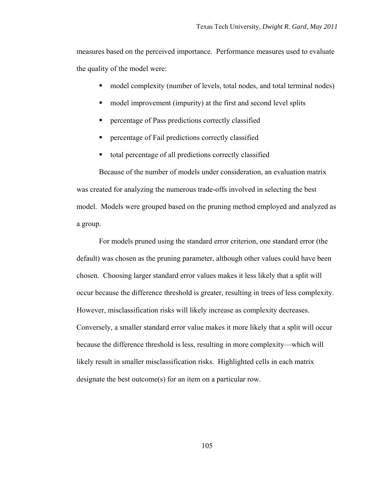measures based on the perceived importance. Performance measures used to evaluate the quality of the model were:

- model complexity (number of levels, total nodes, and total terminal nodes)
- model improvement (impurity) at the first and second level splits
- **Percentage of Pass predictions correctly classified**
- **Percentage of Fail predictions correctly classified**
- total percentage of all predictions correctly classified

Because of the number of models under consideration, an evaluation matrix was created for analyzing the numerous trade-offs involved in selecting the best model. Models were grouped based on the pruning method employed and analyzed as a group.

For models pruned using the standard error criterion, one standard error (the default) was chosen as the pruning parameter, although other values could have been chosen. Choosing larger standard error values makes it less likely that a split will occur because the difference threshold is greater, resulting in trees of less complexity. However, misclassification risks will likely increase as complexity decreases. Conversely, a smaller standard error value makes it more likely that a split will occur because the difference threshold is less, resulting in more complexity—which will likely result in smaller misclassification risks. Highlighted cells in each matrix designate the best outcome(s) for an item on a particular row.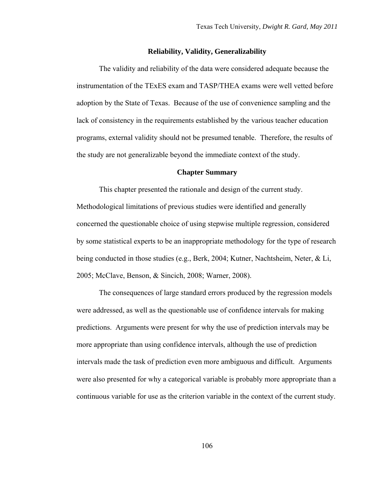### **Reliability, Validity, Generalizability**

The validity and reliability of the data were considered adequate because the instrumentation of the TExES exam and TASP/THEA exams were well vetted before adoption by the State of Texas. Because of the use of convenience sampling and the lack of consistency in the requirements established by the various teacher education programs, external validity should not be presumed tenable. Therefore, the results of the study are not generalizable beyond the immediate context of the study.

### **Chapter Summary**

This chapter presented the rationale and design of the current study. Methodological limitations of previous studies were identified and generally concerned the questionable choice of using stepwise multiple regression, considered by some statistical experts to be an inappropriate methodology for the type of research being conducted in those studies (e.g., Berk, 2004; Kutner, Nachtsheim, Neter, & Li, 2005; McClave, Benson, & Sincich, 2008; Warner, 2008).

The consequences of large standard errors produced by the regression models were addressed, as well as the questionable use of confidence intervals for making predictions. Arguments were present for why the use of prediction intervals may be more appropriate than using confidence intervals, although the use of prediction intervals made the task of prediction even more ambiguous and difficult. Arguments were also presented for why a categorical variable is probably more appropriate than a continuous variable for use as the criterion variable in the context of the current study.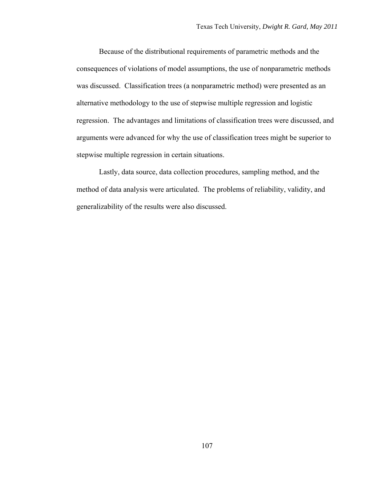Because of the distributional requirements of parametric methods and the consequences of violations of model assumptions, the use of nonparametric methods was discussed. Classification trees (a nonparametric method) were presented as an alternative methodology to the use of stepwise multiple regression and logistic regression. The advantages and limitations of classification trees were discussed, and arguments were advanced for why the use of classification trees might be superior to stepwise multiple regression in certain situations.

Lastly, data source, data collection procedures, sampling method, and the method of data analysis were articulated. The problems of reliability, validity, and generalizability of the results were also discussed.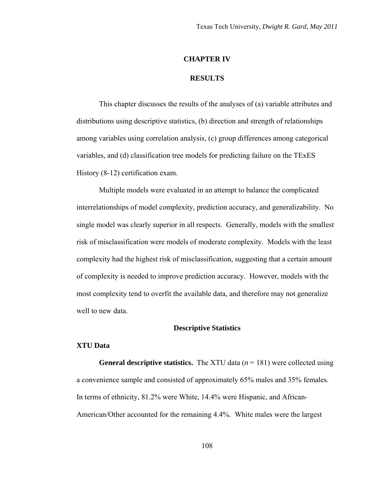### **CHAPTER IV**

### **RESULTS**

This chapter discusses the results of the analyses of (a) variable attributes and distributions using descriptive statistics, (b) direction and strength of relationships among variables using correlation analysis, (c) group differences among categorical variables, and (d) classification tree models for predicting failure on the TExES History (8-12) certification exam.

Multiple models were evaluated in an attempt to balance the complicated interrelationships of model complexity, prediction accuracy, and generalizability. No single model was clearly superior in all respects. Generally, models with the smallest risk of misclassification were models of moderate complexity. Models with the least complexity had the highest risk of misclassification, suggesting that a certain amount of complexity is needed to improve prediction accuracy. However, models with the most complexity tend to overfit the available data, and therefore may not generalize well to new data.

## **Descriptive Statistics**

### **XTU Data**

**General descriptive statistics.** The XTU data (*n* = 181) were collected using a convenience sample and consisted of approximately 65% males and 35% females. In terms of ethnicity, 81.2% were White, 14.4% were Hispanic, and African-American/Other accounted for the remaining 4.4%. White males were the largest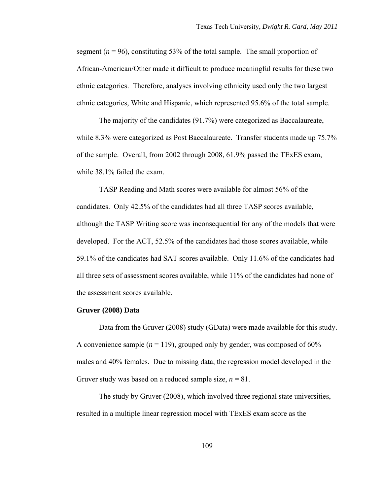segment ( $n = 96$ ), constituting 53% of the total sample. The small proportion of African-American/Other made it difficult to produce meaningful results for these two ethnic categories. Therefore, analyses involving ethnicity used only the two largest ethnic categories, White and Hispanic, which represented 95.6% of the total sample.

The majority of the candidates (91.7%) were categorized as Baccalaureate, while 8.3% were categorized as Post Baccalaureate. Transfer students made up 75.7% of the sample. Overall, from 2002 through 2008, 61.9% passed the TExES exam, while 38.1% failed the exam.

TASP Reading and Math scores were available for almost 56% of the candidates. Only 42.5% of the candidates had all three TASP scores available, although the TASP Writing score was inconsequential for any of the models that were developed. For the ACT, 52.5% of the candidates had those scores available, while 59.1% of the candidates had SAT scores available. Only 11.6% of the candidates had all three sets of assessment scores available, while 11% of the candidates had none of the assessment scores available.

## **Gruver (2008) Data**

Data from the Gruver (2008) study (GData) were made available for this study. A convenience sample  $(n = 119)$ , grouped only by gender, was composed of 60% males and 40% females. Due to missing data, the regression model developed in the Gruver study was based on a reduced sample size,  $n = 81$ .

The study by Gruver (2008), which involved three regional state universities, resulted in a multiple linear regression model with TExES exam score as the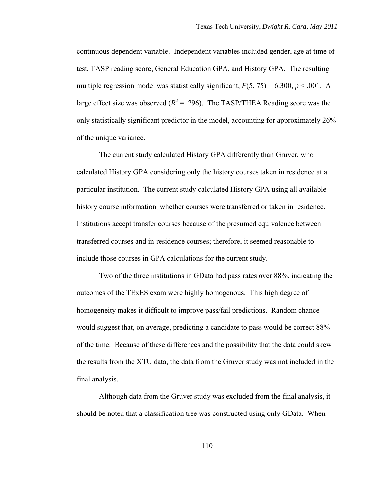continuous dependent variable. Independent variables included gender, age at time of test, TASP reading score, General Education GPA, and History GPA. The resulting multiple regression model was statistically significant,  $F(5, 75) = 6.300, p < .001$ . A large effect size was observed  $(R^2 = .296)$ . The TASP/THEA Reading score was the only statistically significant predictor in the model, accounting for approximately 26% of the unique variance.

The current study calculated History GPA differently than Gruver, who calculated History GPA considering only the history courses taken in residence at a particular institution. The current study calculated History GPA using all available history course information, whether courses were transferred or taken in residence. Institutions accept transfer courses because of the presumed equivalence between transferred courses and in-residence courses; therefore, it seemed reasonable to include those courses in GPA calculations for the current study.

Two of the three institutions in GData had pass rates over 88%, indicating the outcomes of the TExES exam were highly homogenous. This high degree of homogeneity makes it difficult to improve pass/fail predictions. Random chance would suggest that, on average, predicting a candidate to pass would be correct 88% of the time. Because of these differences and the possibility that the data could skew the results from the XTU data, the data from the Gruver study was not included in the final analysis.

Although data from the Gruver study was excluded from the final analysis, it should be noted that a classification tree was constructed using only GData. When

110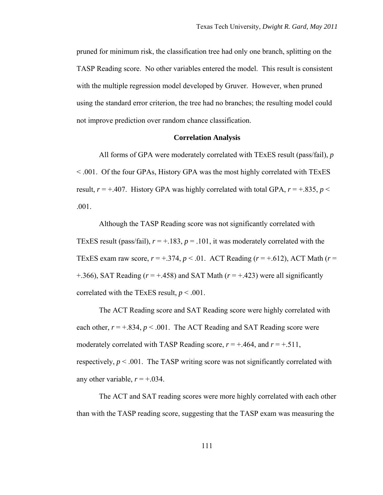pruned for minimum risk, the classification tree had only one branch, splitting on the TASP Reading score. No other variables entered the model. This result is consistent with the multiple regression model developed by Gruver. However, when pruned using the standard error criterion, the tree had no branches; the resulting model could not improve prediction over random chance classification.

### **Correlation Analysis**

All forms of GPA were moderately correlated with TExES result (pass/fail), *p* < .001. Of the four GPAs, History GPA was the most highly correlated with TExES result,  $r = +.407$ . History GPA was highly correlated with total GPA,  $r = +.835$ ,  $p <$ .001.

Although the TASP Reading score was not significantly correlated with TExES result (pass/fail),  $r = +.183$ ,  $p = .101$ , it was moderately correlated with the TExES exam raw score,  $r = +0.374$ ,  $p < 0.01$ . ACT Reading ( $r = +0.612$ ), ACT Math ( $r =$  $+366$ ), SAT Reading ( $r = +0.458$ ) and SAT Math ( $r = +0.423$ ) were all significantly correlated with the TExES result,  $p < .001$ .

The ACT Reading score and SAT Reading score were highly correlated with each other,  $r = +0.834$ ,  $p < 0.001$ . The ACT Reading and SAT Reading score were moderately correlated with TASP Reading score,  $r = +0.464$ , and  $r = +0.511$ , respectively,  $p < .001$ . The TASP writing score was not significantly correlated with any other variable,  $r = +0.034$ .

The ACT and SAT reading scores were more highly correlated with each other than with the TASP reading score, suggesting that the TASP exam was measuring the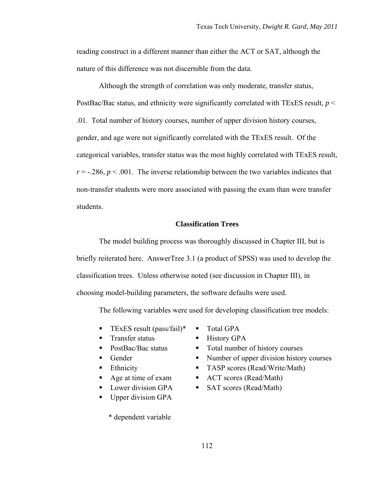reading construct in a different manner than either the ACT or SAT, although the nature of this difference was not discernible from the data.

Although the strength of correlation was only moderate, transfer status, PostBac/Bac status, and ethnicity were significantly correlated with TExES result, *p* < .01. Total number of history courses, number of upper division history courses, gender, and age were not significantly correlated with the TExES result. Of the categorical variables, transfer status was the most highly correlated with TExES result,  $r = -0.286$ ,  $p < 0.001$ . The inverse relationship between the two variables indicates that non-transfer students were more associated with passing the exam than were transfer students.

# **Classification Trees**

The model building process was thoroughly discussed in Chapter III, but is briefly reiterated here. AnswerTree 3.1 (a product of SPSS) was used to develop the classification trees. Unless otherwise noted (see discussion in Chapter III), in choosing model-building parameters, the software defaults were used.

The following variables were used for developing classification tree models:

- **TEXES result (pass/fail)\***  $\blacksquare$  Total GPA
- Transfer status History GPA
- 
- 
- 
- 
- 
- Upper division GPA

\* dependent variable

- 
- 
- PostBac/Bac status Total number of history courses
- Gender Number of upper division history courses
- Ethnicity TASP scores (Read/Write/Math)
- Age at time of exam ACT scores (Read/Math)
- Lower division GPA SAT scores (Read/Math)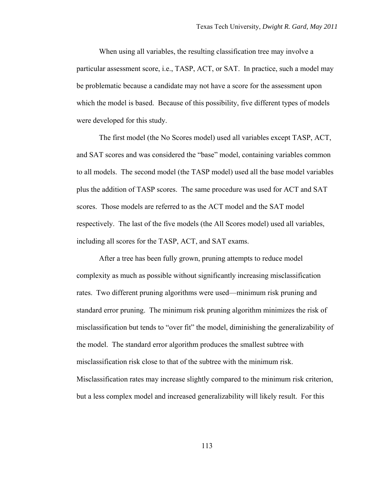When using all variables, the resulting classification tree may involve a particular assessment score, i.e., TASP, ACT, or SAT. In practice, such a model may be problematic because a candidate may not have a score for the assessment upon which the model is based. Because of this possibility, five different types of models were developed for this study.

The first model (the No Scores model) used all variables except TASP, ACT, and SAT scores and was considered the "base" model, containing variables common to all models. The second model (the TASP model) used all the base model variables plus the addition of TASP scores. The same procedure was used for ACT and SAT scores. Those models are referred to as the ACT model and the SAT model respectively. The last of the five models (the All Scores model) used all variables, including all scores for the TASP, ACT, and SAT exams.

After a tree has been fully grown, pruning attempts to reduce model complexity as much as possible without significantly increasing misclassification rates. Two different pruning algorithms were used—minimum risk pruning and standard error pruning. The minimum risk pruning algorithm minimizes the risk of misclassification but tends to "over fit" the model, diminishing the generalizability of the model. The standard error algorithm produces the smallest subtree with misclassification risk close to that of the subtree with the minimum risk. Misclassification rates may increase slightly compared to the minimum risk criterion, but a less complex model and increased generalizability will likely result. For this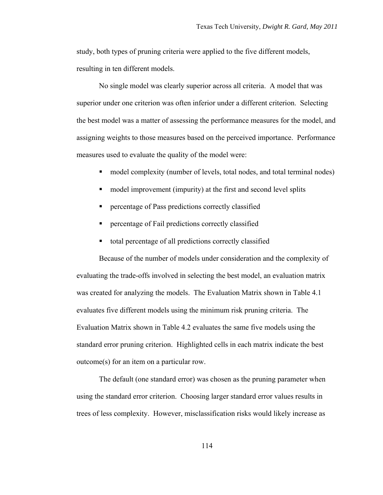study, both types of pruning criteria were applied to the five different models, resulting in ten different models.

No single model was clearly superior across all criteria. A model that was superior under one criterion was often inferior under a different criterion. Selecting the best model was a matter of assessing the performance measures for the model, and assigning weights to those measures based on the perceived importance. Performance measures used to evaluate the quality of the model were:

- model complexity (number of levels, total nodes, and total terminal nodes)
- model improvement (impurity) at the first and second level splits
- percentage of Pass predictions correctly classified
- percentage of Fail predictions correctly classified
- total percentage of all predictions correctly classified

Because of the number of models under consideration and the complexity of evaluating the trade-offs involved in selecting the best model, an evaluation matrix was created for analyzing the models. The Evaluation Matrix shown in Table 4.1 evaluates five different models using the minimum risk pruning criteria. The Evaluation Matrix shown in Table 4.2 evaluates the same five models using the standard error pruning criterion. Highlighted cells in each matrix indicate the best outcome(s) for an item on a particular row.

The default (one standard error) was chosen as the pruning parameter when using the standard error criterion. Choosing larger standard error values results in trees of less complexity. However, misclassification risks would likely increase as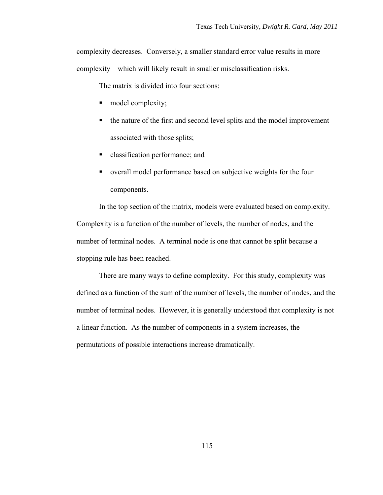complexity decreases. Conversely, a smaller standard error value results in more complexity—which will likely result in smaller misclassification risks.

The matrix is divided into four sections:

- $\blacksquare$  model complexity;
- the nature of the first and second level splits and the model improvement associated with those splits;
- **classification performance; and**
- overall model performance based on subjective weights for the four components.

In the top section of the matrix, models were evaluated based on complexity. Complexity is a function of the number of levels, the number of nodes, and the number of terminal nodes. A terminal node is one that cannot be split because a stopping rule has been reached.

There are many ways to define complexity. For this study, complexity was defined as a function of the sum of the number of levels, the number of nodes, and the number of terminal nodes. However, it is generally understood that complexity is not a linear function. As the number of components in a system increases, the permutations of possible interactions increase dramatically.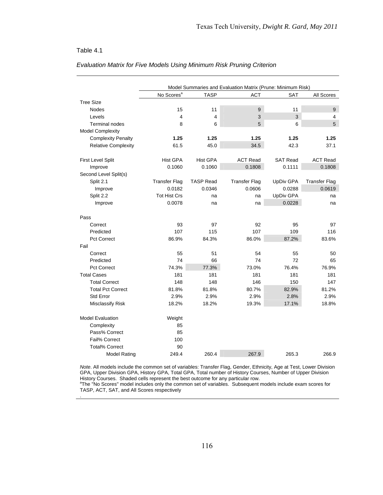### Table 4.1

|                            | Model Summaries and Evaluation Matrix (Prune: Minimum Risk) |                  |                      |                  |                      |
|----------------------------|-------------------------------------------------------------|------------------|----------------------|------------------|----------------------|
|                            | No Scores <sup>a</sup>                                      | <b>TASP</b>      | <b>ACT</b>           | <b>SAT</b>       | All Scores           |
| <b>Tree Size</b>           |                                                             |                  |                      |                  |                      |
| <b>Nodes</b>               | 15                                                          | 11               | $\boldsymbol{9}$     | 11               | 9                    |
| Levels                     | 4                                                           | $\overline{4}$   | 3                    | 3                | 4                    |
| <b>Terminal nodes</b>      | 8                                                           | 6                | 5                    | 6                | 5                    |
| <b>Model Complexity</b>    |                                                             |                  |                      |                  |                      |
| <b>Complexity Penalty</b>  | 1.25                                                        | 1.25             | 1.25                 | 1.25             | 1.25                 |
| <b>Relative Complexity</b> | 61.5                                                        | 45.0             | 34.5                 | 42.3             | 37.1                 |
|                            |                                                             |                  |                      |                  |                      |
| First Level Split          | <b>Hist GPA</b>                                             | <b>Hist GPA</b>  | <b>ACT Read</b>      | <b>SAT Read</b>  | <b>ACT Read</b>      |
| Improve                    | 0.1060                                                      | 0.1060           | 0.1808               | 0.1111           | 0.1808               |
| Second Level Split(s)      |                                                             |                  |                      |                  |                      |
| Split 2.1                  | <b>Transfer Flag</b>                                        | <b>TASP Read</b> | <b>Transfer Flag</b> | <b>UpDiv GPA</b> | <b>Transfer Flag</b> |
| Improve                    | 0.0182                                                      | 0.0346           | 0.0606               | 0.0288           | 0.0619               |
| Split 2.2                  | <b>Tot Hist Crs</b>                                         | na               | na                   | <b>UpDiv GPA</b> | na                   |
| Improve                    | 0.0078                                                      | na               | na                   | 0.0228           | na                   |
|                            |                                                             |                  |                      |                  |                      |
| Pass                       |                                                             |                  |                      |                  |                      |
| Correct                    | 93                                                          | 97               | 92                   | 95               | 97                   |
| Predicted                  | 107                                                         | 115              | 107                  | 109              | 116                  |
| <b>Pct Correct</b>         | 86.9%                                                       | 84.3%            | 86.0%                | 87.2%            | 83.6%                |
| Fail                       |                                                             |                  |                      |                  |                      |
| Correct                    | 55                                                          | 51               | 54                   | 55               | 50                   |
| Predicted                  | 74                                                          | 66               | 74                   | 72               | 65                   |
| <b>Pct Correct</b>         | 74.3%                                                       | 77.3%            | 73.0%                | 76.4%            | 76.9%                |
| <b>Total Cases</b>         | 181                                                         | 181              | 181                  | 181              | 181                  |
| <b>Total Correct</b>       | 148                                                         | 148              | 146                  | 150              | 147                  |
| <b>Total Pct Correct</b>   | 81.8%                                                       | 81.8%            | 80.7%                | 82.9%            | 81.2%                |
| Std Error                  | 2.9%                                                        | 2.9%             | 2.9%                 | 2.8%             | 2.9%                 |
| Misclassify Risk           | 18.2%                                                       | 18.2%            | 19.3%                | 17.1%            | 18.8%                |
|                            |                                                             |                  |                      |                  |                      |
| <b>Model Evaluation</b>    | Weight                                                      |                  |                      |                  |                      |
| Complexity                 | 85                                                          |                  |                      |                  |                      |
| Pass% Correct              | 85                                                          |                  |                      |                  |                      |
| Fail% Correct              | 100                                                         |                  |                      |                  |                      |
| <b>Total% Correct</b>      | 90                                                          |                  |                      |                  |                      |
| <b>Model Rating</b>        | 249.4                                                       | 260.4            | 267.9                | 265.3            | 266.9                |

## *Evaluation Matrix for Five Models Using Minimum Risk Pruning Criterion*

*Note*. All models include the common set of variables: Transfer Flag, Gender, Ethnicity, Age at Test, Lower Division GPA, Upper Division GPA, History GPA, Total GPA, Total number of History Courses, Number of Upper Division History Courses. Shaded cells represent the best outcome for any particular row.<br><sup>a</sup>The "No Scores" model includes only the common set of variables. Subsequent models include exam scores for

TASP, ACT, SAT, and All Scores respectively .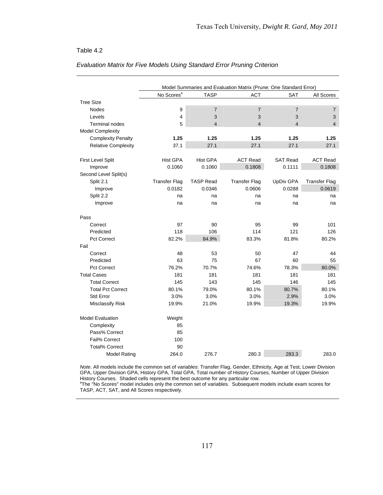### Table 4.2

|                            | Model Summaries and Evaluation Matrix (Prune: One Standard Error) |                  |                      |                  |                      |
|----------------------------|-------------------------------------------------------------------|------------------|----------------------|------------------|----------------------|
|                            | No Scores <sup>a</sup>                                            | <b>TASP</b>      | <b>ACT</b>           | <b>SAT</b>       | All Scores           |
| <b>Tree Size</b>           |                                                                   |                  |                      |                  |                      |
| <b>Nodes</b>               | 9                                                                 | $\overline{7}$   | $\overline{7}$       | $\overline{7}$   | 7                    |
| Levels                     | 4                                                                 | 3                | 3                    | 3                | 3                    |
| <b>Terminal nodes</b>      | 5                                                                 | $\overline{4}$   | $\overline{4}$       | $\overline{4}$   | $\overline{4}$       |
| <b>Model Complexity</b>    |                                                                   |                  |                      |                  |                      |
| <b>Complexity Penalty</b>  | 1.25                                                              | 1.25             | 1.25                 | 1.25             | 1.25                 |
| <b>Relative Complexity</b> | 37.1                                                              | 27.1             | 27.1                 | 27.1             | 27.1                 |
|                            |                                                                   |                  |                      |                  |                      |
| First Level Split          | <b>Hist GPA</b>                                                   | <b>Hist GPA</b>  | <b>ACT Read</b>      | <b>SAT Read</b>  | <b>ACT Read</b>      |
| Improve                    | 0.1060                                                            | 0.1060           | 0.1808               | 0.1111           | 0.1808               |
| Second Level Split(s)      |                                                                   |                  |                      |                  |                      |
| Split 2.1                  | <b>Transfer Flag</b>                                              | <b>TASP Read</b> | <b>Transfer Flag</b> | <b>UpDiv GPA</b> | <b>Transfer Flag</b> |
| Improve                    | 0.0182                                                            | 0.0346           | 0.0606               | 0.0288           | 0.0619               |
| Split 2.2                  | na                                                                | na               | na                   | na               | na                   |
| Improve                    | na                                                                | na               | na                   | na               | na                   |
|                            |                                                                   |                  |                      |                  |                      |
| Pass                       |                                                                   |                  |                      |                  |                      |
| Correct                    | 97                                                                | 90               | 95                   | 99               | 101                  |
| Predicted                  | 118                                                               | 106              | 114                  | 121              | 126                  |
| <b>Pct Correct</b>         | 82.2%                                                             | 84.9%            | 83.3%                | 81.8%            | 80.2%                |
| Fail                       |                                                                   |                  |                      |                  |                      |
| Correct                    | 48                                                                | 53               | 50                   | 47               | 44                   |
| Predicted                  | 63                                                                | 75               | 67                   | 60               | 55                   |
| <b>Pct Correct</b>         | 76.2%                                                             | 70.7%            | 74.6%                | 78.3%            | 80.0%                |
| <b>Total Cases</b>         | 181                                                               | 181              | 181                  | 181              | 181                  |
| <b>Total Correct</b>       | 145                                                               | 143              | 145                  | 146              | 145                  |
| <b>Total Pct Correct</b>   | 80.1%                                                             | 79.0%            | 80.1%                | 80.7%            | 80.1%                |
| Std Error                  | 3.0%                                                              | 3.0%             | 3.0%                 | 2.9%             | 3.0%                 |
| Misclassify Risk           | 19.9%                                                             | 21.0%            | 19.9%                | 19.3%            | 19.9%                |
| <b>Model Evaluation</b>    |                                                                   |                  |                      |                  |                      |
| Complexity                 | Weight<br>85                                                      |                  |                      |                  |                      |
| Pass% Correct              | 85                                                                |                  |                      |                  |                      |
|                            |                                                                   |                  |                      |                  |                      |
| Fail% Correct              | 100<br>90                                                         |                  |                      |                  |                      |
| <b>Total% Correct</b>      |                                                                   |                  |                      |                  |                      |
| <b>Model Rating</b>        | 264.0                                                             | 276.7            | 280.3                | 283.3            | 283.0                |

### *Evaluation Matrix for Five Models Using Standard Error Pruning Criterion*

*Note*. All models include the common set of variables: Transfer Flag, Gender, Ethnicity, Age at Test, Lower Division GPA, Upper Division GPA, History GPA, Total GPA, Total number of History Courses, Number of Upper Division History Courses. Shaded cells represent the best outcome for any particular row.<br><sup>a</sup>The "No Scores" model includes only the common set of variables. Subsequent models include exam scores for

TASP, ACT, SAT, and All Scores respectively.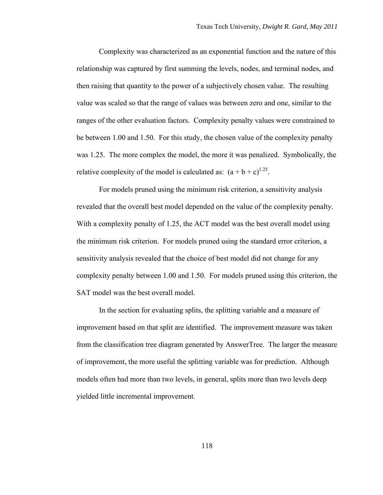Complexity was characterized as an exponential function and the nature of this relationship was captured by first summing the levels, nodes, and terminal nodes, and then raising that quantity to the power of a subjectively chosen value. The resulting value was scaled so that the range of values was between zero and one, similar to the ranges of the other evaluation factors. Complexity penalty values were constrained to be between 1.00 and 1.50. For this study, the chosen value of the complexity penalty was 1.25. The more complex the model, the more it was penalized. Symbolically, the relative complexity of the model is calculated as:  $(a + b + c)^{1.25}$ .

For models pruned using the minimum risk criterion, a sensitivity analysis revealed that the overall best model depended on the value of the complexity penalty. With a complexity penalty of 1.25, the ACT model was the best overall model using the minimum risk criterion. For models pruned using the standard error criterion, a sensitivity analysis revealed that the choice of best model did not change for any complexity penalty between 1.00 and 1.50. For models pruned using this criterion, the SAT model was the best overall model.

In the section for evaluating splits, the splitting variable and a measure of improvement based on that split are identified. The improvement measure was taken from the classification tree diagram generated by AnswerTree. The larger the measure of improvement, the more useful the splitting variable was for prediction. Although models often had more than two levels, in general, splits more than two levels deep yielded little incremental improvement.

118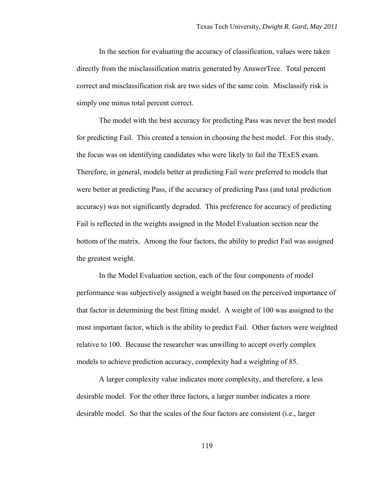In the section for evaluating the accuracy of classification, values were taken directly from the misclassification matrix generated by AnswerTree. Total percent correct and misclassification risk are two sides of the same coin. Misclassify risk is simply one minus total percent correct.

The model with the best accuracy for predicting Pass was never the best model for predicting Fail. This created a tension in choosing the best model. For this study, the focus was on identifying candidates who were likely to fail the TExES exam. Therefore, in general, models better at predicting Fail were preferred to models that were better at predicting Pass, if the accuracy of predicting Pass (and total prediction accuracy) was not significantly degraded. This preference for accuracy of predicting Fail is reflected in the weights assigned in the Model Evaluation section near the bottom of the matrix. Among the four factors, the ability to predict Fail was assigned the greatest weight.

In the Model Evaluation section, each of the four components of model performance was subjectively assigned a weight based on the perceived importance of that factor in determining the best fitting model. A weight of 100 was assigned to the most important factor, which is the ability to predict Fail. Other factors were weighted relative to 100. Because the researcher was unwilling to accept overly complex models to achieve prediction accuracy, complexity had a weighting of 85.

A larger complexity value indicates more complexity, and therefore, a less desirable model. For the other three factors, a larger number indicates a more desirable model. So that the scales of the four factors are consistent (i.e., larger

119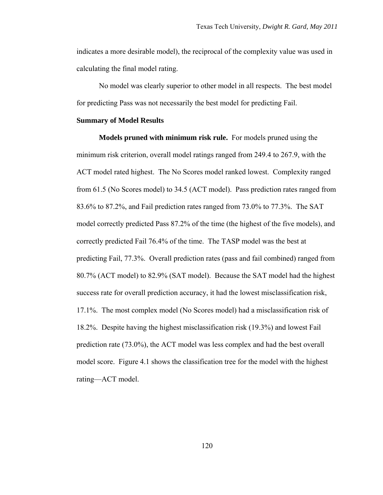indicates a more desirable model), the reciprocal of the complexity value was used in calculating the final model rating.

No model was clearly superior to other model in all respects. The best model for predicting Pass was not necessarily the best model for predicting Fail.

### **Summary of Model Results**

**Models pruned with minimum risk rule.** For models pruned using the minimum risk criterion, overall model ratings ranged from 249.4 to 267.9, with the ACT model rated highest. The No Scores model ranked lowest. Complexity ranged from 61.5 (No Scores model) to 34.5 (ACT model). Pass prediction rates ranged from 83.6% to 87.2%, and Fail prediction rates ranged from 73.0% to 77.3%. The SAT model correctly predicted Pass 87.2% of the time (the highest of the five models), and correctly predicted Fail 76.4% of the time. The TASP model was the best at predicting Fail, 77.3%. Overall prediction rates (pass and fail combined) ranged from 80.7% (ACT model) to 82.9% (SAT model). Because the SAT model had the highest success rate for overall prediction accuracy, it had the lowest misclassification risk, 17.1%. The most complex model (No Scores model) had a misclassification risk of 18.2%. Despite having the highest misclassification risk (19.3%) and lowest Fail prediction rate (73.0%), the ACT model was less complex and had the best overall model score. Figure 4.1 shows the classification tree for the model with the highest rating—ACT model.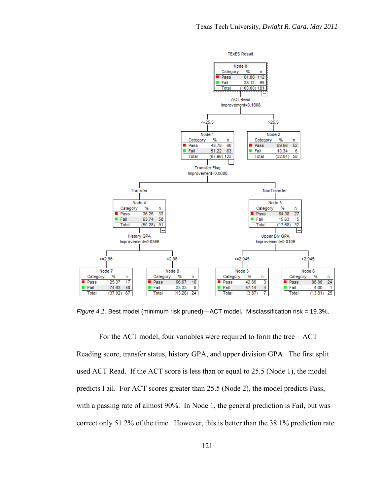

*Figure 4.1.* Best model (minimum risk pruned)—ACT model**.** Misclassification risk = 19.3%.

For the ACT model, four variables were required to form the tree—ACT Reading score, transfer status, history GPA, and upper division GPA. The first split used ACT Read. If the ACT score is less than or equal to 25.5 (Node 1), the model predicts Fail. For ACT scores greater than 25.5 (Node 2), the model predicts Pass, with a passing rate of almost 90%. In Node 1, the general prediction is Fail, but was correct only 51.2% of the time. However, this is better than the 38.1% prediction rate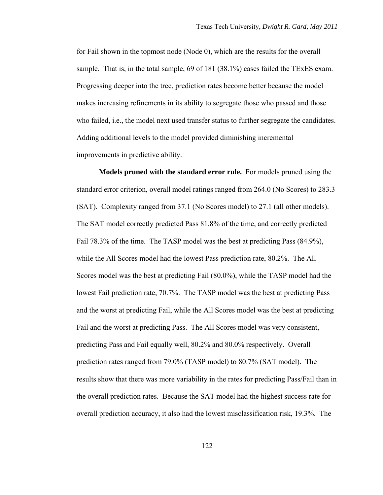for Fail shown in the topmost node (Node 0), which are the results for the overall sample. That is, in the total sample, 69 of 181 (38.1%) cases failed the TExES exam. Progressing deeper into the tree, prediction rates become better because the model makes increasing refinements in its ability to segregate those who passed and those who failed, i.e., the model next used transfer status to further segregate the candidates. Adding additional levels to the model provided diminishing incremental improvements in predictive ability.

**Models pruned with the standard error rule.** For models pruned using the standard error criterion, overall model ratings ranged from 264.0 (No Scores) to 283.3 (SAT). Complexity ranged from 37.1 (No Scores model) to 27.1 (all other models). The SAT model correctly predicted Pass 81.8% of the time, and correctly predicted Fail 78.3% of the time. The TASP model was the best at predicting Pass (84.9%), while the All Scores model had the lowest Pass prediction rate, 80.2%. The All Scores model was the best at predicting Fail (80.0%), while the TASP model had the lowest Fail prediction rate, 70.7%. The TASP model was the best at predicting Pass and the worst at predicting Fail, while the All Scores model was the best at predicting Fail and the worst at predicting Pass. The All Scores model was very consistent, predicting Pass and Fail equally well, 80.2% and 80.0% respectively. Overall prediction rates ranged from 79.0% (TASP model) to 80.7% (SAT model). The results show that there was more variability in the rates for predicting Pass/Fail than in the overall prediction rates. Because the SAT model had the highest success rate for overall prediction accuracy, it also had the lowest misclassification risk, 19.3%. The

122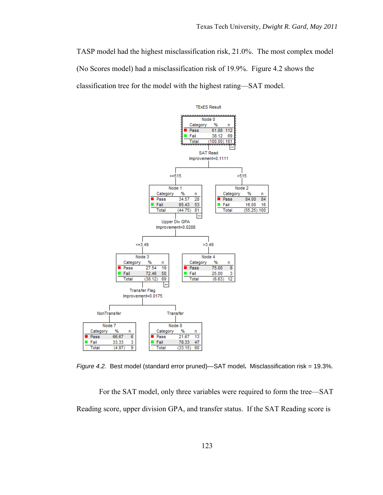TASP model had the highest misclassification risk, 21.0%. The most complex model (No Scores model) had a misclassification risk of 19.9%. Figure 4.2 shows the classification tree for the model with the highest rating—SAT model.



*Figure 4.2.* Best model (standard error pruned)—SAT model**.** Misclassification risk = 19.3%.

For the SAT model, only three variables were required to form the tree—SAT Reading score, upper division GPA, and transfer status. If the SAT Reading score is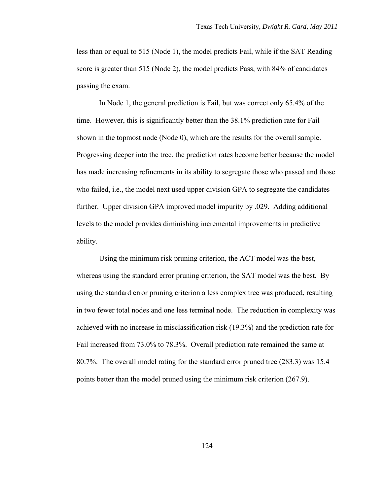less than or equal to 515 (Node 1), the model predicts Fail, while if the SAT Reading score is greater than 515 (Node 2), the model predicts Pass, with 84% of candidates passing the exam.

In Node 1, the general prediction is Fail, but was correct only 65.4% of the time. However, this is significantly better than the 38.1% prediction rate for Fail shown in the topmost node (Node 0), which are the results for the overall sample. Progressing deeper into the tree, the prediction rates become better because the model has made increasing refinements in its ability to segregate those who passed and those who failed, i.e., the model next used upper division GPA to segregate the candidates further. Upper division GPA improved model impurity by .029. Adding additional levels to the model provides diminishing incremental improvements in predictive ability.

Using the minimum risk pruning criterion, the ACT model was the best, whereas using the standard error pruning criterion, the SAT model was the best. By using the standard error pruning criterion a less complex tree was produced, resulting in two fewer total nodes and one less terminal node. The reduction in complexity was achieved with no increase in misclassification risk (19.3%) and the prediction rate for Fail increased from 73.0% to 78.3%. Overall prediction rate remained the same at 80.7%. The overall model rating for the standard error pruned tree (283.3) was 15.4 points better than the model pruned using the minimum risk criterion (267.9).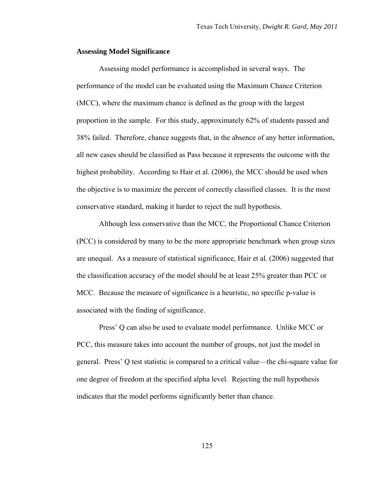## **Assessing Model Significance**

Assessing model performance is accomplished in several ways. The performance of the model can be evaluated using the Maximum Chance Criterion (MCC), where the maximum chance is defined as the group with the largest proportion in the sample. For this study, approximately 62% of students passed and 38% failed. Therefore, chance suggests that, in the absence of any better information, all new cases should be classified as Pass because it represents the outcome with the highest probability. According to Hair et al. (2006), the MCC should be used when the objective is to maximize the percent of correctly classified classes. It is the most conservative standard, making it harder to reject the null hypothesis.

Although less conservative than the MCC, the Proportional Chance Criterion (PCC) is considered by many to be the more appropriate benchmark when group sizes are unequal. As a measure of statistical significance, Hair et al. (2006) suggested that the classification accuracy of the model should be at least 25% greater than PCC or MCC. Because the measure of significance is a heuristic, no specific p-value is associated with the finding of significance.

Press' Q can also be used to evaluate model performance. Unlike MCC or PCC, this measure takes into account the number of groups, not just the model in general. Press' Q test statistic is compared to a critical value—the chi-square value for one degree of freedom at the specified alpha level. Rejecting the null hypothesis indicates that the model performs significantly better than chance.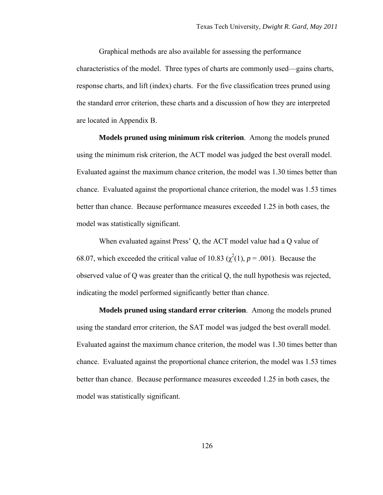Graphical methods are also available for assessing the performance characteristics of the model. Three types of charts are commonly used—gains charts, response charts, and lift (index) charts. For the five classification trees pruned using the standard error criterion, these charts and a discussion of how they are interpreted are located in Appendix B.

**Models pruned using minimum risk criterion**. Among the models pruned using the minimum risk criterion, the ACT model was judged the best overall model. Evaluated against the maximum chance criterion, the model was 1.30 times better than chance. Evaluated against the proportional chance criterion, the model was 1.53 times better than chance. Because performance measures exceeded 1.25 in both cases, the model was statistically significant.

When evaluated against Press' Q, the ACT model value had a Q value of 68.07, which exceeded the critical value of 10.83 ( $\chi^2(1)$ ,  $p = .001$ ). Because the observed value of Q was greater than the critical Q, the null hypothesis was rejected, indicating the model performed significantly better than chance.

**Models pruned using standard error criterion**. Among the models pruned using the standard error criterion, the SAT model was judged the best overall model. Evaluated against the maximum chance criterion, the model was 1.30 times better than chance. Evaluated against the proportional chance criterion, the model was 1.53 times better than chance. Because performance measures exceeded 1.25 in both cases, the model was statistically significant.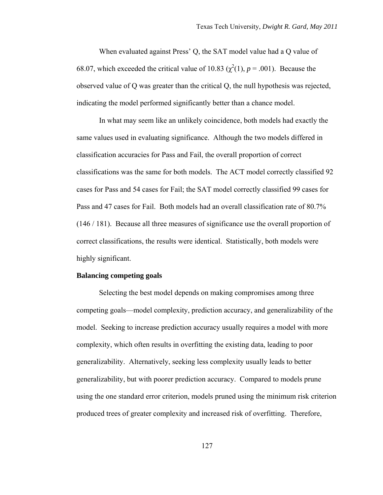When evaluated against Press' Q, the SAT model value had a Q value of 68.07, which exceeded the critical value of 10.83 ( $\chi^2(1)$ ,  $p = .001$ ). Because the observed value of Q was greater than the critical Q, the null hypothesis was rejected, indicating the model performed significantly better than a chance model.

In what may seem like an unlikely coincidence, both models had exactly the same values used in evaluating significance. Although the two models differed in classification accuracies for Pass and Fail, the overall proportion of correct classifications was the same for both models. The ACT model correctly classified 92 cases for Pass and 54 cases for Fail; the SAT model correctly classified 99 cases for Pass and 47 cases for Fail. Both models had an overall classification rate of 80.7% (146 / 181). Because all three measures of significance use the overall proportion of correct classifications, the results were identical. Statistically, both models were highly significant.

### **Balancing competing goals**

Selecting the best model depends on making compromises among three competing goals—model complexity, prediction accuracy, and generalizability of the model. Seeking to increase prediction accuracy usually requires a model with more complexity, which often results in overfitting the existing data, leading to poor generalizability. Alternatively, seeking less complexity usually leads to better generalizability, but with poorer prediction accuracy. Compared to models prune using the one standard error criterion, models pruned using the minimum risk criterion produced trees of greater complexity and increased risk of overfitting. Therefore,

127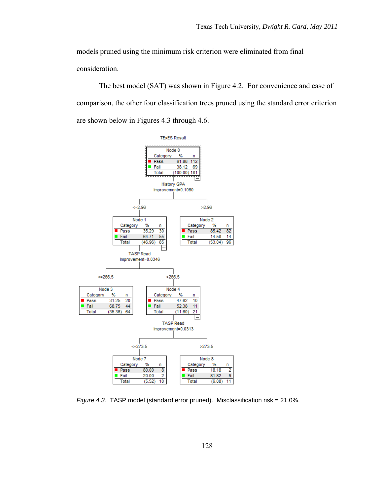models pruned using the minimum risk criterion were eliminated from final consideration.

The best model (SAT) was shown in Figure 4.2. For convenience and ease of comparison, the other four classification trees pruned using the standard error criterion are shown below in Figures 4.3 through 4.6.



*Figure 4.3.* TASP model (standard error pruned). Misclassification risk = 21.0%.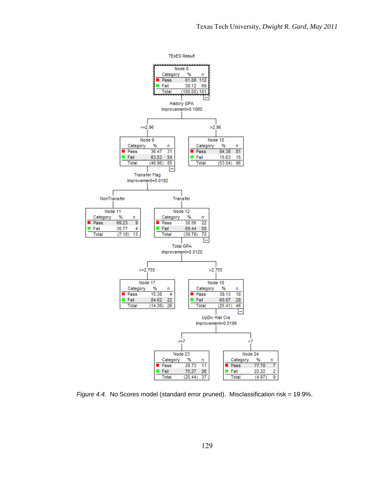$\overline{\mathbf{c}}$ 

9

**TExES Result** 



*Figure 4.4.* No Scores model (standard error pruned). Misclassification risk = 19.9%.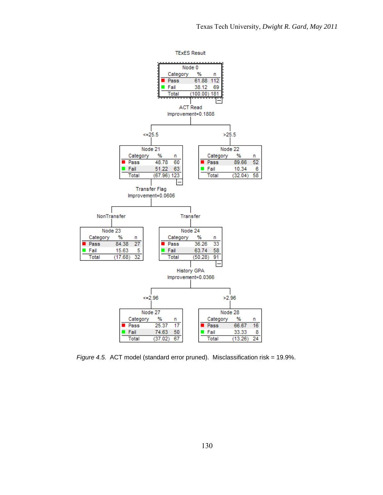**TExES Result** 



*Figure 4.5.* ACT model (standard error pruned). Misclassification risk = 19.9%.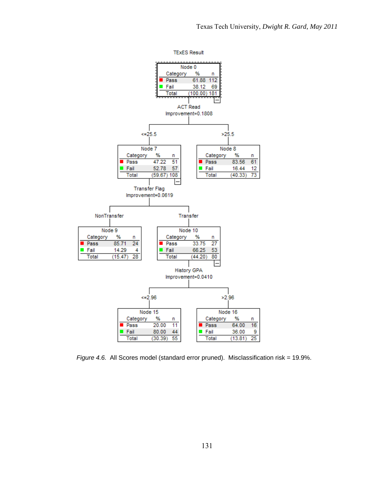**TExES Result** 



*Figure 4.6.* All Scores model (standard error pruned). Misclassification risk = 19.9%.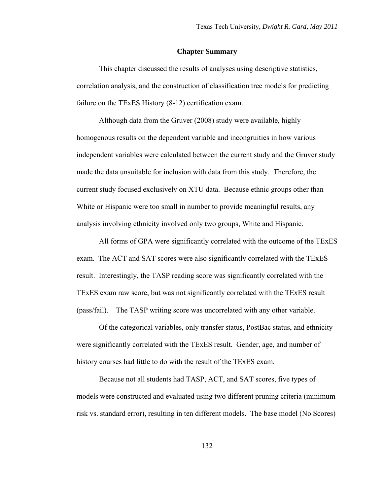### **Chapter Summary**

This chapter discussed the results of analyses using descriptive statistics, correlation analysis, and the construction of classification tree models for predicting failure on the TExES History (8-12) certification exam.

Although data from the Gruver (2008) study were available, highly homogenous results on the dependent variable and incongruities in how various independent variables were calculated between the current study and the Gruver study made the data unsuitable for inclusion with data from this study. Therefore, the current study focused exclusively on XTU data. Because ethnic groups other than White or Hispanic were too small in number to provide meaningful results, any analysis involving ethnicity involved only two groups, White and Hispanic.

All forms of GPA were significantly correlated with the outcome of the TExES exam. The ACT and SAT scores were also significantly correlated with the TExES result. Interestingly, the TASP reading score was significantly correlated with the TExES exam raw score, but was not significantly correlated with the TExES result (pass/fail). The TASP writing score was uncorrelated with any other variable.

Of the categorical variables, only transfer status, PostBac status, and ethnicity were significantly correlated with the TExES result. Gender, age, and number of history courses had little to do with the result of the TExES exam.

Because not all students had TASP, ACT, and SAT scores, five types of models were constructed and evaluated using two different pruning criteria (minimum risk vs. standard error), resulting in ten different models. The base model (No Scores)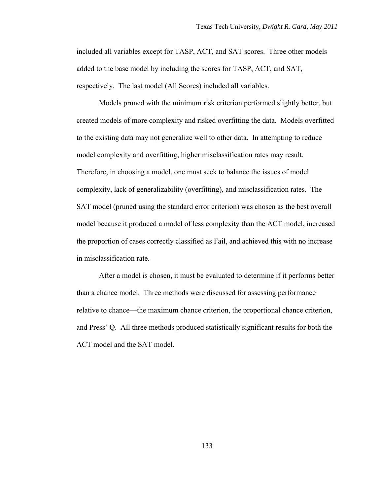included all variables except for TASP, ACT, and SAT scores. Three other models added to the base model by including the scores for TASP, ACT, and SAT, respectively. The last model (All Scores) included all variables.

Models pruned with the minimum risk criterion performed slightly better, but created models of more complexity and risked overfitting the data. Models overfitted to the existing data may not generalize well to other data. In attempting to reduce model complexity and overfitting, higher misclassification rates may result. Therefore, in choosing a model, one must seek to balance the issues of model complexity, lack of generalizability (overfitting), and misclassification rates. The SAT model (pruned using the standard error criterion) was chosen as the best overall model because it produced a model of less complexity than the ACT model, increased the proportion of cases correctly classified as Fail, and achieved this with no increase in misclassification rate.

After a model is chosen, it must be evaluated to determine if it performs better than a chance model. Three methods were discussed for assessing performance relative to chance—the maximum chance criterion, the proportional chance criterion, and Press' Q. All three methods produced statistically significant results for both the ACT model and the SAT model.

133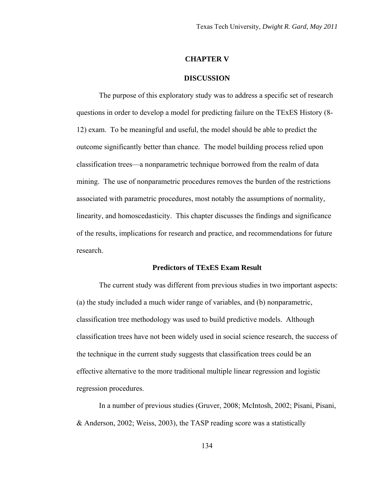### **CHAPTER V**

### **DISCUSSION**

The purpose of this exploratory study was to address a specific set of research questions in order to develop a model for predicting failure on the TExES History (8- 12) exam. To be meaningful and useful, the model should be able to predict the outcome significantly better than chance. The model building process relied upon classification trees—a nonparametric technique borrowed from the realm of data mining. The use of nonparametric procedures removes the burden of the restrictions associated with parametric procedures, most notably the assumptions of normality, linearity, and homoscedasticity. This chapter discusses the findings and significance of the results, implications for research and practice, and recommendations for future research.

# **Predictors of TExES Exam Result**

The current study was different from previous studies in two important aspects: (a) the study included a much wider range of variables, and (b) nonparametric, classification tree methodology was used to build predictive models. Although classification trees have not been widely used in social science research, the success of the technique in the current study suggests that classification trees could be an effective alternative to the more traditional multiple linear regression and logistic regression procedures.

In a number of previous studies (Gruver, 2008; McIntosh, 2002; Pisani, Pisani, & Anderson, 2002; Weiss, 2003), the TASP reading score was a statistically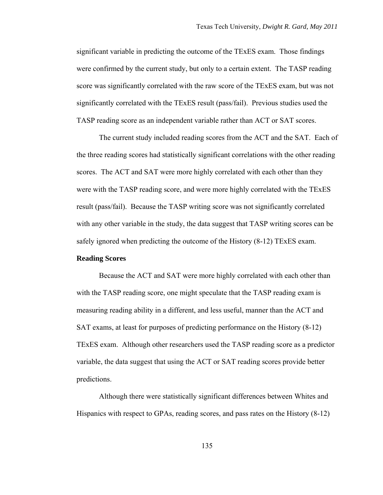significant variable in predicting the outcome of the TExES exam. Those findings were confirmed by the current study, but only to a certain extent. The TASP reading score was significantly correlated with the raw score of the TExES exam, but was not significantly correlated with the TExES result (pass/fail). Previous studies used the TASP reading score as an independent variable rather than ACT or SAT scores.

The current study included reading scores from the ACT and the SAT. Each of the three reading scores had statistically significant correlations with the other reading scores. The ACT and SAT were more highly correlated with each other than they were with the TASP reading score, and were more highly correlated with the TExES result (pass/fail). Because the TASP writing score was not significantly correlated with any other variable in the study, the data suggest that TASP writing scores can be safely ignored when predicting the outcome of the History (8-12) TExES exam.

# **Reading Scores**

Because the ACT and SAT were more highly correlated with each other than with the TASP reading score, one might speculate that the TASP reading exam is measuring reading ability in a different, and less useful, manner than the ACT and SAT exams, at least for purposes of predicting performance on the History (8-12) TExES exam. Although other researchers used the TASP reading score as a predictor variable, the data suggest that using the ACT or SAT reading scores provide better predictions.

Although there were statistically significant differences between Whites and Hispanics with respect to GPAs, reading scores, and pass rates on the History (8-12)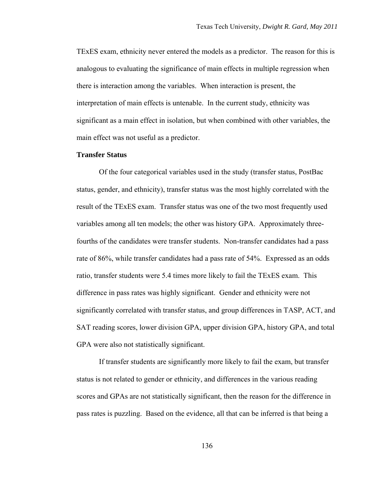TExES exam, ethnicity never entered the models as a predictor. The reason for this is analogous to evaluating the significance of main effects in multiple regression when there is interaction among the variables. When interaction is present, the interpretation of main effects is untenable. In the current study, ethnicity was significant as a main effect in isolation, but when combined with other variables, the main effect was not useful as a predictor.

## **Transfer Status**

Of the four categorical variables used in the study (transfer status, PostBac status, gender, and ethnicity), transfer status was the most highly correlated with the result of the TExES exam. Transfer status was one of the two most frequently used variables among all ten models; the other was history GPA. Approximately threefourths of the candidates were transfer students. Non-transfer candidates had a pass rate of 86%, while transfer candidates had a pass rate of 54%. Expressed as an odds ratio, transfer students were 5.4 times more likely to fail the TExES exam. This difference in pass rates was highly significant. Gender and ethnicity were not significantly correlated with transfer status, and group differences in TASP, ACT, and SAT reading scores, lower division GPA, upper division GPA, history GPA, and total GPA were also not statistically significant.

If transfer students are significantly more likely to fail the exam, but transfer status is not related to gender or ethnicity, and differences in the various reading scores and GPAs are not statistically significant, then the reason for the difference in pass rates is puzzling. Based on the evidence, all that can be inferred is that being a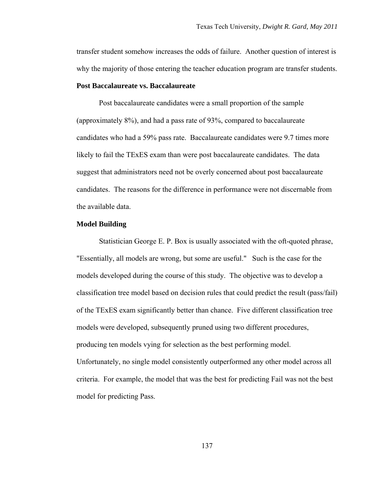transfer student somehow increases the odds of failure. Another question of interest is why the majority of those entering the teacher education program are transfer students.

## **Post Baccalaureate vs. Baccalaureate**

Post baccalaureate candidates were a small proportion of the sample (approximately 8%), and had a pass rate of 93%, compared to baccalaureate candidates who had a 59% pass rate. Baccalaureate candidates were 9.7 times more likely to fail the TExES exam than were post baccalaureate candidates. The data suggest that administrators need not be overly concerned about post baccalaureate candidates. The reasons for the difference in performance were not discernable from the available data.

## **Model Building**

 Statistician George E. P. Box is usually associated with the oft-quoted phrase, "Essentially, all models are wrong, but some are useful." Such is the case for the models developed during the course of this study. The objective was to develop a classification tree model based on decision rules that could predict the result (pass/fail) of the TExES exam significantly better than chance. Five different classification tree models were developed, subsequently pruned using two different procedures, producing ten models vying for selection as the best performing model. Unfortunately, no single model consistently outperformed any other model across all criteria. For example, the model that was the best for predicting Fail was not the best model for predicting Pass.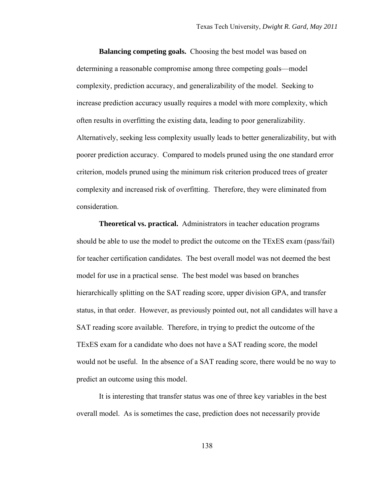**Balancing competing goals.** Choosing the best model was based on determining a reasonable compromise among three competing goals—model complexity, prediction accuracy, and generalizability of the model. Seeking to increase prediction accuracy usually requires a model with more complexity, which often results in overfitting the existing data, leading to poor generalizability. Alternatively, seeking less complexity usually leads to better generalizability, but with poorer prediction accuracy. Compared to models pruned using the one standard error criterion, models pruned using the minimum risk criterion produced trees of greater complexity and increased risk of overfitting. Therefore, they were eliminated from consideration.

**Theoretical vs. practical.** Administrators in teacher education programs should be able to use the model to predict the outcome on the TExES exam (pass/fail) for teacher certification candidates. The best overall model was not deemed the best model for use in a practical sense. The best model was based on branches hierarchically splitting on the SAT reading score, upper division GPA, and transfer status, in that order. However, as previously pointed out, not all candidates will have a SAT reading score available. Therefore, in trying to predict the outcome of the TExES exam for a candidate who does not have a SAT reading score, the model would not be useful. In the absence of a SAT reading score, there would be no way to predict an outcome using this model.

It is interesting that transfer status was one of three key variables in the best overall model. As is sometimes the case, prediction does not necessarily provide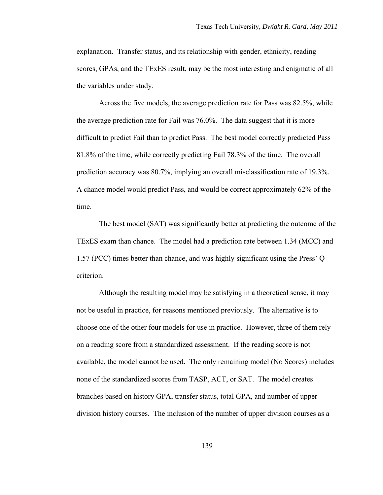explanation. Transfer status, and its relationship with gender, ethnicity, reading scores, GPAs, and the TExES result, may be the most interesting and enigmatic of all the variables under study.

Across the five models, the average prediction rate for Pass was 82.5%, while the average prediction rate for Fail was 76.0%. The data suggest that it is more difficult to predict Fail than to predict Pass. The best model correctly predicted Pass 81.8% of the time, while correctly predicting Fail 78.3% of the time. The overall prediction accuracy was 80.7%, implying an overall misclassification rate of 19.3%. A chance model would predict Pass, and would be correct approximately 62% of the time.

The best model (SAT) was significantly better at predicting the outcome of the TExES exam than chance. The model had a prediction rate between 1.34 (MCC) and 1.57 (PCC) times better than chance, and was highly significant using the Press' Q criterion.

Although the resulting model may be satisfying in a theoretical sense, it may not be useful in practice, for reasons mentioned previously. The alternative is to choose one of the other four models for use in practice. However, three of them rely on a reading score from a standardized assessment. If the reading score is not available, the model cannot be used. The only remaining model (No Scores) includes none of the standardized scores from TASP, ACT, or SAT. The model creates branches based on history GPA, transfer status, total GPA, and number of upper division history courses. The inclusion of the number of upper division courses as a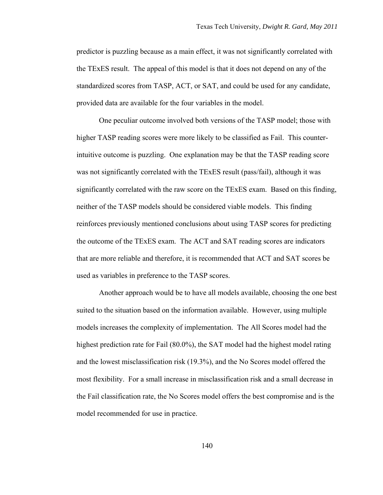predictor is puzzling because as a main effect, it was not significantly correlated with the TExES result. The appeal of this model is that it does not depend on any of the standardized scores from TASP, ACT, or SAT, and could be used for any candidate, provided data are available for the four variables in the model.

One peculiar outcome involved both versions of the TASP model; those with higher TASP reading scores were more likely to be classified as Fail. This counterintuitive outcome is puzzling. One explanation may be that the TASP reading score was not significantly correlated with the TExES result (pass/fail), although it was significantly correlated with the raw score on the TExES exam. Based on this finding, neither of the TASP models should be considered viable models. This finding reinforces previously mentioned conclusions about using TASP scores for predicting the outcome of the TExES exam. The ACT and SAT reading scores are indicators that are more reliable and therefore, it is recommended that ACT and SAT scores be used as variables in preference to the TASP scores.

Another approach would be to have all models available, choosing the one best suited to the situation based on the information available. However, using multiple models increases the complexity of implementation. The All Scores model had the highest prediction rate for Fail (80.0%), the SAT model had the highest model rating and the lowest misclassification risk (19.3%), and the No Scores model offered the most flexibility. For a small increase in misclassification risk and a small decrease in the Fail classification rate, the No Scores model offers the best compromise and is the model recommended for use in practice.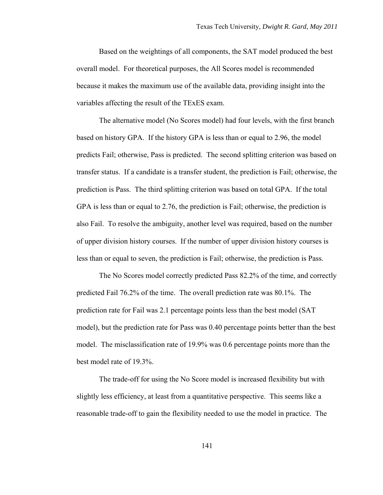Based on the weightings of all components, the SAT model produced the best overall model. For theoretical purposes, the All Scores model is recommended because it makes the maximum use of the available data, providing insight into the variables affecting the result of the TExES exam.

The alternative model (No Scores model) had four levels, with the first branch based on history GPA. If the history GPA is less than or equal to 2.96, the model predicts Fail; otherwise, Pass is predicted. The second splitting criterion was based on transfer status. If a candidate is a transfer student, the prediction is Fail; otherwise, the prediction is Pass. The third splitting criterion was based on total GPA. If the total GPA is less than or equal to 2.76, the prediction is Fail; otherwise, the prediction is also Fail. To resolve the ambiguity, another level was required, based on the number of upper division history courses. If the number of upper division history courses is less than or equal to seven, the prediction is Fail; otherwise, the prediction is Pass.

The No Scores model correctly predicted Pass 82.2% of the time, and correctly predicted Fail 76.2% of the time. The overall prediction rate was 80.1%. The prediction rate for Fail was 2.1 percentage points less than the best model (SAT model), but the prediction rate for Pass was 0.40 percentage points better than the best model. The misclassification rate of 19.9% was 0.6 percentage points more than the best model rate of 19.3%.

The trade-off for using the No Score model is increased flexibility but with slightly less efficiency, at least from a quantitative perspective. This seems like a reasonable trade-off to gain the flexibility needed to use the model in practice. The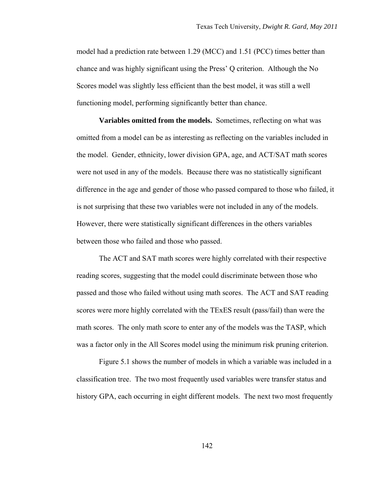model had a prediction rate between 1.29 (MCC) and 1.51 (PCC) times better than chance and was highly significant using the Press' Q criterion. Although the No Scores model was slightly less efficient than the best model, it was still a well functioning model, performing significantly better than chance.

**Variables omitted from the models.** Sometimes, reflecting on what was omitted from a model can be as interesting as reflecting on the variables included in the model. Gender, ethnicity, lower division GPA, age, and ACT/SAT math scores were not used in any of the models. Because there was no statistically significant difference in the age and gender of those who passed compared to those who failed, it is not surprising that these two variables were not included in any of the models. However, there were statistically significant differences in the others variables between those who failed and those who passed.

The ACT and SAT math scores were highly correlated with their respective reading scores, suggesting that the model could discriminate between those who passed and those who failed without using math scores. The ACT and SAT reading scores were more highly correlated with the TExES result (pass/fail) than were the math scores. The only math score to enter any of the models was the TASP, which was a factor only in the All Scores model using the minimum risk pruning criterion.

Figure 5.1 shows the number of models in which a variable was included in a classification tree. The two most frequently used variables were transfer status and history GPA, each occurring in eight different models. The next two most frequently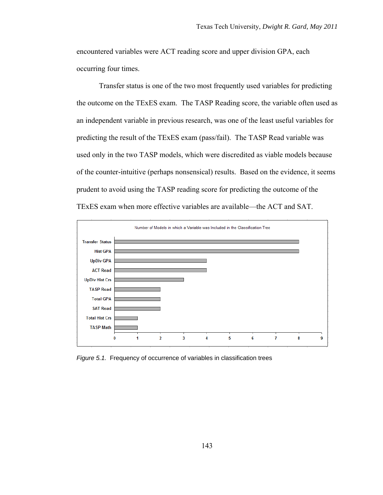encountered variables were ACT reading score and upper division GPA, each occurring four times.

Transfer status is one of the two most frequently used variables for predicting the outcome on the TExES exam. The TASP Reading score, the variable often used as an independent variable in previous research, was one of the least useful variables for predicting the result of the TExES exam (pass/fail). The TASP Read variable was used only in the two TASP models, which were discredited as viable models because of the counter-intuitive (perhaps nonsensical) results. Based on the evidence, it seems prudent to avoid using the TASP reading score for predicting the outcome of the TExES exam when more effective variables are available—the ACT and SAT.



*Figure 5.1.* Frequency of occurrence of variables in classification trees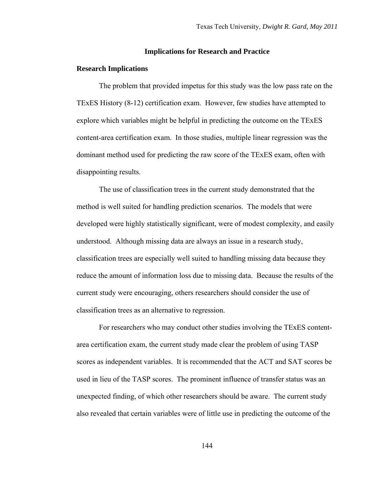## **Implications for Research and Practice**

## **Research Implications**

The problem that provided impetus for this study was the low pass rate on the TExES History (8-12) certification exam. However, few studies have attempted to explore which variables might be helpful in predicting the outcome on the TExES content-area certification exam. In those studies, multiple linear regression was the dominant method used for predicting the raw score of the TExES exam, often with disappointing results.

The use of classification trees in the current study demonstrated that the method is well suited for handling prediction scenarios. The models that were developed were highly statistically significant, were of modest complexity, and easily understood. Although missing data are always an issue in a research study, classification trees are especially well suited to handling missing data because they reduce the amount of information loss due to missing data. Because the results of the current study were encouraging, others researchers should consider the use of classification trees as an alternative to regression.

For researchers who may conduct other studies involving the TExES contentarea certification exam, the current study made clear the problem of using TASP scores as independent variables. It is recommended that the ACT and SAT scores be used in lieu of the TASP scores. The prominent influence of transfer status was an unexpected finding, of which other researchers should be aware. The current study also revealed that certain variables were of little use in predicting the outcome of the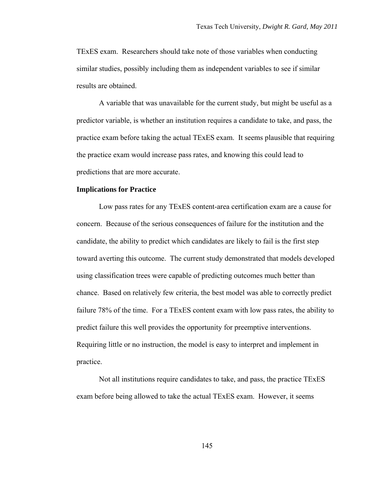TExES exam. Researchers should take note of those variables when conducting similar studies, possibly including them as independent variables to see if similar results are obtained.

A variable that was unavailable for the current study, but might be useful as a predictor variable, is whether an institution requires a candidate to take, and pass, the practice exam before taking the actual TExES exam. It seems plausible that requiring the practice exam would increase pass rates, and knowing this could lead to predictions that are more accurate.

## **Implications for Practice**

Low pass rates for any TExES content-area certification exam are a cause for concern. Because of the serious consequences of failure for the institution and the candidate, the ability to predict which candidates are likely to fail is the first step toward averting this outcome. The current study demonstrated that models developed using classification trees were capable of predicting outcomes much better than chance. Based on relatively few criteria, the best model was able to correctly predict failure 78% of the time. For a TExES content exam with low pass rates, the ability to predict failure this well provides the opportunity for preemptive interventions. Requiring little or no instruction, the model is easy to interpret and implement in practice.

Not all institutions require candidates to take, and pass, the practice TExES exam before being allowed to take the actual TExES exam. However, it seems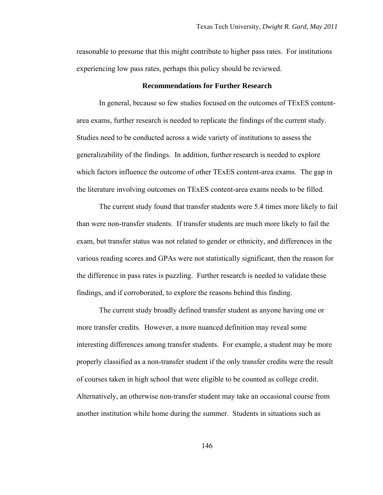reasonable to presume that this might contribute to higher pass rates. For institutions experiencing low pass rates, perhaps this policy should be reviewed.

## **Recommendations for Further Research**

In general, because so few studies focused on the outcomes of TExES contentarea exams, further research is needed to replicate the findings of the current study. Studies need to be conducted across a wide variety of institutions to assess the generalizability of the findings. In addition, further research is needed to explore which factors influence the outcome of other TExES content-area exams. The gap in the literature involving outcomes on TExES content-area exams needs to be filled.

The current study found that transfer students were 5.4 times more likely to fail than were non-transfer students. If transfer students are much more likely to fail the exam, but transfer status was not related to gender or ethnicity, and differences in the various reading scores and GPAs were not statistically significant, then the reason for the difference in pass rates is puzzling. Further research is needed to validate these findings, and if corroborated, to explore the reasons behind this finding.

The current study broadly defined transfer student as anyone having one or more transfer credits. However, a more nuanced definition may reveal some interesting differences among transfer students. For example, a student may be more properly classified as a non-transfer student if the only transfer credits were the result of courses taken in high school that were eligible to be counted as college credit. Alternatively, an otherwise non-transfer student may take an occasional course from another institution while home during the summer. Students in situations such as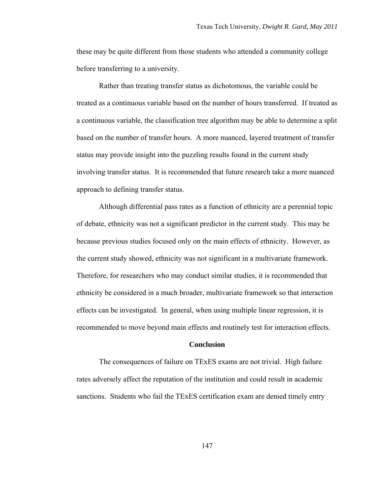these may be quite different from those students who attended a community college before transferring to a university.

Rather than treating transfer status as dichotomous, the variable could be treated as a continuous variable based on the number of hours transferred. If treated as a continuous variable, the classification tree algorithm may be able to determine a split based on the number of transfer hours. A more nuanced, layered treatment of transfer status may provide insight into the puzzling results found in the current study involving transfer status. It is recommended that future research take a more nuanced approach to defining transfer status.

Although differential pass rates as a function of ethnicity are a perennial topic of debate, ethnicity was not a significant predictor in the current study. This may be because previous studies focused only on the main effects of ethnicity. However, as the current study showed, ethnicity was not significant in a multivariate framework. Therefore, for researchers who may conduct similar studies, it is recommended that ethnicity be considered in a much broader, multivariate framework so that interaction effects can be investigated. In general, when using multiple linear regression, it is recommended to move beyond main effects and routinely test for interaction effects.

# **Conclusion**

The consequences of failure on TExES exams are not trivial. High failure rates adversely affect the reputation of the institution and could result in academic sanctions. Students who fail the TExES certification exam are denied timely entry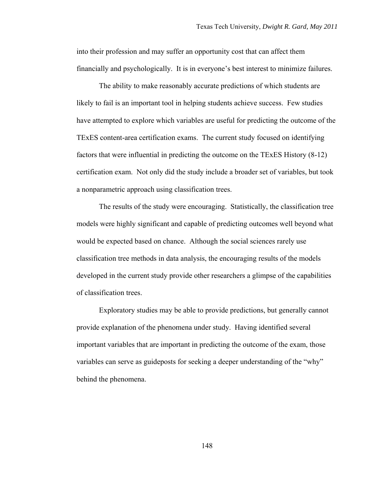into their profession and may suffer an opportunity cost that can affect them financially and psychologically. It is in everyone's best interest to minimize failures.

The ability to make reasonably accurate predictions of which students are likely to fail is an important tool in helping students achieve success. Few studies have attempted to explore which variables are useful for predicting the outcome of the TExES content-area certification exams. The current study focused on identifying factors that were influential in predicting the outcome on the TExES History (8-12) certification exam. Not only did the study include a broader set of variables, but took a nonparametric approach using classification trees.

The results of the study were encouraging. Statistically, the classification tree models were highly significant and capable of predicting outcomes well beyond what would be expected based on chance. Although the social sciences rarely use classification tree methods in data analysis, the encouraging results of the models developed in the current study provide other researchers a glimpse of the capabilities of classification trees.

Exploratory studies may be able to provide predictions, but generally cannot provide explanation of the phenomena under study. Having identified several important variables that are important in predicting the outcome of the exam, those variables can serve as guideposts for seeking a deeper understanding of the "why" behind the phenomena.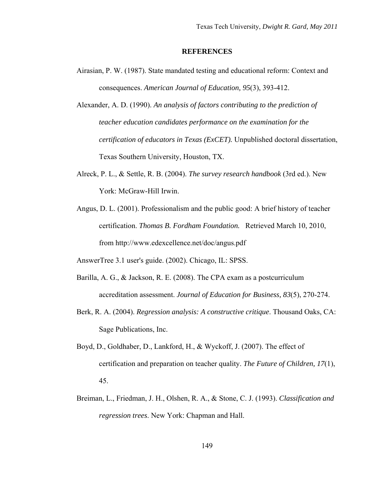## **REFERENCES**

- Airasian, P. W. (1987). State mandated testing and educational reform: Context and consequences. *American Journal of Education, 95*(3), 393-412.
- Alexander, A. D. (1990). *An analysis of factors contributing to the prediction of teacher education candidates performance on the examination for the certification of educators in Texas (ExCET).* Unpublished doctoral dissertation, Texas Southern University, Houston, TX.
- Alreck, P. L., & Settle, R. B. (2004). *The survey research handbook* (3rd ed.). New York: McGraw-Hill Irwin.
- Angus, D. L. (2001). Professionalism and the public good: A brief history of teacher certification. *Thomas B. Fordham Foundation.* Retrieved March 10, 2010, from http://www.edexcellence.net/doc/angus.pdf
- AnswerTree 3.1 user's guide. (2002). Chicago, IL: SPSS.
- Barilla, A. G., & Jackson, R. E. (2008). The CPA exam as a postcurriculum accreditation assessment. *Journal of Education for Business, 83*(5), 270-274.
- Berk, R. A. (2004). *Regression analysis: A constructive critique*. Thousand Oaks, CA: Sage Publications, Inc.
- Boyd, D., Goldhaber, D., Lankford, H., & Wyckoff, J. (2007). The effect of certification and preparation on teacher quality. *The Future of Children, 17*(1), 45.
- Breiman, L., Friedman, J. H., Olshen, R. A., & Stone, C. J. (1993). *Classification and regression trees*. New York: Chapman and Hall.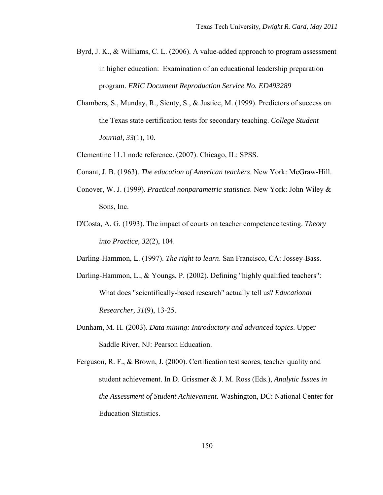- Byrd, J. K., & Williams, C. L. (2006). A value-added approach to program assessment in higher education: Examination of an educational leadership preparation program. *ERIC Document Reproduction Service No. ED493289*
- Chambers, S., Munday, R., Sienty, S., & Justice, M. (1999). Predictors of success on the Texas state certification tests for secondary teaching. *College Student Journal, 33*(1), 10.
- Clementine 11.1 node reference. (2007). Chicago, IL: SPSS.
- Conant, J. B. (1963). *The education of American teachers*. New York: McGraw-Hill.
- Conover, W. J. (1999). *Practical nonparametric statistics*. New York: John Wiley & Sons, Inc.
- D'Costa, A. G. (1993). The impact of courts on teacher competence testing. *Theory into Practice, 32*(2), 104.
- Darling-Hammon, L. (1997). *The right to learn*. San Francisco, CA: Jossey-Bass.
- Darling-Hammon, L., & Youngs, P. (2002). Defining "highly qualified teachers": What does "scientifically-based research" actually tell us? *Educational Researcher, 31*(9), 13-25.
- Dunham, M. H. (2003). *Data mining: Introductory and advanced topics*. Upper Saddle River, NJ: Pearson Education.
- Ferguson, R. F., & Brown, J. (2000). Certification test scores, teacher quality and student achievement. In D. Grissmer & J. M. Ross (Eds.), *Analytic Issues in the Assessment of Student Achievement*. Washington, DC: National Center for Education Statistics.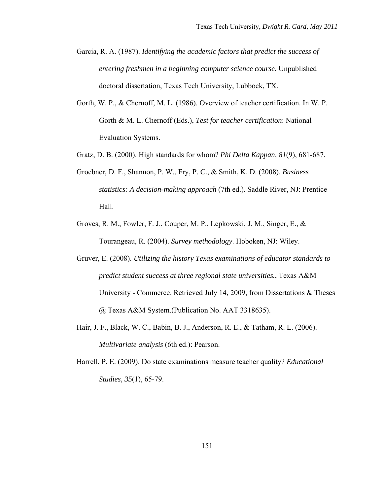- Garcia, R. A. (1987). *Identifying the academic factors that predict the success of entering freshmen in a beginning computer science course.* Unpublished doctoral dissertation, Texas Tech University, Lubbock, TX.
- Gorth, W. P., & Chernoff, M. L. (1986). Overview of teacher certification. In W. P. Gorth & M. L. Chernoff (Eds.), *Test for teacher certification*: National Evaluation Systems.
- Gratz, D. B. (2000). High standards for whom? *Phi Delta Kappan, 81*(9), 681-687.
- Groebner, D. F., Shannon, P. W., Fry, P. C., & Smith, K. D. (2008). *Business statistics: A decision-making approach* (7th ed.). Saddle River, NJ: Prentice Hall.
- Groves, R. M., Fowler, F. J., Couper, M. P., Lepkowski, J. M., Singer, E., & Tourangeau, R. (2004). *Survey methodology*. Hoboken, NJ: Wiley.
- Gruver, E. (2008). *Utilizing the history Texas examinations of educator standards to predict student success at three regional state universities.*, Texas A&M University - Commerce. Retrieved July 14, 2009, from Dissertations & Theses @ Texas A&M System.(Publication No. AAT 3318635).
- Hair, J. F., Black, W. C., Babin, B. J., Anderson, R. E., & Tatham, R. L. (2006). *Multivariate analysis* (6th ed.): Pearson.
- Harrell, P. E. (2009). Do state examinations measure teacher quality? *Educational Studies, 35*(1), 65-79.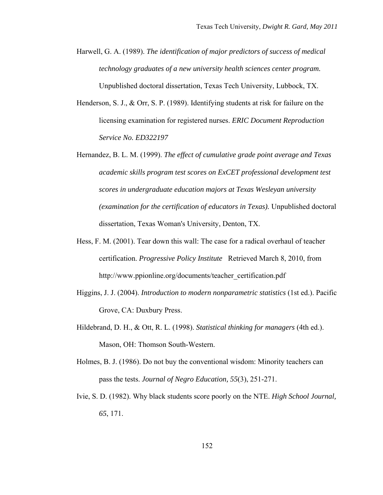- Harwell, G. A. (1989). *The identification of major predictors of success of medical technology graduates of a new university health sciences center program.* Unpublished doctoral dissertation, Texas Tech University, Lubbock, TX.
- Henderson, S. J., & Orr, S. P. (1989). Identifying students at risk for failure on the licensing examination for registered nurses. *ERIC Document Reproduction Service No. ED322197*
- Hernandez, B. L. M. (1999). *The effect of cumulative grade point average and Texas academic skills program test scores on ExCET professional development test scores in undergraduate education majors at Texas Wesleyan university (examination for the certification of educators in Texas).* Unpublished doctoral dissertation, Texas Woman's University, Denton, TX.
- Hess, F. M. (2001). Tear down this wall: The case for a radical overhaul of teacher certification. *Progressive Policy Institute* Retrieved March 8, 2010, from http://www.ppionline.org/documents/teacher\_certification.pdf
- Higgins, J. J. (2004). *Introduction to modern nonparametric statistics* (1st ed.). Pacific Grove, CA: Duxbury Press.
- Hildebrand, D. H., & Ott, R. L. (1998). *Statistical thinking for managers* (4th ed.). Mason, OH: Thomson South-Western.
- Holmes, B. J. (1986). Do not buy the conventional wisdom: Minority teachers can pass the tests. *Journal of Negro Education, 55*(3), 251-271.
- Ivie, S. D. (1982). Why black students score poorly on the NTE. *High School Journal, 65*, 171.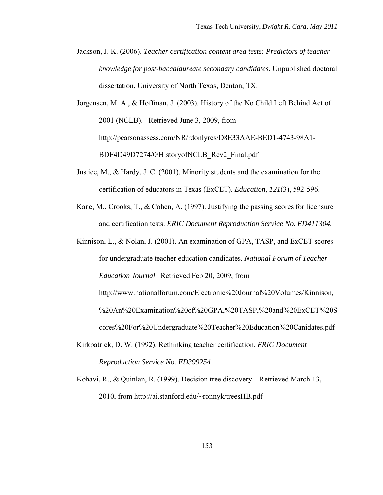- Jackson, J. K. (2006). *Teacher certification content area tests: Predictors of teacher knowledge for post-baccalaureate secondary candidates.* Unpublished doctoral dissertation, University of North Texas, Denton, TX.
- Jorgensen, M. A., & Hoffman, J. (2003). History of the No Child Left Behind Act of 2001 (NCLB). Retrieved June 3, 2009, from http://pearsonassess.com/NR/rdonlyres/D8E33AAE-BED1-4743-98A1- BDF4D49D7274/0/HistoryofNCLB\_Rev2\_Final.pdf
- Justice, M., & Hardy, J. C. (2001). Minority students and the examination for the certification of educators in Texas (ExCET). *Education, 121*(3), 592-596.
- Kane, M., Crooks, T., & Cohen, A. (1997). Justifying the passing scores for licensure and certification tests. *ERIC Document Reproduction Service No. ED411304.*

Kinnison, L., & Nolan, J. (2001). An examination of GPA, TASP, and ExCET scores for undergraduate teacher education candidates. *National Forum of Teacher Education Journal* Retrieved Feb 20, 2009, from http://www.nationalforum.com/Electronic%20Journal%20Volumes/Kinnison, %20An%20Examination%20of%20GPA,%20TASP,%20and%20ExCET%20S cores%20For%20Undergraduate%20Teacher%20Education%20Canidates.pdf

- Kirkpatrick, D. W. (1992). Rethinking teacher certification. *ERIC Document Reproduction Service No. ED399254*
- Kohavi, R., & Quinlan, R. (1999). Decision tree discovery. Retrieved March 13, 2010, from http://ai.stanford.edu/~ronnyk/treesHB.pdf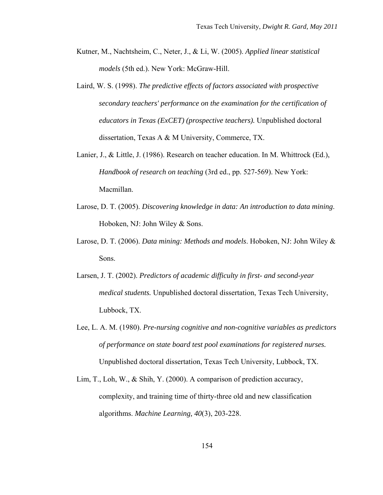- Kutner, M., Nachtsheim, C., Neter, J., & Li, W. (2005). *Applied linear statistical models* (5th ed.). New York: McGraw-Hill.
- Laird, W. S. (1998). *The predictive effects of factors associated with prospective secondary teachers' performance on the examination for the certification of educators in Texas (ExCET) (prospective teachers).* Unpublished doctoral dissertation, Texas A & M University, Commerce, TX.
- Lanier, J., & Little, J. (1986). Research on teacher education. In M. Whittrock (Ed.), *Handbook of research on teaching* (3rd ed., pp. 527-569). New York: Macmillan.
- Larose, D. T. (2005). *Discovering knowledge in data: An introduction to data mining*. Hoboken, NJ: John Wiley & Sons.
- Larose, D. T. (2006). *Data mining: Methods and models*. Hoboken, NJ: John Wiley & Sons.
- Larsen, J. T. (2002). *Predictors of academic difficulty in first- and second-year medical students.* Unpublished doctoral dissertation, Texas Tech University, Lubbock, TX.
- Lee, L. A. M. (1980). *Pre-nursing cognitive and non-cognitive variables as predictors of performance on state board test pool examinations for registered nurses.* Unpublished doctoral dissertation, Texas Tech University, Lubbock, TX.
- Lim, T., Loh, W., & Shih, Y. (2000). A comparison of prediction accuracy, complexity, and training time of thirty-three old and new classification algorithms. *Machine Learning, 40*(3), 203-228.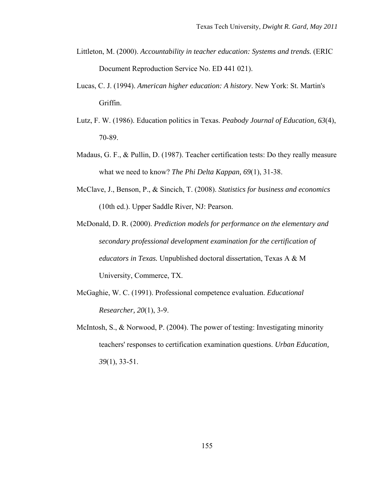- Littleton, M. (2000). *Accountability in teacher education: Systems and trends.* (ERIC Document Reproduction Service No. ED 441 021).
- Lucas, C. J. (1994). *American higher education: A history*. New York: St. Martin's Griffin.
- Lutz, F. W. (1986). Education politics in Texas. *Peabody Journal of Education, 63*(4), 70-89.
- Madaus, G. F., & Pullin, D. (1987). Teacher certification tests: Do they really measure what we need to know? *The Phi Delta Kappan, 69*(1), 31-38.
- McClave, J., Benson, P., & Sincich, T. (2008). *Statistics for business and economics* (10th ed.). Upper Saddle River, NJ: Pearson.
- McDonald, D. R. (2000). *Prediction models for performance on the elementary and secondary professional development examination for the certification of educators in Texas.* Unpublished doctoral dissertation, Texas A & M University, Commerce, TX.
- McGaghie, W. C. (1991). Professional competence evaluation. *Educational Researcher, 20*(1), 3-9.
- McIntosh, S., & Norwood, P. (2004). The power of testing: Investigating minority teachers' responses to certification examination questions. *Urban Education, 39*(1), 33-51.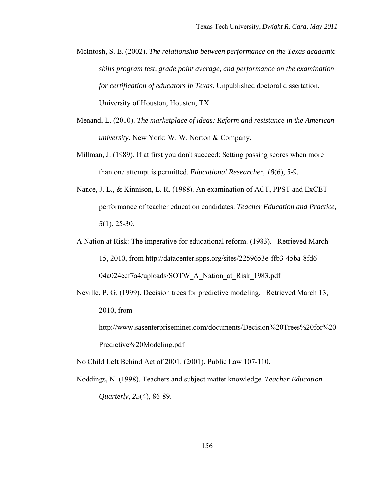- McIntosh, S. E. (2002). *The relationship between performance on the Texas academic skills program test, grade point average, and performance on the examination for certification of educators in Texas.* Unpublished doctoral dissertation, University of Houston, Houston, TX.
- Menand, L. (2010). *The marketplace of ideas: Reform and resistance in the American university*. New York: W. W. Norton & Company.
- Millman, J. (1989). If at first you don't succeed: Setting passing scores when more than one attempt is permitted. *Educational Researcher, 18*(6), 5-9.
- Nance, J. L., & Kinnison, L. R. (1988). An examination of ACT, PPST and ExCET performance of teacher education candidates. *Teacher Education and Practice, 5*(1), 25-30.
- A Nation at Risk: The imperative for educational reform. (1983). Retrieved March 15, 2010, from http://datacenter.spps.org/sites/2259653e-ffb3-45ba-8fd6- 04a024ecf7a4/uploads/SOTW\_A\_Nation\_at\_Risk\_1983.pdf
- Neville, P. G. (1999). Decision trees for predictive modeling. Retrieved March 13, 2010, from
	- http://www.sasenterpriseminer.com/documents/Decision%20Trees%20for%20 Predictive%20Modeling.pdf

No Child Left Behind Act of 2001. (2001). Public Law 107-110.

Noddings, N. (1998). Teachers and subject matter knowledge. *Teacher Education Quarterly, 25*(4), 86-89.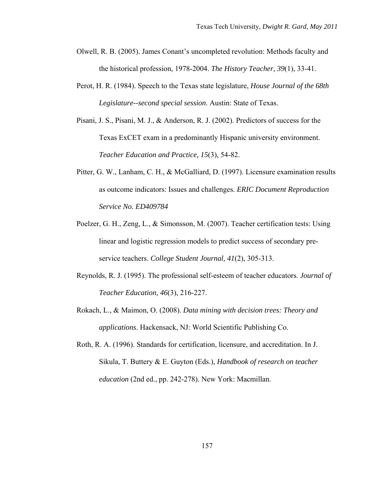- Olwell, R. B. (2005). James Conant's uncompleted revolution: Methods faculty and the historical profession, 1978-2004. *The History Teacher, 39*(1), 33-41.
- Perot, H. R. (1984). Speech to the Texas state legislature, *House Journal of the 68th Legislature--second special session*. Austin: State of Texas.
- Pisani, J. S., Pisani, M. J., & Anderson, R. J. (2002). Predictors of success for the Texas ExCET exam in a predominantly Hispanic university environment. *Teacher Education and Practice, 15*(3), 54-82.
- Pitter, G. W., Lanham, C. H., & McGalliard, D. (1997). Licensure examination results as outcome indicators: Issues and challenges. *ERIC Document Reproduction Service No. ED409784*
- Poelzer, G. H., Zeng, L., & Simonsson, M. (2007). Teacher certification tests: Using linear and logistic regression models to predict success of secondary preservice teachers. *College Student Journal, 41*(2), 305-313.
- Reynolds, R. J. (1995). The professional self-esteem of teacher educators. *Journal of Teacher Education, 46*(3), 216-227.
- Rokach, L., & Maimon, O. (2008). *Data mining with decision trees: Theory and applications*. Hackensack, NJ: World Scientific Publishing Co.
- Roth, R. A. (1996). Standards for certification, licensure, and accreditation. In J. Sikula, T. Buttery & E. Guyton (Eds.), *Handbook of research on teacher education* (2nd ed., pp. 242-278). New York: Macmillan.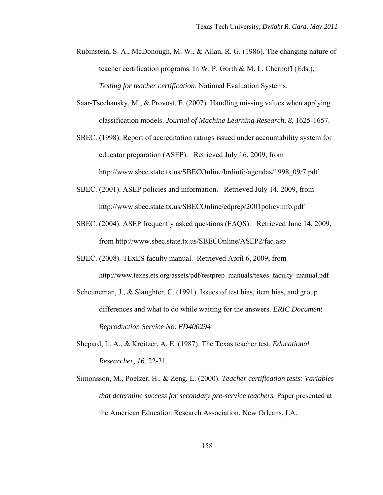- Rubinstein, S. A., McDonough, M. W., & Allan, R. G. (1986). The changing nature of teacher certification programs. In W. P. Gorth & M. L. Chernoff (Eds.), *Testing for teacher certification*: National Evaluation Systems.
- Saar-Tsechansky, M., & Provost, F. (2007). Handling missing values when applying classification models. *Journal of Machine Learning Research, 8*, 1625-1657.
- SBEC. (1998). Report of accreditation ratings issued under accountability system for educator preparation (ASEP). Retrieved July 16, 2009, from http://www.sbec.state.tx.us/SBECOnline/brdinfo/agendas/1998\_09/7.pdf
- SBEC. (2001). ASEP policies and information. Retrieved July 14, 2009, from http://www.sbec.state.tx.us/SBECOnline/edprep/2001policyinfo.pdf
- SBEC. (2004). ASEP frequently asked questions (FAQS). Retrieved June 14, 2009, from http://www.sbec.state.tx.us/SBECOnline/ASEP2/faq.asp
- SBEC. (2008). TExES faculty manual. Retrieved April 6, 2009, from http://www.texes.ets.org/assets/pdf/testprep\_manuals/texes\_faculty\_manual.pdf
- Scheuneman, J., & Slaughter, C. (1991). Issues of test bias, item bias, and group differences and what to do while waiting for the answers. *ERIC Document Reproduction Service No. ED400294*
- Shepard, L. A., & Kreitzer, A. E. (1987). The Texas teacher test. *Educational Researcher, 16*, 22-31.
- Simonsson, M., Poelzer, H., & Zeng, L. (2000). *Teacher certification tests: Variables that determine success for secondary pre-service teachers.* Paper presented at the American Education Research Association, New Orleans, LA.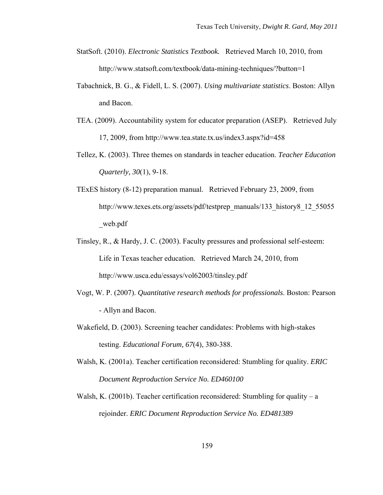- StatSoft. (2010). *Electronic Statistics Textbook.* Retrieved March 10, 2010, from http://www.statsoft.com/textbook/data-mining-techniques/?button=1
- Tabachnick, B. G., & Fidell, L. S. (2007). *Using multivariate statistics*. Boston: Allyn and Bacon.
- TEA. (2009). Accountability system for educator preparation (ASEP). Retrieved July 17, 2009, from http://www.tea.state.tx.us/index3.aspx?id=458
- Tellez, K. (2003). Three themes on standards in teacher education. *Teacher Education Quarterly, 30*(1), 9-18.
- TExES history (8-12) preparation manual. Retrieved February 23, 2009, from http://www.texes.ets.org/assets/pdf/testprep\_manuals/133\_history8\_12\_55055 \_web.pdf
- Tinsley, R., & Hardy, J. C. (2003). Faculty pressures and professional self-esteem: Life in Texas teacher education. Retrieved March 24, 2010, from http://www.usca.edu/essays/vol62003/tinsley.pdf
- Vogt, W. P. (2007). *Quantitative research methods for professionals*. Boston: Pearson - Allyn and Bacon.
- Wakefield, D. (2003). Screening teacher candidates: Problems with high-stakes testing. *Educational Forum, 67*(4), 380-388.
- Walsh, K. (2001a). Teacher certification reconsidered: Stumbling for quality. *ERIC Document Reproduction Service No. ED460100*
- Walsh, K. (2001b). Teacher certification reconsidered: Stumbling for quality a rejoinder. *ERIC Document Reproduction Service No. ED481389*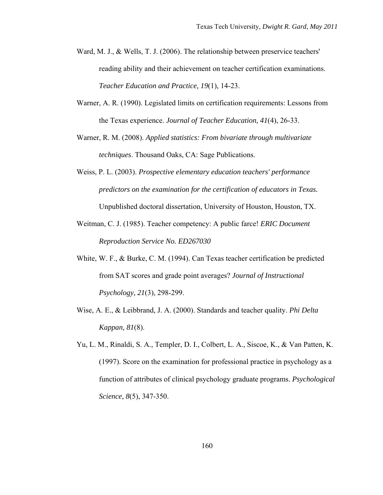- Ward, M. J., & Wells, T. J. (2006). The relationship between preservice teachers' reading ability and their achievement on teacher certification examinations. *Teacher Education and Practice, 19*(1), 14-23.
- Warner, A. R. (1990). Legislated limits on certification requirements: Lessons from the Texas experience. *Journal of Teacher Education, 41*(4), 26-33.
- Warner, R. M. (2008). *Applied statistics: From bivariate through multivariate techniques*. Thousand Oaks, CA: Sage Publications.
- Weiss, P. L. (2003). *Prospective elementary education teachers' performance predictors on the examination for the certification of educators in Texas.* Unpublished doctoral dissertation, University of Houston, Houston, TX.
- Weitman, C. J. (1985). Teacher competency: A public farce! *ERIC Document Reproduction Service No. ED267030*
- White, W. F., & Burke, C. M. (1994). Can Texas teacher certification be predicted from SAT scores and grade point averages? *Journal of Instructional Psychology, 21*(3), 298-299.
- Wise, A. E., & Leibbrand, J. A. (2000). Standards and teacher quality. *Phi Delta Kappan, 81*(8).
- Yu, L. M., Rinaldi, S. A., Templer, D. I., Colbert, L. A., Siscoe, K., & Van Patten, K. (1997). Score on the examination for professional practice in psychology as a function of attributes of clinical psychology graduate programs. *Psychological Science, 8*(5), 347-350.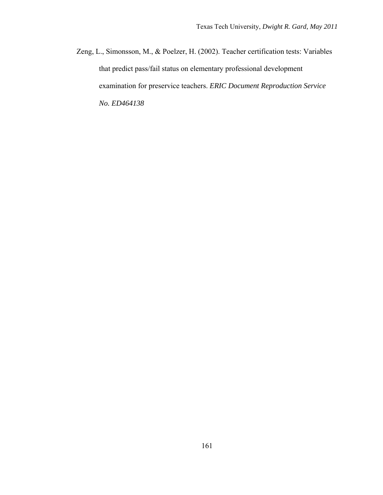Zeng, L., Simonsson, M., & Poelzer, H. (2002). Teacher certification tests: Variables that predict pass/fail status on elementary professional development examination for preservice teachers. *ERIC Document Reproduction Service No. ED464138*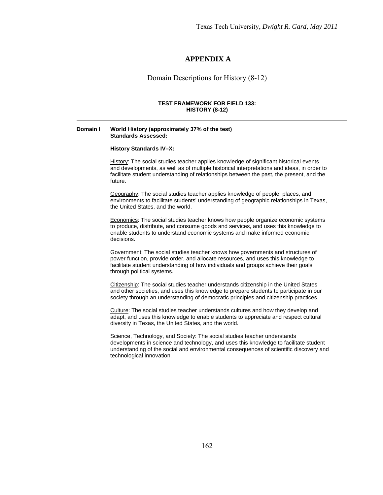# **APPENDIX A**

Domain Descriptions for History (8-12)

### **TEST FRAMEWORK FOR FIELD 133: HISTORY (8-12)**

### **Domain I World History (approximately 37% of the test) Standards Assessed:**

#### **History Standards IV–X:**

History: The social studies teacher applies knowledge of significant historical events and developments, as well as of multiple historical interpretations and ideas, in order to facilitate student understanding of relationships between the past, the present, and the future.

Geography: The social studies teacher applies knowledge of people, places, and environments to facilitate students' understanding of geographic relationships in Texas, the United States, and the world.

**Economics:** The social studies teacher knows how people organize economic systems to produce, distribute, and consume goods and services, and uses this knowledge to enable students to understand economic systems and make informed economic decisions.

Government: The social studies teacher knows how governments and structures of power function, provide order, and allocate resources, and uses this knowledge to facilitate student understanding of how individuals and groups achieve their goals through political systems.

Citizenship: The social studies teacher understands citizenship in the United States and other societies, and uses this knowledge to prepare students to participate in our society through an understanding of democratic principles and citizenship practices.

Culture: The social studies teacher understands cultures and how they develop and adapt, and uses this knowledge to enable students to appreciate and respect cultural diversity in Texas, the United States, and the world.

Science, Technology, and Society: The social studies teacher understands developments in science and technology, and uses this knowledge to facilitate student understanding of the social and environmental consequences of scientific discovery and technological innovation.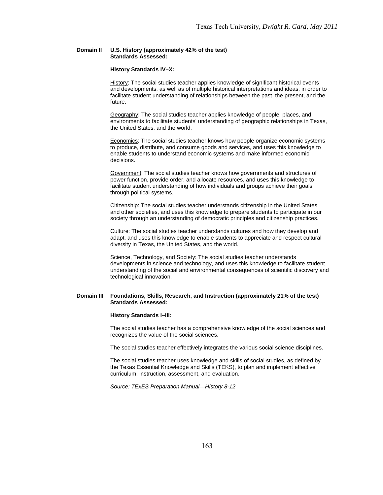### **Domain II U.S. History (approximately 42% of the test) Standards Assessed:**

#### **History Standards IV–X:**

History: The social studies teacher applies knowledge of significant historical events and developments, as well as of multiple historical interpretations and ideas, in order to facilitate student understanding of relationships between the past, the present, and the future.

Geography: The social studies teacher applies knowledge of people, places, and environments to facilitate students' understanding of geographic relationships in Texas, the United States, and the world.

Economics: The social studies teacher knows how people organize economic systems to produce, distribute, and consume goods and services, and uses this knowledge to enable students to understand economic systems and make informed economic decisions.

Government: The social studies teacher knows how governments and structures of power function, provide order, and allocate resources, and uses this knowledge to facilitate student understanding of how individuals and groups achieve their goals through political systems.

Citizenship: The social studies teacher understands citizenship in the United States and other societies, and uses this knowledge to prepare students to participate in our society through an understanding of democratic principles and citizenship practices.

Culture: The social studies teacher understands cultures and how they develop and adapt, and uses this knowledge to enable students to appreciate and respect cultural diversity in Texas, the United States, and the world.

Science, Technology, and Society: The social studies teacher understands developments in science and technology, and uses this knowledge to facilitate student understanding of the social and environmental consequences of scientific discovery and technological innovation.

### **Domain III Foundations, Skills, Research, and Instruction (approximately 21% of the test) Standards Assessed:**

#### **History Standards I–III:**

The social studies teacher has a comprehensive knowledge of the social sciences and recognizes the value of the social sciences.

The social studies teacher effectively integrates the various social science disciplines.

The social studies teacher uses knowledge and skills of social studies, as defined by the Texas Essential Knowledge and Skills (TEKS), to plan and implement effective curriculum, instruction, assessment, and evaluation.

*Source: TExES Preparation Manual—History 8-12*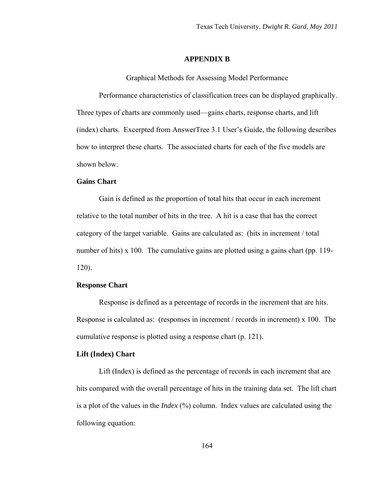### **APPENDIX B**

Graphical Methods for Assessing Model Performance

Performance characteristics of classification trees can be displayed graphically. Three types of charts are commonly used—gains charts, response charts, and lift (index) charts. Excerpted from AnswerTree 3.1 User's Guide, the following describes how to interpret these charts. The associated charts for each of the five models are shown below.

## **Gains Chart**

Gain is defined as the proportion of total hits that occur in each increment relative to the total number of hits in the tree. A hit is a case that has the correct category of the target variable. Gains are calculated as: (hits in increment / total number of hits) x 100. The cumulative gains are plotted using a gains chart (pp. 119-120).

## **Response Chart**

Response is defined as a percentage of records in the increment that are hits. Response is calculated as: (responses in increment / records in increment) x 100. The cumulative response is plotted using a response chart (p. 121).

## **Lift (Index) Chart**

Lift (Index) is defined as the percentage of records in each increment that are hits compared with the overall percentage of hits in the training data set. The lift chart is a plot of the values in the *Index* (%) column. Index values are calculated using the following equation: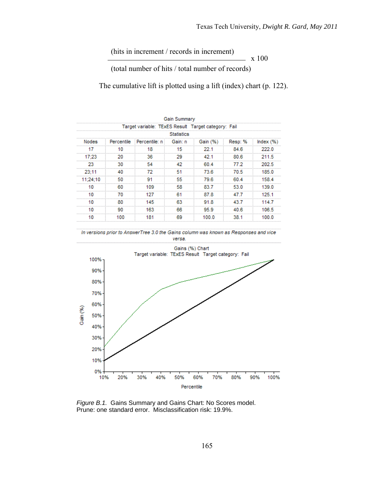(hits in increment / records in increment)

x 100

(total number of hits / total number of records)

The cumulative lift is plotted using a lift (index) chart (p. 122).

|              |    |                                                     | Gain Summary |          |        |           |  |  |
|--------------|----|-----------------------------------------------------|--------------|----------|--------|-----------|--|--|
|              |    | Target variable: TExES Result Target category: Fail |              |          |        |           |  |  |
| Statistics   |    |                                                     |              |          |        |           |  |  |
| <b>Nodes</b> |    | Percentile Percentile: n Gain: n                    |              | Gain (%) | Resp:% | Index (%) |  |  |
|              |    | 18                                                  |              | 22.1     | 84.6   | 222 N     |  |  |
| 1723         |    | ٩R                                                  |              | 42.1     | 80.6   | 211.5     |  |  |
|              |    |                                                     |              | 60 4     | 77.2   | 202.5     |  |  |
| 23.          |    |                                                     |              | 73 6     | 70 S   | 185.0     |  |  |
| 11:24:10     | 50 |                                                     | 55           | 79.6     | 60 4   | 158.4     |  |  |
|              |    | 109                                                 | 58           | 83.7     | 53.0   | 139.0     |  |  |
|              |    |                                                     | R.           | 87.8     | 47 7   | 125.1     |  |  |
|              | 80 | 145                                                 | 63           | 91.8     | 43.7   | 114.7     |  |  |
|              |    | 163                                                 |              |          | 40 R   | 106 5     |  |  |
|              |    | 181                                                 | R۹           |          |        |           |  |  |





*Figure B.1.* Gains Summary and Gains Chart: No Scores model. Prune: one standard error. Misclassification risk: 19.9%.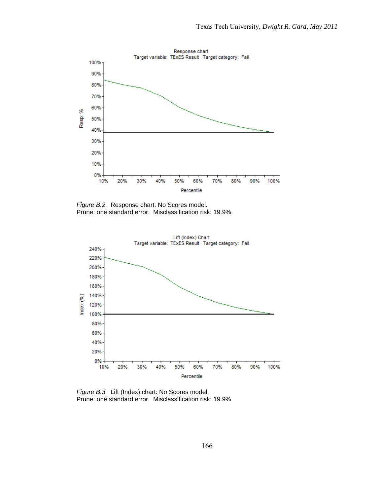

*Figure B.2.* Response chart: No Scores model. Prune: one standard error. Misclassification risk: 19.9%.



*Figure B.3.* Lift (Index) chart: No Scores model. Prune: one standard error. Misclassification risk: 19.9%.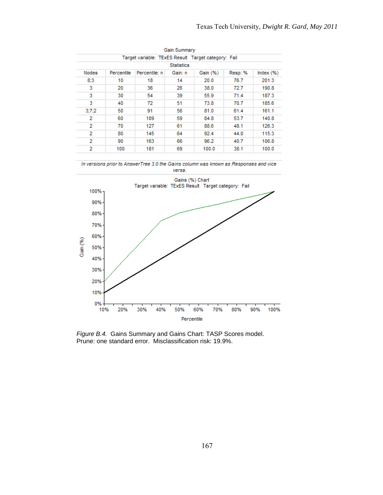|              |                   |                                                             | Gain Summary |      |       |        |  |  |  |
|--------------|-------------------|-------------------------------------------------------------|--------------|------|-------|--------|--|--|--|
|              |                   | Target variable: TExES Result Target category: Fail         |              |      |       |        |  |  |  |
|              | <b>Statistics</b> |                                                             |              |      |       |        |  |  |  |
| <b>Nodes</b> |                   | Percentile Percentile: n Gain: n Gain (%) Resp: % Index (%) |              |      |       |        |  |  |  |
|              |                   |                                                             |              | n n  | 76 7  | ON 1-3 |  |  |  |
|              | 20                | 36                                                          | 26           | 38.0 | -72.7 | 190.8  |  |  |  |
|              |                   |                                                             | 39           | 55.9 | 714   | 187.3  |  |  |  |
|              |                   |                                                             |              | 73 8 | 70 Z  | 185 6  |  |  |  |
| 3:7:2        | 50                |                                                             | 56           | 81 O | 61.4  | 161.1  |  |  |  |
|              |                   | 109                                                         |              | 848  | 53.7  | 140.8  |  |  |  |
|              |                   |                                                             |              | 88 6 |       | 126.3  |  |  |  |
|              | 80                | 145                                                         | 64           | 92.4 | 44 O  | 115.3  |  |  |  |
|              |                   | 163                                                         |              |      |       | 106.8  |  |  |  |
|              |                   |                                                             |              |      |       |        |  |  |  |





*Figure B.4.* Gains Summary and Gains Chart: TASP Scores model. Prune: one standard error. Misclassification risk: 19.9%.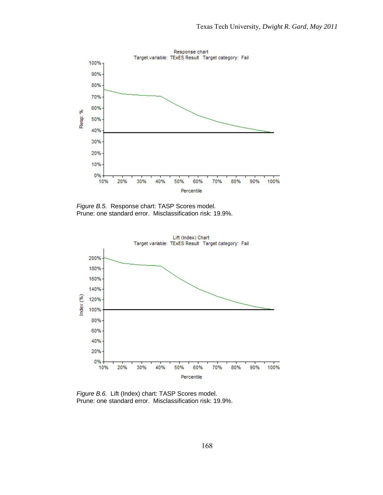

*Figure B.5.* Response chart: TASP Scores model. Prune: one standard error. Misclassification risk: 19.9%.



*Figure B.6.* Lift (Index) chart: TASP Scores model. Prune: one standard error. Misclassification risk: 19.9%.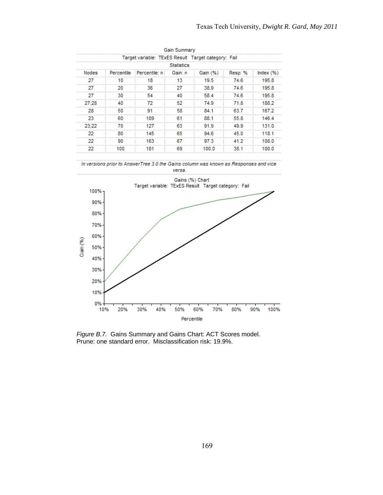|                   |    |                                                     | Gain Summary |                            |        |       |  |  |
|-------------------|----|-----------------------------------------------------|--------------|----------------------------|--------|-------|--|--|
|                   |    | Target variable: TExES Result Target category: Fail |              |                            |        |       |  |  |
| <b>Statistics</b> |    |                                                     |              |                            |        |       |  |  |
| <b>Nodes</b>      |    | Percentile Percentile: n Gain: n                    |              | Gain (%) Resp: % Index (%) |        |       |  |  |
|                   |    | 18.                                                 |              | 19.5                       | 746    | 195.8 |  |  |
| -                 | 20 | 36                                                  | 27           | 38.9                       | - 74.6 | 1958  |  |  |
|                   |    |                                                     |              | 58.4                       | 74.6   | 1958  |  |  |
| 27:28             |    |                                                     |              | 74 Q                       | 71 8   | 188.2 |  |  |
| 28                | 50 |                                                     | 58           | 84 1                       | 63.7   | 167.2 |  |  |
|                   |    | 109                                                 |              | 88.1                       | 55.8   | 1464  |  |  |
| 23.22             |    |                                                     |              | 91.9                       | 49 9   | 131 N |  |  |
|                   | 80 | 145                                                 | 65           | 94 6                       | 45.0   | 118.1 |  |  |
|                   |    | 163                                                 |              | 97 3                       | 41 D   | 1በՋ በ |  |  |
|                   |    |                                                     |              |                            |        |       |  |  |





*Figure B.7.* Gains Summary and Gains Chart: ACT Scores model. Prune: one standard error. Misclassification risk: 19.9%.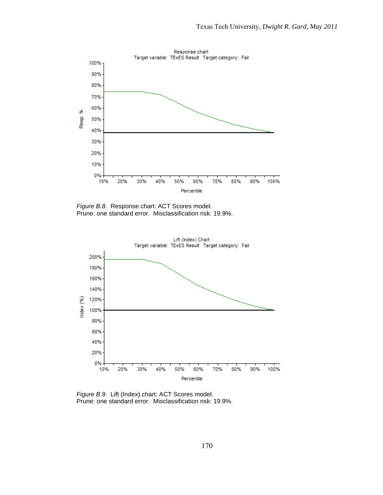

*Figure B.8.* Response chart: ACT Scores model. Prune: one standard error. Misclassification risk: 19.9%.



*Figure B.9.* Lift (Index) chart: ACT Scores model. Prune: one standard error. Misclassification risk: 19.9%.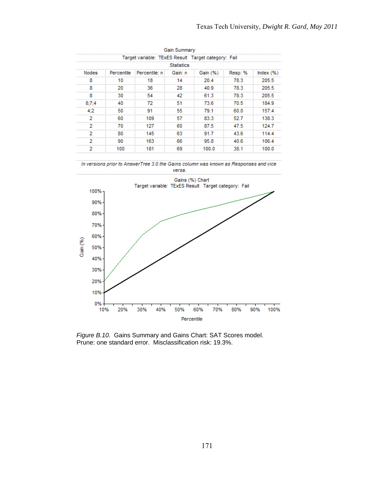|                   |    |                                                     | Gain Summary |                            |        |       |  |  |  |  |
|-------------------|----|-----------------------------------------------------|--------------|----------------------------|--------|-------|--|--|--|--|
|                   |    | Target variable: TExES Result Target category: Fail |              |                            |        |       |  |  |  |  |
| <b>Statistics</b> |    |                                                     |              |                            |        |       |  |  |  |  |
| <b>Nodes</b>      |    | Percentile Percentile: n Gain: n                    |              | Gain (%) Resp: % Index (%) |        |       |  |  |  |  |
|                   |    |                                                     |              | n 4                        | 78 3   | 205.5 |  |  |  |  |
| x                 | 20 | 36                                                  | 28           | 40.9                       | -78.3  | 205.5 |  |  |  |  |
|                   |    |                                                     |              | 61.3                       | - 78.3 | 205.5 |  |  |  |  |
|                   |    |                                                     |              | 73 6                       | 70 5   | 184 Q |  |  |  |  |
|                   | 50 |                                                     | 55           | 79.1                       | 60.0   | 1574  |  |  |  |  |
|                   |    | 109                                                 |              | 83.3                       | 52.7   | 138.3 |  |  |  |  |
|                   |    |                                                     | ßО           | 87.5                       | 47 S   |       |  |  |  |  |
|                   | 80 | 145                                                 | 63           | 91.7                       | 43.6   | 114 A |  |  |  |  |
|                   |    | 163                                                 |              | 95 R                       | 40 R   | 106.4 |  |  |  |  |
|                   |    |                                                     |              |                            |        |       |  |  |  |  |





*Figure B.10.* Gains Summary and Gains Chart: SAT Scores model. Prune: one standard error. Misclassification risk: 19.3%.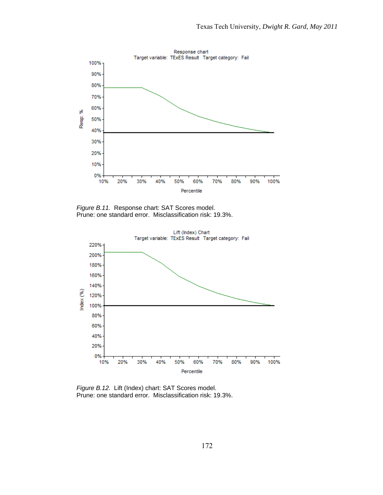

*Figure B.11.* Response chart: SAT Scores model. Prune: one standard error. Misclassification risk: 19.3%.



*Figure B.12.* Lift (Index) chart: SAT Scores model. Prune: one standard error. Misclassification risk: 19.3%.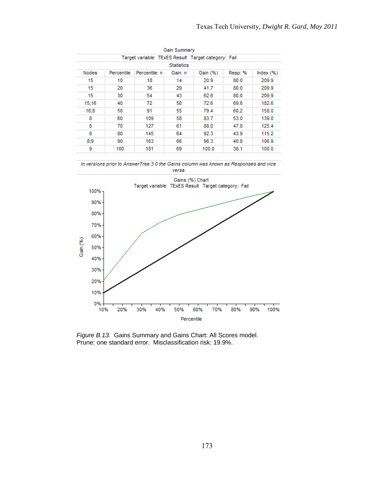|                   |    |                                                     | <b>Gain Summary</b> |                            |      |       |  |  |  |  |
|-------------------|----|-----------------------------------------------------|---------------------|----------------------------|------|-------|--|--|--|--|
|                   |    | Target variable: TExES Result Target category: Fail |                     |                            |      |       |  |  |  |  |
| <b>Statistics</b> |    |                                                     |                     |                            |      |       |  |  |  |  |
| <b>Nodes</b>      |    | Percentile Percentile: n Gain: n                    |                     | Gain (%) Resp: % Index (%) |      |       |  |  |  |  |
| 15                |    |                                                     |                     | n a                        | 80 O | 209.9 |  |  |  |  |
| 15                | 20 | 36                                                  | 29                  | 417                        | 80 O | 209.9 |  |  |  |  |
| 15                | 30 | 54                                                  |                     | 62.6                       | 80 0 | 209.9 |  |  |  |  |
| 15:16             |    |                                                     |                     | 72 R                       | 69 G | 182.6 |  |  |  |  |
| 16:8              | 50 |                                                     | 55                  | 79 4                       | 60.2 | 158.0 |  |  |  |  |
|                   | 60 | 109                                                 | 58                  | 83 7                       | 53.0 | 139.0 |  |  |  |  |
|                   |    |                                                     |                     | 88.0                       | я    | 125 A |  |  |  |  |
|                   | 80 | 145                                                 | 64                  | 92.3                       | 43.9 | 115.2 |  |  |  |  |
|                   |    | 163                                                 | 66                  | 96.3                       | 40 R | 106.9 |  |  |  |  |
|                   |    |                                                     |                     |                            |      |       |  |  |  |  |





*Figure B.13.* Gains Summary and Gains Chart: All Scores model. Prune: one standard error. Misclassification risk: 19.9%.